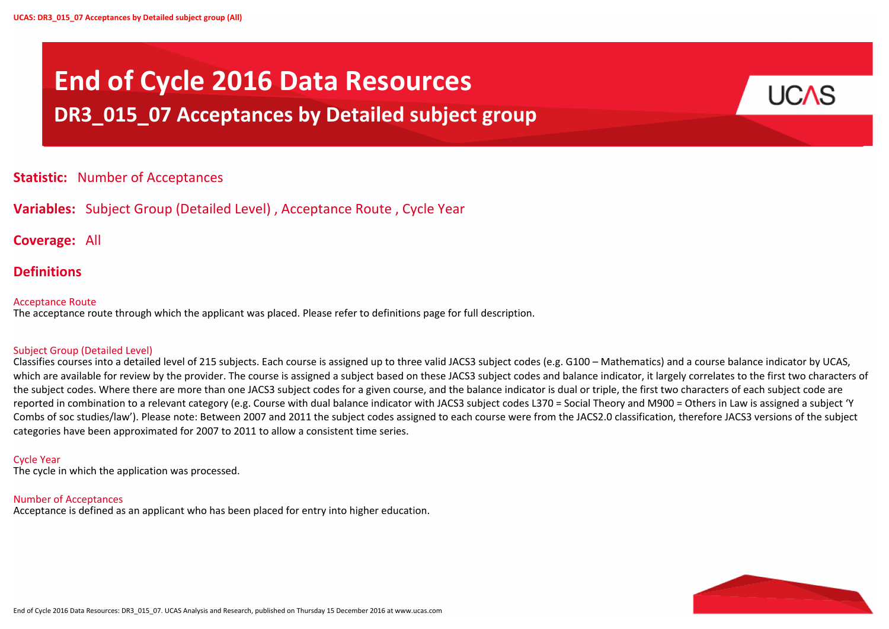



# **End of Cycle 2016 Data Resources DR3\_015\_07 Acceptances by Detailed subject group**

# **Statistic:** Number of Acceptances

# **Variables:** Subject Group (Detailed Level) , Acceptance Route , Cycle Year

**Coverage:** All

# **Definitions**

#### Acceptance Route

The acceptance route through which the applicant was placed. Please refer to definitions page for full description.

#### Subject Group (Detailed Level)

Classifies courses into a detailed level of 215 subjects. Each course is assigned up to three valid JACS3 subject codes (e.g. G100 – Mathematics) and a course balance indicator by UCAS, which are available for review by the provider. The course is assigned a subject based on these JACS3 subject codes and balance indicator, it largely correlates to the first two characters of the subject codes. Where there are more than one JACS3 subject codes for a given course, and the balance indicator is dual or triple, the first two characters of each subject code are reported in combination to a relevant category (e.g. Course with dual balance indicator with JACS3 subject codes L370 = Social Theory and M900 = Others in Law is assigned a subject 'Y Combs of soc studies/law'). Please note: Between 2007 and 2011 the subject codes assigned to each course were from the JACS2.0 classification, therefore JACS3 versions of the subject categories have been approximated for 2007 to 2011 to allow a consistent time series.

#### Cycle Year

The cycle in which the application was processed.

#### Number of Acceptances

Acceptance is defined as an applicant who has been placed for entry into higher education.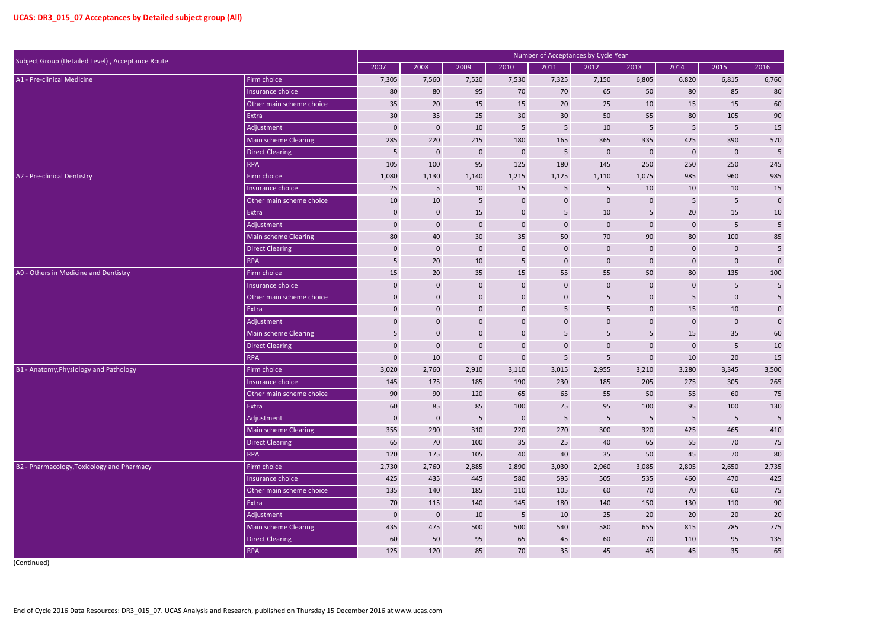| Subject Group (Detailed Level), Acceptance Route |                          |              |                  |                 |                 | Number of Acceptances by Cycle Year |                |                |                  |                  |                |
|--------------------------------------------------|--------------------------|--------------|------------------|-----------------|-----------------|-------------------------------------|----------------|----------------|------------------|------------------|----------------|
|                                                  |                          | 2007         | 2008             | 2009            | 2010            | 2011                                | 2012           | 2013           | 2014             | 2015             | 2016           |
| A1 - Pre-clinical Medicine                       | Firm choice              | 7,305        | 7,560            | 7,520           | 7,530           | 7,325                               | 7,150          | 6,805          | 6,820            | 6,815            | 6,760          |
|                                                  | Insurance choice         | 80           | 80               | 95              | 70              | 70                                  | 65             | 50             | 80               | 85               | 80             |
|                                                  | Other main scheme choice | 35           | 20               | 15              | 15              | 20                                  | 25             | 10             | 15               | 15               | 60             |
|                                                  | Extra                    | 30           | 35               | 25              | 30              | 30                                  | 50             | 55             | 80               | 105              | 90             |
|                                                  | Adjustment               | $\mathbf 0$  | $\bf{0}$         | 10              | $5\phantom{.}$  | 5                                   | 10             | 5              | 5 <sup>5</sup>   | 5                | 15             |
|                                                  | Main scheme Clearing     | 285          | 220              | 215             | 180             | 165                                 | 365            | 335            | 425              | 390              | 570            |
|                                                  | <b>Direct Clearing</b>   | 5            | $\mathbf 0$      | $\mathbf{0}$    | $\mathbf 0$     | $\overline{5}$                      | $\mathbf 0$    | $\mathbf 0$    | $\pmb{0}$        | $\mathbf 0$      | 5              |
|                                                  | <b>RPA</b>               | 105          | 100              | 95              | 125             | 180                                 | 145            | 250            | 250              | 250              | 245            |
| A2 - Pre-clinical Dentistry                      | Firm choice              | 1,080        | 1,130            | 1,140           | 1,215           | 1,125                               | 1,110          | 1,075          | 985              | 960              | 985            |
|                                                  | Insurance choice         | 25           | $5\phantom{.0}$  | 10              | 15              | 5                                   | 5              | 10             | 10               | 10               | 15             |
|                                                  | Other main scheme choice | 10           | 10               | 5               | $\pmb{0}$       | $\pmb{0}$                           | $\mathbf 0$    | $\mathbf 0$    | 5                | 5 <sub>5</sub>   | $\pmb{0}$      |
|                                                  | Extra                    | $\mathbf{0}$ | $\mathbf 0$      | 15              | $\mathbf 0$     | 5                                   | 10             | 5              | 20               | 15               | $10\,$         |
|                                                  | Adjustment               | $\mathbf 0$  | $\mathbf{0}$     | $\mathbf 0$     | $\mathbf 0$     | $\bf{0}$                            | $\mathbf 0$    | $\mathbf{0}$   | $\boldsymbol{0}$ | 5                | $\overline{5}$ |
|                                                  | Main scheme Clearing     | 80           | 40               | 30              | 35              | 50                                  | 70             | 90             | 80               | 100              | 85             |
|                                                  | <b>Direct Clearing</b>   | $\mathbf 0$  | $\mathbf 0$      | $\mathbf 0$     | $\mathbf 0$     | $\bf{0}$                            | $\mathbf 0$    | $\mathbf 0$    | $\pmb{0}$        | $\boldsymbol{0}$ | 5              |
|                                                  | <b>RPA</b>               | 5            | 20               | 10              | 5               | $\bf{0}$                            | $\mathbf 0$    | $\mathbf 0$    | $\pmb{0}$        | $\mathbf 0$      | $\pmb{0}$      |
| A9 - Others in Medicine and Dentistry            | Firm choice              | 15           | 20               | 35              | 15              | 55                                  | 55             | 50             | 80               | 135              | 100            |
|                                                  | Insurance choice         | $\mathbf 0$  | $\mathbf 0$      | $\mathbf 0$     | $\mathbf 0$     | $\bf{0}$                            | $\mathbf 0$    | $\mathbf 0$    | 0                | 5                | 5              |
|                                                  | Other main scheme choice | $\mathbf{0}$ | $\mathbf 0$      | $\mathbf 0$     | 0               | $\mathbf{0}$                        | 5              | $\mathbf 0$    | 5                | $\mathbf 0$      | 5              |
|                                                  | Extra                    | $\mathbf 0$  | $\mathbf 0$      | $\mathbf 0$     | $\mathbf 0$     | 5                                   | 5              | $\mathbf{0}$   | 15               | 10               | $\pmb{0}$      |
|                                                  | Adjustment               | $\mathbf 0$  | $\boldsymbol{0}$ | $\mathbf 0$     | $\mathbf 0$     | $\pmb{0}$                           | $\pmb{0}$      | $\mathbf{0}$   | $\pmb{0}$        | $\mathbf 0$      | $\pmb{0}$      |
|                                                  | Main scheme Clearing     | 5            | $\mathbf 0$      | $\mathbf 0$     | 0               | 5                                   | 5              | 5              | 15               | 35               | 60             |
|                                                  | <b>Direct Clearing</b>   | $\mathbf 0$  | $\mathbf 0$      | $\mathbf 0$     | $\mathbf 0$     | $\mathbf 0$                         | $\mathbf 0$    | $\mathbf{0}$   | $\boldsymbol{0}$ | 5 <sub>5</sub>   | $10\,$         |
|                                                  | <b>RPA</b>               | $\mathbf 0$  | 10               | $\mathbf 0$     | 0               | 5                                   | 5              | $\mathbf 0$    | 10               | 20               | 15             |
| B1 - Anatomy, Physiology and Pathology           | Firm choice              | 3,020        | 2,760            | 2,910           | 3,110           | 3,015                               | 2,955          | 3,210          | 3,280            | 3,345            | 3,500          |
|                                                  | Insurance choice         | 145          | 175              | 185             | 190             | 230                                 | 185            | 205            | 275              | 305              | 265            |
|                                                  | Other main scheme choice | 90           | 90               | 120             | 65              | 65                                  | 55             | 50             | 55               | 60               | 75             |
|                                                  | Extra                    | 60           | 85               | 85              | 100             | 75                                  | 95             | 100            | 95               | 100              | 130            |
|                                                  | Adjustment               | $\mathbf 0$  | $\mathbf 0$      | $5\phantom{.0}$ | $\mathbf 0$     | $5\phantom{.}$                      | $5\phantom{.}$ | $5\phantom{.}$ | 5 <sub>5</sub>   | $5\phantom{.0}$  | $\sqrt{5}$     |
|                                                  | Main scheme Clearing     | 355          | 290              | 310             | 220             | 270                                 | 300            | 320            | 425              | 465              | 410            |
|                                                  | <b>Direct Clearing</b>   | 65           | 70               | 100             | 35              | 25                                  | 40             | 65             | 55               | 70               | 75             |
|                                                  | <b>RPA</b>               | 120          | 175              | 105             | 40              | 40                                  | 35             | 50             | 45               | 70               | $80\,$         |
| B2 - Pharmacology, Toxicology and Pharmacy       | Firm choice              | 2,730        | 2,760            | 2,885           | 2,890           | 3,030                               | 2,960          | 3,085          | 2,805            | 2,650            | 2,735          |
|                                                  | Insurance choice         | 425          | 435              | 445             | 580             | 595                                 | 505            | 535            | 460              | 470              | 425            |
|                                                  | Other main scheme choice | 135          | 140              | 185             | 110             | 105                                 | 60             | 70             | 70               | 60               | 75             |
|                                                  | Extra                    | 70           | 115              | 140             | 145             | 180                                 | 140            | 150            | 130              | 110              | $90\,$         |
|                                                  | Adjustment               | $\mathbf 0$  | $\mathbf 0$      | 10              | $5\phantom{.0}$ | 10                                  | 25             | 20             | $20\overline{ }$ | 20               | $20\,$         |
|                                                  | Main scheme Clearing     | 435          | 475              | 500             | 500             | 540                                 | 580            | 655            | 815              | 785              | 775            |
|                                                  | <b>Direct Clearing</b>   | 60           | 50               | 95              | 65              | 45                                  | 60             | 70             | 110              | 95               | 135            |
|                                                  | <b>RPA</b>               | 125          | 120              | 85              | 70              | 35                                  | 45             | 45             | 45               | 35               | 65             |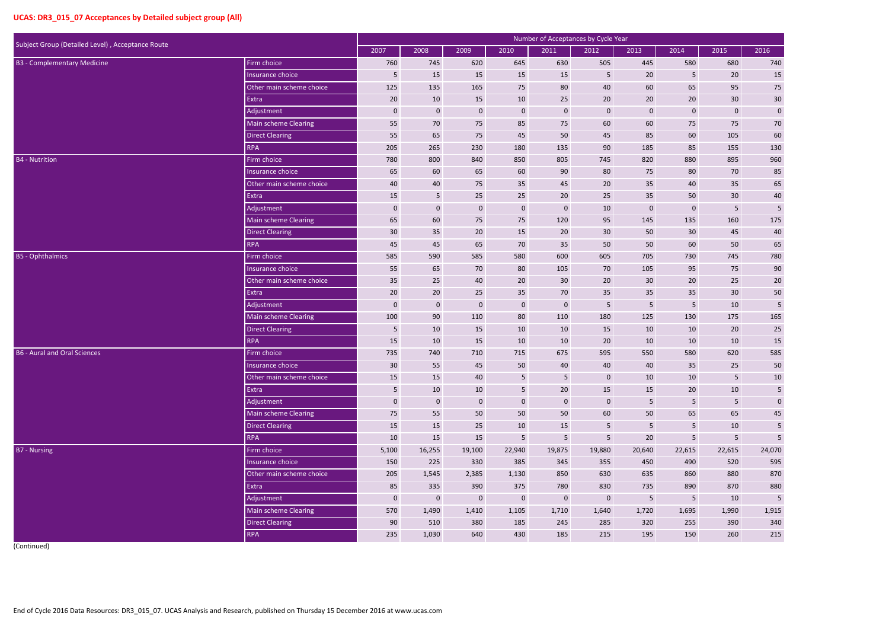| Subject Group (Detailed Level), Acceptance Route |                          |                 |             |                  |                 | Number of Acceptances by Cycle Year |                 |                 |                |                |                 |
|--------------------------------------------------|--------------------------|-----------------|-------------|------------------|-----------------|-------------------------------------|-----------------|-----------------|----------------|----------------|-----------------|
|                                                  |                          | 2007            | 2008        | 2009             | 2010            | 2011                                | 2012            | 2013            | 2014           | 2015           | 2016            |
| <b>B3 - Complementary Medicine</b>               | Firm choice              | 760             | 745         | 620              | 645             | 630                                 | 505             | 445             | 580            | 680            | 740             |
|                                                  | Insurance choice         | $5\phantom{.0}$ | 15          | 15               | 15              | 15                                  | 5               | 20              | 5              | 20             | 15              |
|                                                  | Other main scheme choice | 125             | 135         | 165              | 75              | 80                                  | 40              | 60              | 65             | 95             | 75              |
|                                                  | Extra                    | 20              | 10          | 15               | 10              | 25                                  | 20              | 20              | 20             | $30\,$         | $30\,$          |
|                                                  | Adjustment               | $\mathbf 0$     | $\mathbf 0$ | $\boldsymbol{0}$ | $\mathbf 0$     | $\bf{0}$                            | $\overline{0}$  | $\mathbf 0$     | $\pmb{0}$      | $\pmb{0}$      | $\pmb{0}$       |
|                                                  | Main scheme Clearing     | 55              | 70          | 75               | 85              | 75                                  | 60              | 60              | 75             | 75             | 70              |
|                                                  | <b>Direct Clearing</b>   | 55              | 65          | 75               | 45              | 50                                  | 45              | 85              | 60             | 105            | 60              |
|                                                  | <b>RPA</b>               | 205             | 265         | 230              | 180             | 135                                 | 90              | 185             | 85             | 155            | 130             |
| <b>B4</b> - Nutrition                            | Firm choice              | 780             | 800         | 840              | 850             | 805                                 | 745             | 820             | 880            | 895            | 960             |
|                                                  | Insurance choice         | 65              | 60          | 65               | 60              | 90                                  | 80              | 75              | 80             | 70             | 85              |
|                                                  | Other main scheme choice | 40              | 40          | 75               | 35              | 45                                  | $20\,$          | 35              | 40             | 35             | 65              |
|                                                  | Extra                    | 15              | 5           | 25               | 25              | 20                                  | 25              | 35              | 50             | 30             | 40              |
|                                                  | Adjustment               | $\mathbf 0$     | $\mathbf 0$ | $\boldsymbol{0}$ | $\mathbf 0$     | $\bf{0}$                            | 10              | $\mathbf 0$     | $\pmb{0}$      | 5              | 5               |
|                                                  | Main scheme Clearing     | 65              | 60          | 75               | 75              | 120                                 | 95              | 145             | 135            | 160            | 175             |
|                                                  | <b>Direct Clearing</b>   | 30              | 35          | 20               | 15              | 20                                  | 30              | 50              | 30             | 45             | 40              |
|                                                  | <b>RPA</b>               | 45              | 45          | 65               | 70              | 35                                  | 50              | 50              | 60             | 50             | 65              |
| <b>B5</b> - Ophthalmics                          | Firm choice              | 585             | 590         | 585              | 580             | 600                                 | 605             | 705             | 730            | 745            | 780             |
|                                                  | Insurance choice         | 55              | 65          | 70               | 80              | 105                                 | 70              | 105             | 95             | 75             | 90              |
|                                                  | Other main scheme choice | 35              | 25          | 40               | 20              | 30                                  | 20              | 30              | 20             | 25             | 20              |
|                                                  | Extra                    | 20              | 20          | 25               | 35              | 70                                  | 35              | 35              | 35             | $30\,$         | $50\,$          |
|                                                  | Adjustment               | $\mathbf 0$     | $\mathbf 0$ | $\boldsymbol{0}$ | $\pmb{0}$       | $\bf{0}$                            | 5               | 5               | 5              | 10             | 5               |
|                                                  | Main scheme Clearing     | 100             | 90          | 110              | 80              | 110                                 | 180             | 125             | 130            | 175            | 165             |
|                                                  | <b>Direct Clearing</b>   | 5               | 10          | 15               | 10              | 10                                  | 15              | 10              | 10             | 20             | 25              |
|                                                  | <b>RPA</b>               | 15              | 10          | 15               | 10              | 10                                  | 20              | 10              | 10             | 10             | 15              |
| <b>B6 - Aural and Oral Sciences</b>              | Firm choice              | 735             | 740         | 710              | 715             | 675                                 | 595             | 550             | 580            | 620            | 585             |
|                                                  | Insurance choice         | 30              | 55          | 45               | 50              | 40                                  | 40              | 40              | 35             | 25             | 50              |
|                                                  | Other main scheme choice | 15              | 15          | 40               | $5\phantom{.}$  | $5\phantom{.}$                      | $\mathbf{0}$    | 10              | 10             | 5              | 10              |
|                                                  | Extra                    | 5               | 10          | 10               | 5 <sup>1</sup>  | 20                                  | 15              | 15              | 20             | $10\,$         | 5               |
|                                                  | Adjustment               | $\mathbf 0$     | $\mathbf 0$ | $\mathbf{0}$     | $\bf 0$         | $\mathbf 0$                         | $\overline{0}$  | $5\phantom{.}$  | 5 <sub>5</sub> | $\sqrt{5}$     | $\mathbf 0$     |
|                                                  | Main scheme Clearing     | 75              | 55          | 50               | 50              | 50                                  | 60              | 50              | 65             | 65             | $45\,$          |
|                                                  | Direct Clearing          | 15              | 15          | 25               | 10              | 15                                  | $5\phantom{.0}$ | $5\phantom{.0}$ | 5 <sub>1</sub> | 10             | $5\phantom{.0}$ |
|                                                  | <b>RPA</b>               | 10              | 15          | 15               | $5\overline{)}$ | $5\phantom{.}$                      | $5\phantom{.0}$ | $20\degree$     | 5 <sub>1</sub> | 5 <sub>1</sub> | 5               |
| <b>B7</b> - Nursing                              | Firm choice              | 5,100           | 16,255      | 19,100           | 22,940          | 19,875                              | 19,880          | 20,640          | 22,615         | 22,615         | 24,070          |
|                                                  | Insurance choice         | 150             | 225         | 330              | 385             | 345                                 | 355             | 450             | 490            | 520            | 595             |
|                                                  | Other main scheme choice | 205             | 1,545       | 2,385            | 1,130           | 850                                 | 630             | 635             | 860            | 880            | 870             |
|                                                  | Extra                    | 85              | 335         | 390              | 375             | 780                                 | 830             | 735             | 890            | 870            | 880             |
|                                                  | Adjustment               | $\mathbf 0$     | $\mathbf 0$ | $\mathbf{0}$     | $\mathbf 0$     | $\mathbf 0$                         | $\bf 0$         | $5\phantom{.}$  | 5 <sub>1</sub> | 10             | $\overline{5}$  |
|                                                  | Main scheme Clearing     | 570             | 1,490       | 1,410            | 1,105           | 1,710                               | 1,640           | 1,720           | 1,695          | 1,990          | 1,915           |
|                                                  | <b>Direct Clearing</b>   | 90              | 510         | 380              | 185             | 245                                 | 285             | 320             | 255            | 390            | 340             |
|                                                  | RPA                      | 235             | 1,030       | 640              | 430             | 185                                 | 215             | 195             | 150            | 260            | 215             |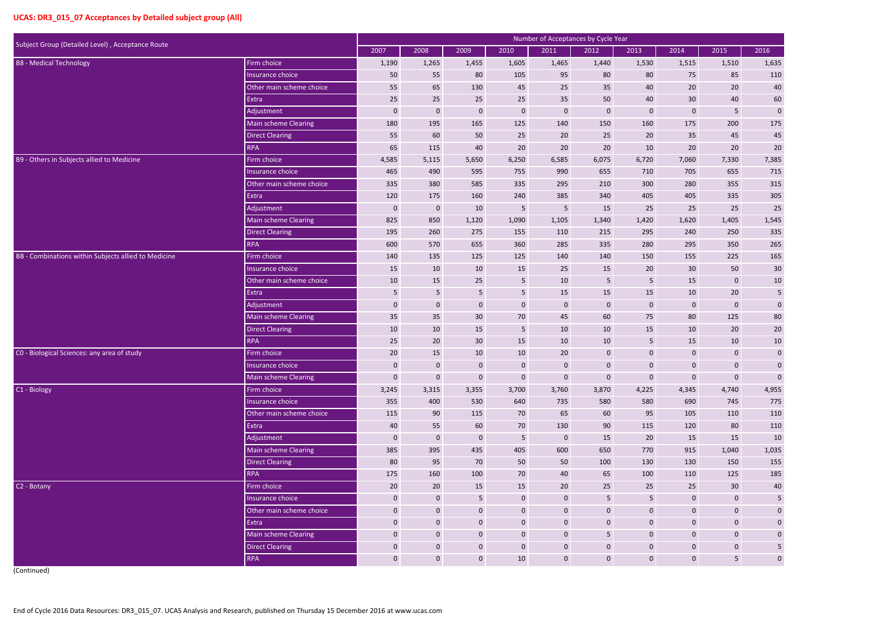|                                                      |                             |                  |                |                  |                  | Number of Acceptances by Cycle Year |                 |                 |                  |                  |                         |
|------------------------------------------------------|-----------------------------|------------------|----------------|------------------|------------------|-------------------------------------|-----------------|-----------------|------------------|------------------|-------------------------|
| Subject Group (Detailed Level), Acceptance Route     |                             | 2007             | 2008           | 2009             | 2010             | 2011                                | 2012            | 2013            | 2014             | 2015             | 2016                    |
| <b>B8 - Medical Technology</b>                       | Firm choice                 | 1,190            | 1,265          | 1,455            | 1,605            | 1,465                               | 1,440           | 1,530           | 1,515            | 1,510            | 1,635                   |
|                                                      | Insurance choice            | 50               | 55             | 80               | 105              | 95                                  | 80              | 80              | 75               | 85               | 110                     |
|                                                      | Other main scheme choice    | 55               | 65             | 130              | 45               | 25                                  | 35              | 40              | 20               | 20               | 40                      |
|                                                      | Extra                       | 25               | 25             | 25               | 25               | 35                                  | 50              | 40              | 30               | 40               | 60                      |
|                                                      | Adjustment                  | $\mathbf 0$      | $\mathbf 0$    | $\boldsymbol{0}$ | $\mathbf 0$      | $\mathbf 0$                         | $\mathbf 0$     | $\mathbf 0$     | $\mathbf 0$      | 5 <sub>5</sub>   | $\pmb{0}$               |
|                                                      | Main scheme Clearing        | 180              | 195            | 165              | 125              | 140                                 | 150             | 160             | 175              | 200              | 175                     |
|                                                      | <b>Direct Clearing</b>      | 55               | 60             | 50               | 25               | 20                                  | 25              | 20              | 35               | 45               | $45\,$                  |
|                                                      | <b>RPA</b>                  | 65               | 115            | 40               | 20               | 20                                  | 20              | 10              | 20               | 20               | 20                      |
| B9 - Others in Subjects allied to Medicine           | Firm choice                 | 4,585            | 5,115          | 5,650            | 6,250            | 6,585                               | 6,075           | 6,720           | 7,060            | 7,330            | 7,385                   |
|                                                      | Insurance choice            | 465              | 490            | 595              | 755              | 990                                 | 655             | 710             | 705              | 655              | 715                     |
|                                                      | Other main scheme choice    | 335              | 380            | 585              | 335              | 295                                 | 210             | 300             | 280              | 355              | 315                     |
|                                                      | Extra                       | 120              | 175            | 160              | 240              | 385                                 | 340             | 405             | 405              | 335              | 305                     |
|                                                      | Adjustment                  | $\mathbf 0$      | $\mathbf 0$    | 10               | 5                | $5\phantom{.0}$                     | 15              | 25              | 25               | 25               | 25                      |
|                                                      | <b>Main scheme Clearing</b> | 825              | 850            | 1,120            | 1,090            | 1,105                               | 1,340           | 1,420           | 1,620            | 1,405            | 1,545                   |
|                                                      | <b>Direct Clearing</b>      | 195              | 260            | 275              | 155              | 110                                 | 215             | 295             | 240              | 250              | 335                     |
|                                                      | <b>RPA</b>                  | 600              | 570            | 655              | 360              | 285                                 | 335             | 280             | 295              | 350              | 265                     |
| BB - Combinations within Subjects allied to Medicine | Firm choice                 | 140              | 135            | 125              | 125              | 140                                 | 140             | 150             | 155              | 225              | 165                     |
|                                                      | Insurance choice            | 15               | 10             | 10               | 15               | 25                                  | 15              | 20              | 30               | 50               | 30                      |
|                                                      | Other main scheme choice    | 10               | 15             | 25               | $5\phantom{.}$   | 10                                  | 5               | 5               | 15               | $\boldsymbol{0}$ | $10\,$                  |
|                                                      | Extra                       | 5                | 5              | $5\phantom{.0}$  | $\overline{5}$   | 15                                  | $15\,$          | 15              | 10               | 20               | $\sqrt{5}$              |
|                                                      | Adjustment                  | $\mathbf 0$      | $\mathbf 0$    | $\mathbf 0$      | $\boldsymbol{0}$ | $\mathbf 0$                         | $\mathbf 0$     | $\mathbf 0$     | $\mathbf 0$      | $\boldsymbol{0}$ | $\pmb{0}$               |
|                                                      | Main scheme Clearing        | 35               | 35             | 30               | 70               | 45                                  | 60              | 75              | 80               | 125              | 80                      |
|                                                      | <b>Direct Clearing</b>      | 10               | $10\,$         | 15               | $5\phantom{.0}$  | 10                                  | 10              | 15              | 10               | 20               | $20\,$                  |
|                                                      | <b>RPA</b>                  | 25               | 20             | 30               | 15               | 10                                  | 10              | 5               | 15               | 10               | $10\,$                  |
| CO - Biological Sciences: any area of study          | Firm choice                 | 20               | 15             | 10               | 10               | 20                                  | $\mathbf 0$     | $\mathbf 0$     | $\boldsymbol{0}$ | $\mathbf{0}$     | $\pmb{0}$               |
|                                                      | Insurance choice            | $\Omega$         | $\mathbf 0$    | $\mathbf{0}$     | $\mathbf 0$      | $\mathbf{0}$                        | $\Omega$        | $\Omega$        | 0                | $\Omega$         | $\pmb{0}$               |
|                                                      | Main scheme Clearing        | $\mathbf 0$      | $\mathbf{0}$   | $\mathbf 0$      | $\mathbf{0}$     | $\mathbf 0$                         | $\mathbf{0}$    | $\mathbf 0$     | $\mathbf{0}$     | $\mathbf 0$      | $\pmb{0}$               |
| C1 - Biology                                         | Firm choice                 | 3,245            | 3,315          | 3,355            | 3,700            | 3,760                               | 3,870           | 4,225           | 4,345            | 4,740            | 4,955                   |
|                                                      | Insurance choice            | 355              | 400            | 530              | 640              | 735                                 | 580             | 580             | 690              | 745              | 775                     |
|                                                      | Other main scheme choice    | 115              | 90             | 115              | 70               | 65                                  | 60              | 95              | 105              | 110              | 110                     |
|                                                      | Extra                       | 40               | 55             | 60               | 70               | 130                                 | 90              | 115             | 120              | 80               | 110                     |
|                                                      | Adjustment                  | $\mathbf{0}$     | $\mathbf{0}$   | $\mathbf{0}$     | $5\overline{)}$  | $\mathbf{0}$                        | 15              | 20              | 15               | 15               | 10                      |
|                                                      | Main scheme Clearing        | 385              | 395            | 435              | 405              | 600                                 | 650             | 770             | 915              | 1,040            | 1,035                   |
|                                                      | <b>Direct Clearing</b>      | 80               | 95             | 70               | 50               | 50                                  | 100             | 130             | 130              | 150              | 155                     |
|                                                      | <b>RPA</b>                  | 175              | 160            | 100              | 70               | 40                                  | 65              | 100             | 110              | 125              | 185                     |
| C2 - Botany                                          | Firm choice                 | 20               | 20             | 15               | 15               | 20                                  | 25              | 25              | 25               | 30 <sup>°</sup>  | $40\,$                  |
|                                                      | Insurance choice            | $\mathbf 0$      | $\bf 0$        | 5 <sub>5</sub>   | $\mathbf 0$      | $\mathbf 0$                         | $\sqrt{5}$      | $5\phantom{.0}$ | $\mathbf 0$      | $\mathbf 0$      | $\overline{\mathbf{5}}$ |
|                                                      | Other main scheme choice    | $\mathbf 0$      | $\overline{0}$ | $\mathbf 0$      | $\mathbf 0$      | $\mathbf 0$                         | $\bf 0$         | $\mathbf 0$     | $\mathbf 0$      | $\mathbf 0$      | $\pmb{0}$               |
|                                                      | Extra                       | $\mathbf 0$      | $\bf 0$        | $\mathbf 0$      | $\overline{0}$   | $\mathbf 0$                         | $\mathbf{0}$    | $\mathbf 0$     | $\mathbf{0}$     | $\mathbf 0$      | $\pmb{0}$               |
|                                                      | Main scheme Clearing        | $\mathbf{0}$     | $\overline{0}$ | $\mathbf{0}$     | $\mathbf 0$      | $\mathbf 0$                         | $5\phantom{.0}$ | $\mathbf{0}$    | $\mathbf{0}$     | $\mathbf 0$      | $\mathbf 0$             |
|                                                      | <b>Direct Clearing</b>      | $\boldsymbol{0}$ | $\bf 0$        | $\mathbf 0$      | $\mathbf{0}$     | $\mathbf 0$                         | $\bf 0$         | $\mathbf 0$     | $\mathbf 0$      | $\mathbf 0$      | $\overline{\mathbf{5}}$ |
|                                                      | <b>RPA</b>                  | $\mathbf 0$      | $\overline{0}$ | $\mathbf 0$      | 10               | $\mathbf 0$                         | $\mathbf{0}$    | $\mathbf{0}$    | $\mathbf{0}$     | 5 <sub>5</sub>   | $\mathbf 0$             |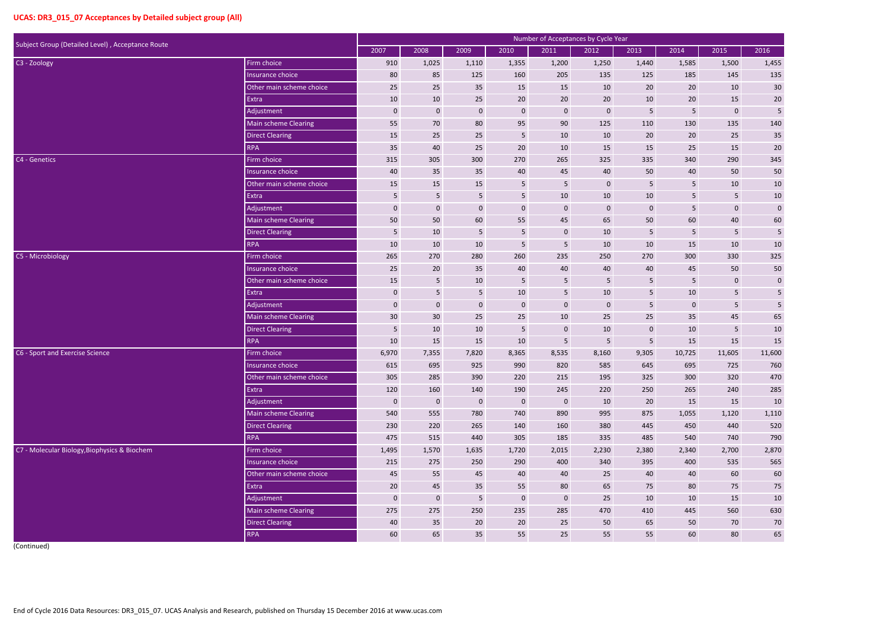| Subject Group (Detailed Level), Acceptance Route |                          |             |                 |              |                 | Number of Acceptances by Cycle Year |             |             |           |                  |             |
|--------------------------------------------------|--------------------------|-------------|-----------------|--------------|-----------------|-------------------------------------|-------------|-------------|-----------|------------------|-------------|
|                                                  |                          | 2007        | 2008            | 2009         | 2010            | 2011                                | 2012        | 2013        | 2014      | 2015             | 2016        |
| C <sub>3</sub> - Zoology                         | Firm choice              | 910         | 1,025           | 1,110        | 1,355           | 1,200                               | 1,250       | 1,440       | 1,585     | 1,500            | 1,455       |
|                                                  | Insurance choice         | 80          | 85              | 125          | 160             | 205                                 | 135         | 125         | 185       | 145              | 135         |
|                                                  | Other main scheme choice | 25          | 25              | 35           | 15              | 15                                  | 10          | 20          | 20        | 10               | 30          |
|                                                  | Extra                    | 10          | 10              | 25           | 20              | 20                                  | 20          | 10          | $20\,$    | 15               | 20          |
|                                                  | Adjustment               | 0           | $\mathbf 0$     | $\mathbf 0$  | $\mathbf 0$     | $\mathbf 0$                         | $\mathbf 0$ | 5           | 5         | $\boldsymbol{0}$ | 5           |
|                                                  | Main scheme Clearing     | 55          | 70              | 80           | 95              | 90                                  | 125         | 110         | 130       | 135              | 140         |
|                                                  | Direct Clearing          | 15          | 25              | 25           | $\overline{5}$  | 10                                  | 10          | 20          | 20        | 25               | 35          |
|                                                  | <b>RPA</b>               | 35          | 40              | 25           | 20              | 10                                  | 15          | 15          | 25        | 15               | 20          |
| C4 - Genetics                                    | Firm choice              | 315         | 305             | 300          | 270             | 265                                 | 325         | 335         | 340       | 290              | 345         |
|                                                  | Insurance choice         | 40          | 35              | 35           | 40              | 45                                  | 40          | 50          | 40        | 50               | 50          |
|                                                  | Other main scheme choice | 15          | 15              | 15           | $5\phantom{.0}$ | $5\phantom{.}$                      | $\mathbf 0$ | 5           | 5         | 10               | $10\,$      |
|                                                  | Extra                    | 5           | 5               | 5            | $5\phantom{.}$  | 10                                  | $10\,$      | $10\,$      | 5         | 5                | $10\,$      |
|                                                  | Adjustment               | 0           | $\bf{0}$        | $\mathbf 0$  | $\mathbf 0$     | $\mathbf 0$                         | $\mathbf 0$ | $\mathbf 0$ | 5         | $\mathbf 0$      | $\mathbf 0$ |
|                                                  | Main scheme Clearing     | 50          | 50              | 60           | 55              | 45                                  | 65          | 50          | 60        | 40               | 60          |
|                                                  | Direct Clearing          | 5           | 10              | 5            | $\overline{5}$  | $\mathbf 0$                         | 10          | 5           | 5         | 5                | $\sqrt{5}$  |
|                                                  | <b>RPA</b>               | 10          | 10              | 10           | 5               | $5\phantom{.0}$                     | 10          | 10          | 15        | 10               | $10\,$      |
| C5 - Microbiology                                | Firm choice              | 265         | 270             | 280          | 260             | 235                                 | 250         | 270         | 300       | 330              | 325         |
|                                                  | Insurance choice         | 25          | 20              | 35           | 40              | 40                                  | 40          | 40          | 45        | 50               | 50          |
|                                                  | Other main scheme choice | 15          | 5               | 10           | $\overline{5}$  | 5                                   | 5           | 5           | 5         | $\mathbf 0$      | $\pmb{0}$   |
|                                                  | Extra                    | 0           | $5\phantom{.0}$ | 5            | 10              | $5\phantom{.}$                      | $10\,$      | 5           | 10        | $5\phantom{.}$   | $\sqrt{5}$  |
|                                                  | Adjustment               | $\mathbf 0$ | $\mathbf 0$     | $\mathbf 0$  | $\mathbf 0$     | $\mathbf 0$                         | $\mathbf 0$ | 5           | $\pmb{0}$ | 5                | 5           |
|                                                  | Main scheme Clearing     | 30          | 30              | 25           | 25              | 10                                  | 25          | 25          | 35        | 45               | 65          |
|                                                  | Direct Clearing          | 5           | 10              | 10           | $\overline{5}$  | $\mathbf 0$                         | 10          | $\mathbf 0$ | 10        | 5                | $10\,$      |
|                                                  | <b>RPA</b>               | 10          | 15              | 15           | 10              | $\overline{5}$                      | 5           | 5           | 15        | 15               | 15          |
| C6 - Sport and Exercise Science                  | Firm choice              | 6,970       | 7,355           | 7,820        | 8,365           | 8,535                               | 8,160       | 9,305       | 10,725    | 11,605           | 11,600      |
|                                                  | Insurance choice         | 615         | 695             | 925          | 990             | 820                                 | 585         | 645         | 695       | 725              | 760         |
|                                                  | Other main scheme choice | 305         | 285             | 390          | 220             | 215                                 | 195         | 325         | 300       | 320              | 470         |
|                                                  | Extra                    | 120         | 160             | 140          | 190             | 245                                 | 220         | 250         | 265       | 240              | 285         |
|                                                  | Adjustment               | $\mathbf 0$ | $\mathbf 0$     | $\mathbf{0}$ | $\overline{0}$  | $\overline{0}$                      | 10          | 20          | 15        | 15               | 10          |
|                                                  | Main scheme Clearing     | 540         | 555             | 780          | 740             | 890                                 | 995         | 875         | 1,055     | 1,120            | 1,110       |
|                                                  | Direct Clearing          | 230         | 220             | 265          | 140             | 160                                 | 380         | 445         | 450       | 440              | 520         |
|                                                  | <b>RPA</b>               | 475         | 515             | 440          | 305             | 185                                 | 335         | 485         | 540       | 740              | 790         |
| C7 - Molecular Biology, Biophysics & Biochem     | Firm choice              | 1,495       | 1,570           | 1,635        | 1,720           | 2,015                               | 2,230       | 2,380       | 2,340     | 2,700            | 2,870       |
|                                                  | Insurance choice         | 215         | 275             | 250          | 290             | 400                                 | 340         | 395         | 400       | 535              | 565         |
|                                                  | Other main scheme choice | 45          | 55              | 45           | 40              | 40                                  | 25          | 40          | 40        | 60               | $60\,$      |
|                                                  | Extra                    | $20\,$      | 45              | 35           | 55              | 80                                  | 65          | 75          | 80        | 75               | 75          |
|                                                  | Adjustment               | $\pmb{0}$   | $\pmb{0}$       | 5            | $\mathbf 0$     | $\mathbf 0$                         | 25          | 10          | 10        | 15               | 10          |
|                                                  | Main scheme Clearing     | 275         | 275             | 250          | 235             | 285                                 | 470         | 410         | 445       | 560              | 630         |
|                                                  | Direct Clearing          | 40          | 35              | 20           | 20              | 25                                  | 50          | 65          | 50        | 70               | 70          |
|                                                  | RPA                      | 60          | 65              | 35           | 55              | 25                                  | 55          | 55          | 60        | 80               | 65          |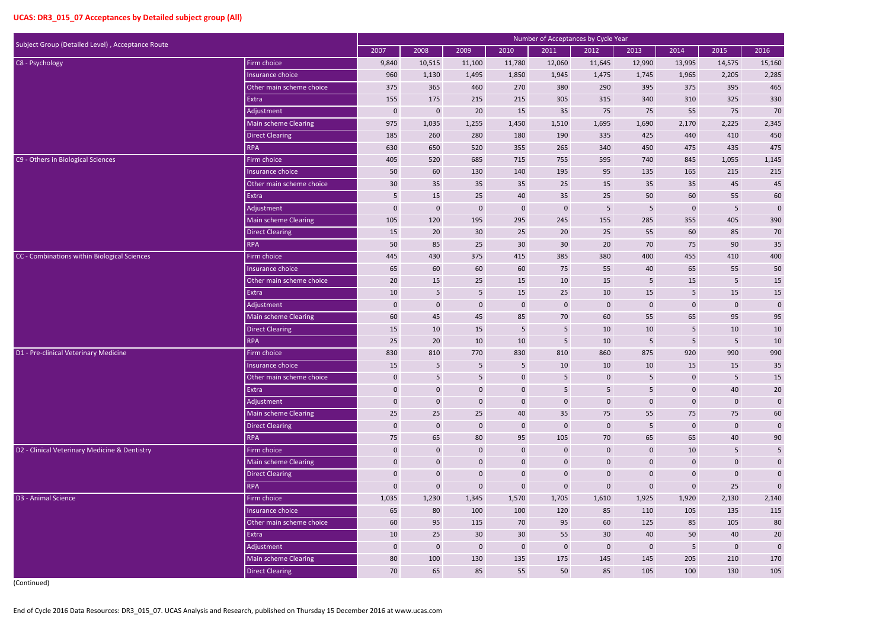| Subject Group (Detailed Level), Acceptance Route |                                      |                                  |                   |                            |                                 |                                 | Number of Acceptances by Cycle Year |                        |                      |                        |                            |
|--------------------------------------------------|--------------------------------------|----------------------------------|-------------------|----------------------------|---------------------------------|---------------------------------|-------------------------------------|------------------------|----------------------|------------------------|----------------------------|
|                                                  |                                      | 2007                             | 2008              | 2009                       | 2010                            | 2011                            | 2012                                | 2013                   | 2014                 | 2015                   | 2016                       |
| C8 - Psychology                                  | Firm choice                          | 9,840                            | 10,515            | 11,100                     | 11,780                          | 12,060                          | 11,645                              | 12,990                 | 13,995               | 14,575                 | 15,160                     |
|                                                  | Insurance choice                     | 960                              | 1,130             | 1,495                      | 1,850                           | 1,945                           | 1,475                               | 1,745                  | 1,965                | 2,205                  | 2,285                      |
|                                                  | Other main scheme choice             | 375                              | 365               | 460                        | 270                             | 380                             | 290                                 | 395                    | 375                  | 395                    | 465                        |
|                                                  | Extra                                | 155                              | 175               | 215                        | 215                             | 305                             | 315                                 | 340                    | 310                  | 325                    | 330                        |
|                                                  | Adjustment                           | $\mathbf{0}$                     | $\pmb{0}$         | 20                         | 15                              | 35                              | 75                                  | 75                     | 55                   | 75                     | $70\,$                     |
|                                                  | Main scheme Clearing                 | 975                              | 1,035             | 1,255                      | 1,450                           | 1,510                           | 1,695                               | 1,690                  | 2,170                | 2,225                  | 2,345                      |
|                                                  | <b>Direct Clearing</b>               | 185                              | 260               | 280                        | 180                             | 190                             | 335                                 | 425                    | 440                  | 410                    | 450                        |
|                                                  | <b>RPA</b>                           | 630                              | 650               | 520                        | 355                             | 265                             | 340                                 | 450                    | 475                  | 435                    | 475                        |
| C9 - Others in Biological Sciences               | Firm choice                          | 405                              | 520               | 685                        | 715                             | 755                             | 595                                 | 740                    | 845                  | 1,055                  | 1,145                      |
|                                                  | Insurance choice                     | 50                               | 60                | 130                        | 140                             | 195                             | 95                                  | 135                    | 165                  | 215                    | 215                        |
|                                                  | Other main scheme choice             | 30                               | 35                | 35                         | 35                              | 25                              | 15                                  | 35                     | 35                   | 45                     | 45                         |
|                                                  | Extra                                | $5\phantom{.}$                   | 15                | 25                         | 40                              | 35                              | 25                                  | 50                     | 60                   | 55                     | 60                         |
|                                                  | Adjustment                           | $\pmb{0}$                        | $\pmb{0}$         | $\mathbf{0}$               | $\boldsymbol{0}$                | $\bf{0}$                        | 5                                   | 5                      | $\overline{0}$       | 5                      | $\pmb{0}$                  |
|                                                  | <b>Main scheme Clearing</b>          | 105                              | 120               | 195                        | 295                             | 245                             | 155                                 | 285                    | 355                  | 405                    | 390                        |
|                                                  | <b>Direct Clearing</b>               | 15                               | 20                | 30 <sup>°</sup>            | 25                              | 20                              | 25                                  | 55                     | 60                   | 85                     | 70                         |
|                                                  | <b>RPA</b>                           | 50                               | 85                | 25                         | 30                              | 30                              | 20                                  | 70                     | 75                   | 90                     | 35                         |
| CC - Combinations within Biological Sciences     | Firm choice                          | 445                              | 430               | 375                        | 415                             | 385                             | 380                                 | 400                    | 455                  | 410                    | 400                        |
|                                                  | Insurance choice                     | 65                               | 60                | 60                         | 60                              | 75                              | 55                                  | 40                     | 65                   | 55                     | 50                         |
|                                                  | Other main scheme choice             | 20                               | 15                | 25                         | 15                              | 10                              | 15                                  | 5                      | 15                   | 5                      | 15                         |
|                                                  | Extra                                | 10                               | $\sqrt{5}$        | $5\phantom{.0}$            | 15                              | 25                              | 10                                  | 15                     | 5                    | 15                     | 15                         |
|                                                  | Adjustment                           | $\mathbf{0}$                     | $\mathbf 0$       | $\mathbf{0}$               | $\mathbf{0}$                    | $\mathbf 0$                     | $\overline{0}$                      | $\mathbf 0$            | $\overline{0}$       | $\mathbf 0$            | $\pmb{0}$                  |
|                                                  | Main scheme Clearing                 | 60                               | 45                | 45                         | 85                              | 70                              | 60                                  | 55                     | 65                   | 95                     | 95                         |
|                                                  | <b>Direct Clearing</b>               | 15                               | 10                | 15                         | $\sqrt{5}$                      | 5                               | 10                                  | $10\,$                 | 5                    | 10                     | 10                         |
|                                                  | <b>RPA</b>                           | 25                               | 20                | 10                         | 10                              | 5                               | 10                                  | 5                      | 5 <sup>1</sup>       | $5\phantom{.}$         | 10                         |
| D1 - Pre-clinical Veterinary Medicine            | Firm choice                          | 830                              | 810               | 770                        | 830                             | 810                             | 860                                 | 875                    | 920                  | 990                    | 990                        |
|                                                  | Insurance choice                     | 15                               | 5                 | 5                          | 5                               | 10                              | 10                                  | 10                     | 15                   | 15                     | 35                         |
|                                                  | Other main scheme choice             | $\mathbf 0$                      | $5\phantom{.}$    | 5 <sub>5</sub>             | $\mathbf 0$                     | 5                               | $\boldsymbol{0}$                    | 5                      | $\mathbf 0$          | 5                      | 15                         |
|                                                  | Extra                                | $\boldsymbol{0}$                 | $\mathbf 0$       | $\mathbf 0$                | $\boldsymbol{0}$                | 5                               | $5\phantom{.}$                      | 5                      | $\mathbf 0$          | 40                     | $20\,$                     |
|                                                  | Adjustment                           | $\mathbf{0}$                     | $\boldsymbol{0}$  | $\mathbf 0$                | $\boldsymbol{0}$                | $\boldsymbol{0}$                | $\mathbf 0$                         | $\mathbf 0$            | $\mathbf{0}$         | $\mathbf 0$            | $\mathbf 0$                |
|                                                  | Main scheme Clearing                 | 25                               | 25                | 25                         | 40                              | 35                              | 75                                  | 55                     | 75                   | 75                     | 60                         |
|                                                  | <b>Direct Clearing</b>               | $\mathbf{0}$                     | $\bf{0}$          | $\mathbf{0}$               | $\boldsymbol{0}$                | $\mathbf 0$                     | $\mathbf 0$                         | 5 <sup>5</sup>         | $\mathbf 0$          | $\boldsymbol{0}$       | $\mathbf 0$                |
|                                                  | <b>RPA</b>                           | 75                               | 65                | 80                         | 95                              | 105                             | 70                                  | 65                     | 65                   | 40                     | $90\,$                     |
| D2 - Clinical Veterinary Medicine & Dentistry    | Firm choice                          | $\pmb{0}$                        | $\mathbf 0$       | $\mathbf 0$                | $\mathbf 0$                     | $\boldsymbol{0}$                | $\mathbf 0$                         | $\mathbf 0$            | 10                   | 5                      | $5\phantom{.0}$            |
|                                                  | Main scheme Clearing                 | $\mathbf{0}$                     | $\mathbf 0$       | $\mathbf 0$                | $\mathbf 0$                     | $\boldsymbol{0}$                | $\boldsymbol{0}$                    | $\boldsymbol{0}$       | $\mathbf 0$          | $\boldsymbol{0}$       | $\pmb{0}$                  |
|                                                  | <b>Direct Clearing</b><br><b>RPA</b> | $\mathbf{0}$<br>$\boldsymbol{0}$ | $\mathbf 0$       | $\mathbf 0$<br>$\mathbf 0$ | $\boldsymbol{0}$<br>$\mathbf 0$ | $\mathbf 0$<br>$\boldsymbol{0}$ | $\boldsymbol{0}$                    | $\mathbf{0}$           | $\mathbf 0$          | $\boldsymbol{0}$       | $\mathbf 0$<br>$\mathbf 0$ |
| D3 - Animal Science                              | Firm choice                          |                                  | $\mathbf 0$       |                            |                                 |                                 | $\mathbf 0$<br>1,610                | $\mathbf{0}$<br>1,925  | $\mathbf 0$          | 25                     |                            |
|                                                  | Insurance choice                     | 1,035<br>65                      | 1,230<br>80       | 1,345<br>100               | 1,570<br>100                    | 1,705<br>120                    | 85                                  | 110                    | 1,920<br>105         | 2,130<br>135           | 2,140<br>115               |
|                                                  | Other main scheme choice             | 60                               | 95                | 115                        | 70                              | 95                              | 60                                  | 125                    | 85                   | 105                    | 80                         |
|                                                  | Extra                                |                                  |                   | 30 <sup>°</sup>            | 30 <sup>°</sup>                 |                                 | 30 <sup>°</sup>                     |                        |                      |                        |                            |
|                                                  | Adjustment                           | 10<br>$\mathbf{0}$               | 25<br>$\mathbf 0$ | $\mathbf 0$                | $\boldsymbol{0}$                | 55<br>$\boldsymbol{0}$          | $\mathbf 0$                         | 40<br>$\boldsymbol{0}$ | 50<br>5 <sup>1</sup> | 40<br>$\boldsymbol{0}$ | 20<br>$\mathbf 0$          |
|                                                  | Main scheme Clearing                 | 80                               | 100               | 130                        | 135                             | 175                             | 145                                 | 145                    | 205                  | 210                    | 170                        |
|                                                  | <b>Direct Clearing</b>               | 70                               | 65                | 85                         | 55                              | 50                              | 85                                  | 105                    | 100                  | 130                    | 105                        |
|                                                  |                                      |                                  |                   |                            |                                 |                                 |                                     |                        |                      |                        |                            |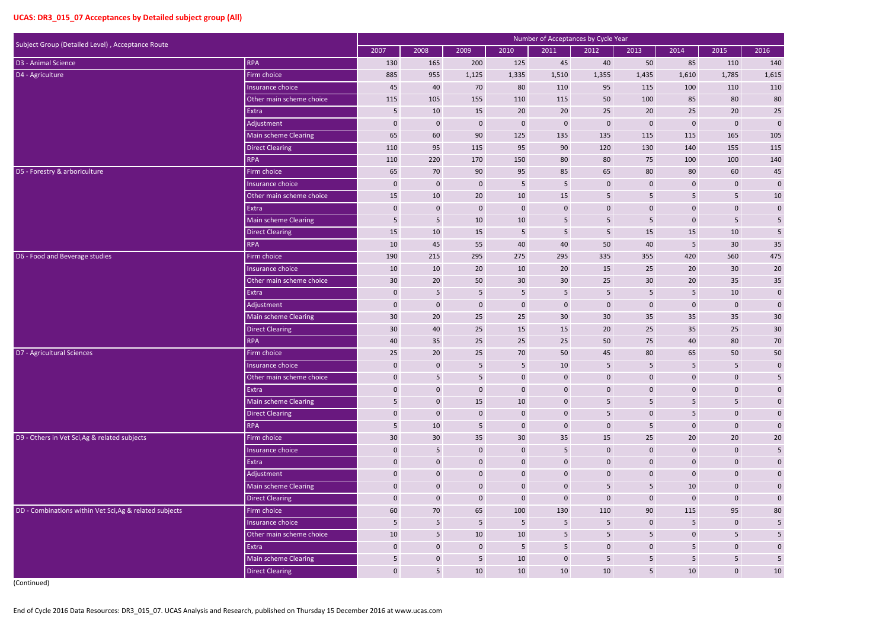| Subject Group (Detailed Level), Acceptance Route        |                             |                  |                  |                |                  | Number of Acceptances by Cycle Year |                  |                  |                 |                         |                         |
|---------------------------------------------------------|-----------------------------|------------------|------------------|----------------|------------------|-------------------------------------|------------------|------------------|-----------------|-------------------------|-------------------------|
| <b>RPA</b>                                              |                             | 2007             | 2008             | 2009           | 2010             | 2011                                | 2012             | 2013             | 2014            | 2015                    | 2016                    |
| D3 - Animal Science                                     |                             | 130              | 165              | 200            | 125              | 45                                  | 40               | 50               | 85              | 110                     | 140                     |
| D4 - Agriculture                                        | Firm choice                 | 885              | 955              | 1,125          | 1,335            | 1,510                               | 1,355            | 1,435            | 1,610           | 1,785                   | 1,615                   |
|                                                         | Insurance choice            | 45               | 40               | 70             | 80               | 110                                 | 95               | 115              | 100             | 110                     | 110                     |
|                                                         | Other main scheme choice    | 115              | 105              | 155            | 110              | 115                                 | 50               | 100              | 85              | 80                      | 80                      |
|                                                         | Extra                       | 5                | 10               | 15             | 20               | 20                                  | 25               | 20               | 25              | 20                      | $25\,$                  |
|                                                         | Adjustment                  | $\mathbf{0}$     | $\overline{0}$   | $\mathbf 0$    | $\boldsymbol{0}$ | $\bf{0}$                            | $\mathbf{0}$     | $\mathbf 0$      | $\mathbf 0$     | $\mathbf 0$             | $\boldsymbol{0}$        |
|                                                         | <b>Main scheme Clearing</b> | 65               | 60               | 90             | 125              | 135                                 | 135              | 115              | 115             | 165                     | 105                     |
|                                                         | <b>Direct Clearing</b>      | 110              | 95               | 115            | 95               | 90                                  | 120              | 130              | 140             | 155                     | 115                     |
|                                                         | <b>RPA</b>                  | 110              | 220              | 170            | 150              | 80                                  | 80               | 75               | 100             | 100                     | 140                     |
| D5 - Forestry & arboriculture                           | Firm choice                 | 65               | 70               | 90             | 95               | 85                                  | 65               | 80               | 80              | 60                      | $45\,$                  |
|                                                         | Insurance choice            | $\mathbf{0}$     | $\mathbf 0$      | $\mathbf{0}$   | $5\phantom{.}$   | 5                                   | $\mathbf{0}$     | $\mathbf 0$      | $\pmb{0}$       | $\mathbf 0$             | $\pmb{0}$               |
|                                                         | Other main scheme choice    | 15               | 10               | 20             | 10               | 15                                  | 5                | 5                | 5 <sub>5</sub>  | $5\phantom{.}$          | $10\,$                  |
|                                                         | Extra                       | $\mathbf 0$      | $\pmb{0}$        | $\mathbf{0}$   | $\boldsymbol{0}$ | $\pmb{0}$                           | $\pmb{0}$        | $\boldsymbol{0}$ | $\mathbf{0}$    | $\mathbf 0$             | $\pmb{0}$               |
|                                                         | <b>Main scheme Clearing</b> | $5\phantom{.0}$  | $5\phantom{.}$   | 10             | 10               | $5\phantom{.0}$                     | $5\phantom{.0}$  | 5                | $\mathbf 0$     | $5\phantom{.0}$         | $\overline{\mathbf{5}}$ |
|                                                         | <b>Direct Clearing</b>      | 15               | 10               | 15             | 5                | $\overline{5}$                      | 5                | 15               | 15              | 10                      | $\sqrt{5}$              |
|                                                         | <b>RPA</b>                  | 10               | 45               | 55             | 40               | 40                                  | 50               | 40               | $5\phantom{.0}$ | 30 <sup>°</sup>         | $35\,$                  |
| D6 - Food and Beverage studies                          | Firm choice                 | 190              | 215              | 295            | 275              | 295                                 | 335              | 355              | 420             | 560                     | 475                     |
|                                                         | Insurance choice            | 10               | 10               | 20             | 10               | 20                                  | 15               | 25               | 20              | 30 <sup>°</sup>         | 20                      |
|                                                         | Other main scheme choice    | 30               | 20               | 50             | 30               | $30\,$                              | 25               | 30               | 20              | 35                      | $35\,$                  |
|                                                         | Extra                       | $\pmb{0}$        | $\sqrt{5}$       | 5              | $5\phantom{.}$   | $\overline{5}$                      | 5                | 5                | 5 <sub>5</sub>  | 10                      | $\pmb{0}$               |
|                                                         | Adjustment                  | $\mathbf{0}$     | $\bf{0}$         | $\mathbf 0$    | $\mathbf 0$      | $\mathbf 0$                         | $\mathbf{0}$     | $\mathbf 0$      | $\mathbf 0$     | $\mathbf{0}$            | $\pmb{0}$               |
|                                                         | Main scheme Clearing        | 30               | 20               | 25             | 25               | 30                                  | 30               | 35               | 35              | 35                      | 30                      |
|                                                         | <b>Direct Clearing</b>      | 30               | 40               | 25             | 15               | 15                                  | 20               | 25               | 35              | 25                      | $30\,$                  |
|                                                         | <b>RPA</b>                  | 40               | 35               | 25             | 25               | 25                                  | 50               | 75               | 40              | 80                      | $70\,$                  |
| D7 - Agricultural Sciences                              | Firm choice                 | 25               | 20               | 25             | 70               | 50                                  | 45               | 80               | 65              | 50                      | 50                      |
|                                                         | Insurance choice            | $\mathbf 0$      | $\mathbf 0$      | 5              | 5                | 10                                  | 5                | 5                | 5               | 5                       | $\mathbf 0$             |
|                                                         | Other main scheme choice    | $\pmb{0}$        | $5\phantom{.}$   | $5\phantom{.}$ | $\mathbf 0$      | $\mathbf 0$                         | $\boldsymbol{0}$ | $\mathbf 0$      | $\mathbf 0$     | $\mathbf 0$             | 5                       |
|                                                         | Extra                       | $\boldsymbol{0}$ | $\mathbf 0$      | $\mathbf 0$    | $\mathbf 0$      | $\mathbf 0$                         | $\boldsymbol{0}$ | $\mathbf 0$      | $\mathbf 0$     | $\mathbf 0$             | $\pmb{0}$               |
|                                                         | Main scheme Clearing        | $5\phantom{.}$   | $\mathbf 0$      | 15             | 10               | $\mathbf 0$                         | $5\phantom{.0}$  | 5                | $5\phantom{.0}$ | $5\phantom{.0}$         | $\pmb{0}$               |
|                                                         | <b>Direct Clearing</b>      | $\mathbf 0$      | $\mathbf 0$      | $\mathbf 0$    | $\mathbf 0$      | $\mathbf 0$                         | $\sqrt{5}$       | $\mathbf 0$      | 5               | $\mathbf 0$             | $\pmb{0}$               |
|                                                         | <b>RPA</b>                  | $5\phantom{.}$   | 10               | 5              | $\boldsymbol{0}$ | $\mathbf 0$                         | $\bf 0$          | 5 <sup>5</sup>   | $\mathbf 0$     | $\mathbf 0$             | $\pmb{0}$               |
| D9 - Others in Vet Sci, Ag & related subjects           | Firm choice                 | 30               | 30               | 35             | 30               | 35                                  | 15               | 25               | 20              | 20                      | $20\,$                  |
|                                                         | Insurance choice            | $\pmb{0}$        | $5\phantom{.0}$  | $\mathbf 0$    | $\mathbf 0$      | $\sqrt{5}$                          | $\boldsymbol{0}$ | $\mathbf 0$      | $\mathbf{0}$    | $\mathbf 0$             | $\overline{\mathbf{5}}$ |
|                                                         | Extra                       | $\mathbf 0$      | $\mathbf 0$      | $\mathbf 0$    | $\mathbf 0$      | $\pmb{0}$                           | $\boldsymbol{0}$ | $\mathbf 0$      | $\mathbf 0$     | $\mathbf 0$             | $\boldsymbol{0}$        |
|                                                         | Adjustment                  | $\mathbf{0}$     | $\mathbf 0$      | $\mathbf{0}$   | $\overline{0}$   | $\mathbf 0$                         | $\mathbf 0$      | $\mathbf 0$      | $\mathbf 0$     | $\mathbf 0$             | $\pmb{0}$               |
|                                                         | Main scheme Clearing        | $\mathbf{0}$     | $\mathbf 0$      | $\mathbf 0$    | $\mathbf 0$      | $\mathbf 0$                         | 5                | 5                | 10              | $\mathbf 0$             | $\pmb{0}$               |
|                                                         | <b>Direct Clearing</b>      | $\boldsymbol{0}$ | $\boldsymbol{0}$ | $\bf 0$        | $\pmb{0}$        | $\pmb{0}$                           | $\pmb{0}$        | $\mathbf 0$      | $\mathbf 0$     | $\mathbf 0$             | $\pmb{0}$               |
| DD - Combinations within Vet Sci, Ag & related subjects | Firm choice                 | 60               | 70               | 65             | 100              | 130                                 | 110              | 90               | 115             | 95                      | $80\,$                  |
|                                                         | Insurance choice            | $5\phantom{.}$   | $5\phantom{.}$   | $5\phantom{.}$ | $5\phantom{.0}$  | $5\phantom{.}$                      | $5\phantom{.0}$  | $\mathbf 0$      | 5 <sub>1</sub>  | $\mathbf 0$             | $\sqrt{5}$              |
|                                                         | Other main scheme choice    | 10               | $5\phantom{.}$   | 10             | 10               | 5                                   | $\overline{5}$   | 5                | $\pmb{0}$       | $\overline{\mathbf{5}}$ | 5 <sub>5</sub>          |
|                                                         | Extra                       | $\boldsymbol{0}$ | $\boldsymbol{0}$ | $\bf 0$        | $5\phantom{.}$   | 5                                   | $\bf 0$          | $\mathbf 0$      | 5               | $\mathbf 0$             | $\pmb{0}$               |
|                                                         | Main scheme Clearing        | $5\phantom{.}$   | $\boldsymbol{0}$ | $5\phantom{.}$ | 10               | $\mathbf 0$                         | 5                | 5 <sup>5</sup>   | 5 <sub>1</sub>  | $5\phantom{.}$          | $\sqrt{5}$              |
|                                                         | <b>Direct Clearing</b>      | $\pmb{0}$        | 5 <sub>5</sub>   | 10             | 10               | 10                                  | $10\,$           | 5 <sup>5</sup>   | 10              | $\mathbf 0$             | 10                      |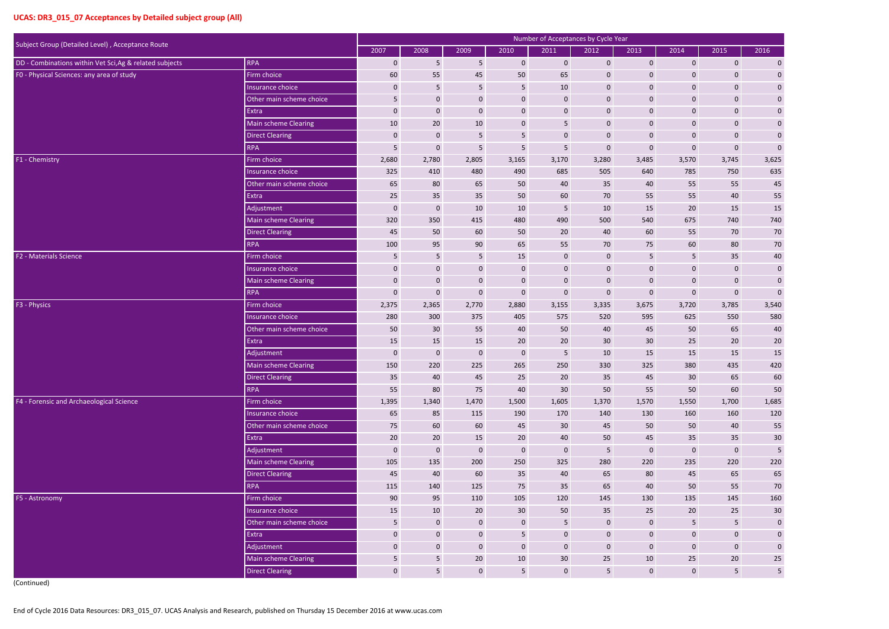|                                                                |                          |              |                  |                  |                  | Number of Acceptances by Cycle Year |                  |                  |                 |                  |                         |
|----------------------------------------------------------------|--------------------------|--------------|------------------|------------------|------------------|-------------------------------------|------------------|------------------|-----------------|------------------|-------------------------|
| Subject Group (Detailed Level), Acceptance Route<br><b>RPA</b> |                          | 2007         | 2008             | 2009             | 2010             | 2011                                | 2012             | 2013             | 2014            | 2015             | 2016                    |
| DD - Combinations within Vet Sci, Ag & related subjects        |                          | $\mathbf 0$  | 5                | 5                | $\mathbf 0$      | $\mathbf 0$                         | $\mathbf 0$      | $\mathbf{0}$     | $\mathbf{0}$    | $\mathbf 0$      | $\boldsymbol{0}$        |
| FO - Physical Sciences: any area of study                      | Firm choice              | 60           | 55               | 45               | 50               | 65                                  | $\mathbf 0$      | $\mathbf 0$      | 0               | $\mathbf 0$      | $\boldsymbol{0}$        |
|                                                                | Insurance choice         | 0            | 5                | 5                | $\sqrt{5}$       | 10                                  | $\mathbf 0$      | $\mathbf 0$      | $\mathbf 0$     | $\mathbf{0}$     | $\pmb{0}$               |
|                                                                | Other main scheme choice | 5            | $\mathbf 0$      | $\mathbf 0$      | $\mathbf 0$      | $\mathbf 0$                         | $\mathbf 0$      | $\mathbf{0}$     | $\pmb{0}$       | $\boldsymbol{0}$ | $\pmb{0}$               |
|                                                                | Extra                    | $\mathbf 0$  | $\mathbf 0$      | $\mathbf 0$      | $\boldsymbol{0}$ | $\mathbf 0$                         | $\mathbf 0$      | $\mathbf 0$      | $\mathbf 0$     | $\mathbf 0$      | $\pmb{0}$               |
|                                                                | Main scheme Clearing     | 10           | 20               | 10               | $\mathbf 0$      | 5                                   | $\mathbf 0$      | $\mathbf 0$      | $\mathbf 0$     | $\mathbf{0}$     | $\pmb{0}$               |
|                                                                | <b>Direct Clearing</b>   | 0            | $\mathbf 0$      | 5                | 5                | $\mathbf 0$                         | $\mathbf 0$      | $\mathbf 0$      | $\mathbf 0$     | $\mathbf 0$      | $\mathbf 0$             |
|                                                                | <b>RPA</b>               | 5            | $\mathbf 0$      | 5                | 5                | 5                                   | $\mathbf 0$      | $\mathbf 0$      | $\mathbf 0$     | $\mathbf 0$      | $\pmb{0}$               |
| F1 - Chemistry                                                 | Firm choice              | 2,680        | 2,780            | 2,805            | 3,165            | 3,170                               | 3,280            | 3,485            | 3,570           | 3,745            | 3,625                   |
|                                                                | Insurance choice         | 325          | 410              | 480              | 490              | 685                                 | 505              | 640              | 785             | 750              | 635                     |
|                                                                | Other main scheme choice | 65           | 80               | 65               | 50               | 40                                  | 35               | 40               | 55              | 55               | 45                      |
|                                                                | Extra                    | 25           | 35               | 35               | 50               | 60                                  | 70               | 55               | 55              | 40               | 55                      |
|                                                                | Adjustment               | 0            | $\mathbf 0$      | 10               | 10               | $5\phantom{.}$                      | 10               | 15               | 20              | 15               | 15                      |
|                                                                | Main scheme Clearing     | 320          | 350              | 415              | 480              | 490                                 | 500              | 540              | 675             | 740              | 740                     |
|                                                                | <b>Direct Clearing</b>   | 45           | 50               | 60               | 50               | 20                                  | 40               | 60               | 55              | 70               | $70\,$                  |
|                                                                | <b>RPA</b>               | 100          | 95               | 90               | 65               | 55                                  | 70               | 75               | 60              | 80               | $70\,$                  |
| F2 - Materials Science                                         | Firm choice              | 5            | $\overline{5}$   | $5\phantom{.0}$  | 15               | $\mathbf 0$                         | $\mathbf 0$      | 5                | $5\phantom{.}$  | 35               | $40\,$                  |
|                                                                | Insurance choice         | 0            | $\mathbf 0$      | $\mathbf 0$      | $\mathbf 0$      | $\mathbf 0$                         | $\mathbf 0$      | $\mathbf 0$      | $\mathbf 0$     | $\mathbf{0}$     | $\boldsymbol{0}$        |
|                                                                | Main scheme Clearing     | 0            | $\mathbf 0$      | $\mathbf 0$      | $\mathbf 0$      | $\mathbf 0$                         | $\mathbf 0$      | $\mathbf 0$      | $\mathbf 0$     | $\mathbf 0$      | $\mathbf 0$             |
|                                                                | <b>RPA</b>               | 0            | $\mathbf 0$      | $\pmb{0}$        | $\pmb{0}$        | $\pmb{0}$                           | $\mathbf 0$      | $\mathbf 0$      | $\mathbf 0$     | $\mathbf 0$      | $\mathbf 0$             |
| F3 - Physics                                                   | Firm choice              | 2,375        | 2,365            | 2,770            | 2,880            | 3,155                               | 3,335            | 3,675            | 3,720           | 3,785            | 3,540                   |
|                                                                | Insurance choice         | 280          | 300              | 375              | 405              | 575                                 | 520              | 595              | 625             | 550              | 580                     |
|                                                                | Other main scheme choice | 50           | 30               | 55               | 40               | 50                                  | 40               | 45               | 50              | 65               | 40                      |
|                                                                | Extra                    | 15           | 15               | 15               | 20               | 20                                  | 30               | 30               | 25              | 20               | 20                      |
|                                                                | Adjustment               | 0            | $\mathbf{0}$     | $\mathbf 0$      | $\boldsymbol{0}$ | $5\phantom{.}$                      | 10               | 15               | 15              | 15               | 15                      |
|                                                                | Main scheme Clearing     | 150          | 220              | 225              | 265              | 250                                 | 330              | 325              | 380             | 435              | 420                     |
|                                                                | Direct Clearing          | 35           | 40               | 45               | 25               | $20\overline{ }$                    | 35               | 45               | 30 <sup>°</sup> | 65               | 60                      |
|                                                                | RPA                      | 55           | 80               | 75               | 40               | 30 <sup>°</sup>                     | 50               | 55               | 50              | 60               | 50                      |
| F4 - Forensic and Archaeological Science                       | Firm choice              | 1,395        | 1,340            | 1,470            | 1,500            | 1,605                               | 1,370            | 1,570            | 1,550           | 1,700            | 1,685                   |
|                                                                | Insurance choice         | 65           | 85               | 115              | 190              | 170                                 | 140              | 130              | 160             | 160              | 120                     |
|                                                                | Other main scheme choice | 75           | 60               | 60               | 45               | 30 <sup>°</sup>                     | 45               | 50               | 50              | 40               | 55                      |
|                                                                | Extra                    | 20           | 20               | 15               | 20               | 40                                  | 50               | 45               | 35              | 35               | $30\,$                  |
|                                                                | Adjustment               | $\mathbf 0$  | $\pmb{0}$        | $\boldsymbol{0}$ | $\mathbf 0$      | $\pmb{0}$                           | 5                | $\boldsymbol{0}$ | $\mathbf 0$     | $\mathbf 0$      | $5\phantom{a}$          |
|                                                                | Main scheme Clearing     | 105          | 135              | 200              | 250              | 325                                 | 280              | 220              | 235             | 220              | 220                     |
|                                                                | Direct Clearing          | 45           | 40               | 60               | 35               | 40                                  | 65               | 80               | 45              | 65               | 65                      |
|                                                                | RPA                      | 115          | 140              | 125              | 75               | 35                                  | 65               | 40               | 50              | 55               | $70\,$                  |
| F5 - Astronomy                                                 | Firm choice              | 90           | 95               | 110              | 105              | 120                                 | 145              | 130              | 135             | 145              | 160                     |
|                                                                | Insurance choice         | 15           | 10               | 20               | 30 <sup>°</sup>  | 50                                  | 35               | 25               | $20\degree$     | 25               | $30\,$                  |
|                                                                | Other main scheme choice | 5            | $\boldsymbol{0}$ | $\boldsymbol{0}$ | $\mathbf{0}$     | $\overline{5}$                      | $\mathbf 0$      | $\mathbf{0}$     | $5\phantom{.}$  | $5\phantom{.}$   | $\pmb{0}$               |
|                                                                | Extra                    | $\mathbf 0$  | $\mathbf 0$      | $\mathbf 0$      | $5\phantom{.0}$  | $\pmb{0}$                           | $\mathbf 0$      | $\mathbf{0}$     | $\mathbf 0$     | $\mathbf 0$      | $\mathbf 0$             |
|                                                                | Adjustment               | $\mathbf 0$  | $\boldsymbol{0}$ | $\boldsymbol{0}$ | $\mathbf 0$      | $\mathbf 0$                         | $\boldsymbol{0}$ | $\mathbf{0}$     | $\mathbf 0$     | $\mathbf 0$      | $\pmb{0}$               |
|                                                                | Main scheme Clearing     | 5            | $5\phantom{.}$   | 20               | 10               | 30                                  | 25               | 10               | 25              | 20               | $25\,$                  |
|                                                                | Direct Clearing          | $\mathbf{0}$ | $5\overline{)}$  | $\boldsymbol{0}$ | $5\overline{)}$  | $\pmb{0}$                           | 5                | $\mathbf{0}$     | $\mathbf 0$     | $5\phantom{.}$   | $\overline{\mathbf{5}}$ |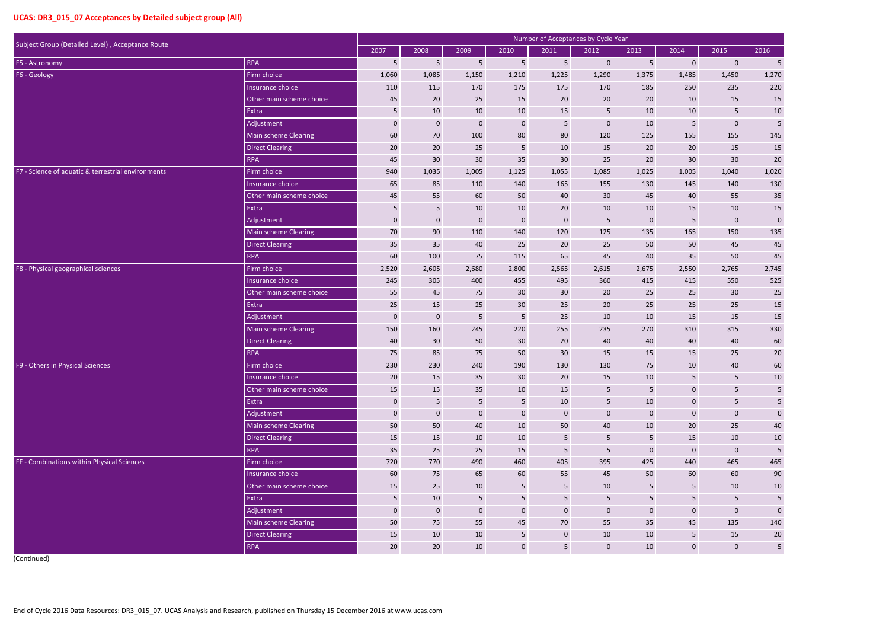|                                                    |                             |                  |                  |                  |                 |                 | Number of Acceptances by Cycle Year |                  |                |                 |                 |
|----------------------------------------------------|-----------------------------|------------------|------------------|------------------|-----------------|-----------------|-------------------------------------|------------------|----------------|-----------------|-----------------|
| Subject Group (Detailed Level), Acceptance Route   |                             | 2007             | 2008             | 2009             | 2010            | 2011            | 2012                                | 2013             | 2014           | 2015            | 2016            |
| F5 - Astronomy                                     | <b>RPA</b>                  | 5                | 5                | 5                | $5\phantom{.}$  | $\overline{5}$  | $\overline{0}$                      | $5\phantom{.}$   | $\mathbf 0$    | $\mathbf 0$     | $5\phantom{.0}$ |
| F6 - Geology                                       | Firm choice                 | 1,060            | 1,085            | 1,150            | 1,210           | 1,225           | 1,290                               | 1,375            | 1,485          | 1,450           | 1,270           |
|                                                    | Insurance choice            | 110              | 115              | 170              | 175             | 175             | 170                                 | 185              | 250            | 235             | 220             |
|                                                    | Other main scheme choice    | 45               | 20               | 25               | 15              | 20              | 20                                  | 20               | 10             | 15              | 15              |
|                                                    | Extra                       | 5                | 10               | 10               | 10              | 15              | 5                                   | 10               | 10             | $\overline{5}$  | 10              |
|                                                    | Adjustment                  | $\boldsymbol{0}$ | $\boldsymbol{0}$ | $\boldsymbol{0}$ | $\bf 0$         | $\overline{5}$  | $\mathbf 0$                         | 10               | 5              | $\pmb{0}$       | 5               |
|                                                    | <b>Main scheme Clearing</b> | 60               | 70               | 100              | 80              | 80              | 120                                 | 125              | 155            | 155             | 145             |
|                                                    | <b>Direct Clearing</b>      | 20               | 20               | 25               | $5\phantom{.0}$ | 10              | 15                                  | 20               | 20             | 15              | 15              |
|                                                    | <b>RPA</b>                  | 45               | 30               | 30               | 35              | 30              | 25                                  | 20               | 30             | 30              | $20\,$          |
| F7 - Science of aquatic & terrestrial environments | Firm choice                 | 940              | 1,035            | 1,005            | 1,125           | 1,055           | 1,085                               | 1,025            | 1,005          | 1,040           | 1,020           |
|                                                    | Insurance choice            | 65               | 85               | 110              | 140             | 165             | 155                                 | 130              | 145            | 140             | 130             |
|                                                    | Other main scheme choice    | 45               | 55               | 60               | 50              | 40              | 30                                  | 45               | 40             | 55              | $35\,$          |
|                                                    | Extra                       | 5                | $5\phantom{.}$   | 10               | 10              | 20              | 10                                  | 10               | 15             | 10              | 15              |
|                                                    | Adjustment                  | $\pmb{0}$        | $\boldsymbol{0}$ | $\pmb{0}$        | $\pmb{0}$       | $\mathbf 0$     | $5\phantom{.}$                      | $\mathbf{0}$     | 5              | $\pmb{0}$       | $\pmb{0}$       |
|                                                    | Main scheme Clearing        | 70               | 90               | 110              | 140             | 120             | 125                                 | 135              | 165            | 150             | 135             |
|                                                    | <b>Direct Clearing</b>      | 35               | 35               | 40               | 25              | 20              | 25                                  | 50               | 50             | 45              | 45              |
|                                                    | <b>RPA</b>                  | 60               | 100              | 75               | 115             | 65              | 45                                  | 40               | 35             | 50              | 45              |
| F8 - Physical geographical sciences                | Firm choice                 | 2,520            | 2,605            | 2,680            | 2,800           | 2,565           | 2,615                               | 2,675            | 2,550          | 2,765           | 2,745           |
|                                                    | Insurance choice            | 245              | 305              | 400              | 455             | 495             | 360                                 | 415              | 415            | 550             | 525             |
|                                                    | Other main scheme choice    | 55               | 45               | 75               | 30              | 30              | 20                                  | 25               | 25             | $30\,$          | $25\,$          |
|                                                    | Extra                       | 25               | 15               | 25               | 30              | 25              | 20                                  | 25               | 25             | 25              | 15              |
|                                                    | Adjustment                  | $\mathbf 0$      | $\boldsymbol{0}$ | 5                | 5               | 25              | 10                                  | 10               | 15             | 15              | $15\,$          |
|                                                    | Main scheme Clearing        | 150              | 160              | 245              | 220             | 255             | 235                                 | 270              | 310            | 315             | 330             |
|                                                    | <b>Direct Clearing</b>      | 40               | 30               | 50               | 30              | 20              | 40                                  | 40               | 40             | 40              | 60              |
|                                                    | <b>RPA</b>                  | 75               | 85               | 75               | 50              | 30              | 15                                  | 15               | 15             | 25              | $20\,$          |
| F9 - Others in Physical Sciences                   | Firm choice                 | 230              | 230              | 240              | 190             | 130             | 130                                 | 75               | 10             | 40              | 60              |
|                                                    | Insurance choice            | 20               | 15               | 35               | 30 <sup>°</sup> | 20              | 15                                  | 10               | 5              | 5               | 10              |
|                                                    | Other main scheme choice    | 15               | 15               | 35               | 10              | 15              | $5\phantom{.}$                      | 5 <sub>5</sub>   | $\overline{0}$ | $\overline{5}$  | $5\phantom{.}$  |
|                                                    | Extra                       | $\mathbf 0$      | $5\phantom{.}$   | $5\phantom{.}$   | $5\overline{)}$ | 10              | $5\phantom{.}$                      | 10               | $\mathbf 0$    | $5\phantom{.0}$ | $5\phantom{.0}$ |
|                                                    | Adjustment                  | $\pmb{0}$        | $\mathbf 0$      | $\pmb{0}$        | $\pmb{0}$       | $\mathbf 0$     | $\mathbf 0$                         | $\mathbf 0$      | $\mathbf 0$    | $\pmb{0}$       | $\mathbf 0$     |
|                                                    | Main scheme Clearing        | 50               | 50               | 40               | 10              | 50              | 40                                  | 10               | 20             | 25              | $40\,$          |
|                                                    | <b>Direct Clearing</b>      | 15               | 15               | 10               | 10              | $5\phantom{.0}$ | $5\phantom{.}$                      | 5                | 15             | 10              | $10\,$          |
|                                                    | <b>RPA</b>                  | 35               | 25               | 25               | 15              | 5               | $5\phantom{.0}$                     | $\boldsymbol{0}$ | $\mathbf 0$    | $\pmb{0}$       | $\overline{5}$  |
| FF - Combinations within Physical Sciences         | Firm choice                 | 720              | 770              | 490              | 460             | 405             | 395                                 | 425              | 440            | 465             | 465             |
|                                                    | Insurance choice            | 60               | 75               | 65               | 60              | 55              | 45                                  | 50               | 60             | 60              | 90              |
|                                                    | Other main scheme choice    | 15               | 25               | $10\,$           | $5\phantom{.0}$ | $\sqrt{5}$      | 10                                  | $5\phantom{.}$   | 5              | $10\,$          | 10              |
|                                                    | Extra                       | 5                | 10               | 5                | 5               | $\sqrt{5}$      | $5\phantom{.0}$                     | $5\phantom{.0}$  | 5              | $\sqrt{5}$      | 5               |
|                                                    | Adjustment                  | $\boldsymbol{0}$ | $\mathbf 0$      | $\pmb{0}$        | $\mathbf 0$     | $\pmb{0}$       | $\mathbf 0$                         | $\mathbf 0$      | $\pmb{0}$      | $\pmb{0}$       | $\mathbf 0$     |
|                                                    | Main scheme Clearing        | 50               | 75               | 55               | 45              | 70              | 55                                  | 35               | 45             | 135             | 140             |
|                                                    | <b>Direct Clearing</b>      | 15               | 10               | 10               | $5\phantom{.0}$ | $\mathbf 0$     | 10                                  | 10               | 5              | 15              | $20\,$          |
|                                                    | <b>RPA</b>                  | 20               | 20               | 10               | $\mathbf 0$     | $5\phantom{.0}$ | $\mathbf 0$                         | 10               | $\overline{0}$ | $\mathbf 0$     | $5\phantom{.0}$ |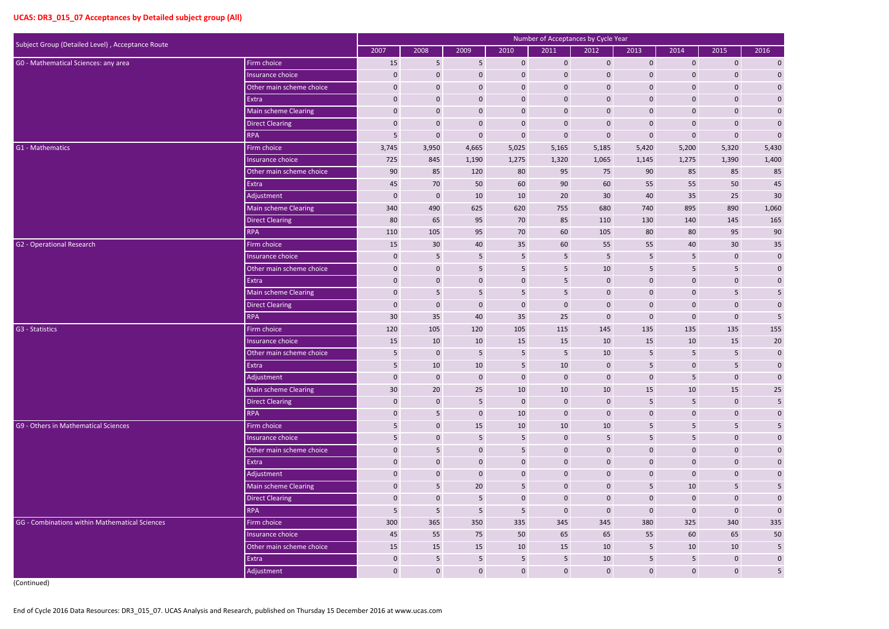|                                                  |                             |                 |                  |                 |                 | Number of Acceptances by Cycle Year |                |                 |                  |                 |                         |
|--------------------------------------------------|-----------------------------|-----------------|------------------|-----------------|-----------------|-------------------------------------|----------------|-----------------|------------------|-----------------|-------------------------|
| Subject Group (Detailed Level), Acceptance Route |                             | 2007            | 2008             | 2009            | 2010            | 2011                                | 2012           | 2013            | 2014             | 2015            | 2016                    |
| GO - Mathematical Sciences: any area             | Firm choice                 | 15              | 5                | 5               | $\mathbf{0}$    | $\mathbf 0$                         | $\mathbf 0$    | $\mathbf 0$     | $\mathbf{0}$     | $\mathbf{0}$    | $\boldsymbol{0}$        |
|                                                  | Insurance choice            | $\mathbf 0$     | $\mathbf{0}$     | $\mathbf 0$     | $\mathbf 0$     | $\mathbf 0$                         | $\mathbf 0$    | $\mathbf 0$     | $\boldsymbol{0}$ | $\mathbf{0}$    | $\pmb{0}$               |
|                                                  | Other main scheme choice    | $\mathbf 0$     | $\mathbf 0$      | $\mathbf 0$     | $\mathbf 0$     | $\mathbf 0$                         | $\mathbf 0$    | $\mathbf 0$     | $\mathbf 0$      | $\mathbf{0}$    | $\pmb{0}$               |
|                                                  | Extra                       | $\mathbf 0$     | $\mathbf 0$      | $\mathbf 0$     | $\mathbf 0$     | $\mathbf 0$                         | $\mathbf 0$    | $\mathbf 0$     | $\mathbf 0$      | $\mathbf 0$     | $\pmb{0}$               |
|                                                  | Main scheme Clearing        | $\mathbf 0$     | $\mathbf 0$      | $\mathbf 0$     | $\mathbf 0$     | $\boldsymbol{0}$                    | $\mathbf 0$    | $\mathbf 0$     | $\mathbf{0}$     | $\mathbf 0$     | $\pmb{0}$               |
|                                                  | <b>Direct Clearing</b>      | $\mathbf 0$     | $\mathbf 0$      | $\mathbf 0$     | $\mathbf 0$     | $\mathbf 0$                         | $\mathbf 0$    | $\mathbf 0$     | $\mathbf 0$      | $\mathbf{0}$    | $\pmb{0}$               |
|                                                  | <b>RPA</b>                  | 5               | $\boldsymbol{0}$ | $\mathbf 0$     | $\pmb{0}$       | $\boldsymbol{0}$                    | $\mathbf 0$    | $\mathbf 0$     | $\mathbf 0$      | $\mathbf 0$     | $\mathbf 0$             |
| G1 - Mathematics                                 | Firm choice                 | 3,745           | 3,950            | 4,665           | 5,025           | 5,165                               | 5,185          | 5,420           | 5,200            | 5,320           | 5,430                   |
|                                                  | Insurance choice            | 725             | 845              | 1,190           | 1,275           | 1,320                               | 1,065          | 1,145           | 1,275            | 1,390           | 1,400                   |
|                                                  | Other main scheme choice    | 90              | 85               | 120             | 80              | 95                                  | 75             | 90              | 85               | 85              | 85                      |
|                                                  | Extra                       | 45              | 70               | 50              | 60              | 90                                  | 60             | 55              | 55               | 50              | $45\,$                  |
|                                                  | Adjustment                  | $\mathbf 0$     | $\mathbf 0$      | 10              | 10              | 20                                  | 30             | 40              | 35               | 25              | 30                      |
|                                                  | <b>Main scheme Clearing</b> | 340             | 490              | 625             | 620             | 755                                 | 680            | 740             | 895              | 890             | 1,060                   |
|                                                  | <b>Direct Clearing</b>      | 80              | 65               | 95              | 70              | 85                                  | 110            | 130             | 140              | 145             | 165                     |
|                                                  | <b>RPA</b>                  | 110             | 105              | 95              | 70              | 60                                  | 105            | 80              | 80               | 95              | 90                      |
| <b>G2</b> - Operational Research                 | Firm choice                 | 15              | 30               | 40              | 35              | 60                                  | 55             | 55              | 40               | 30 <sup>°</sup> | $35\,$                  |
|                                                  | Insurance choice            | $\mathbf 0$     | $\overline{5}$   | 5               | $5\phantom{.0}$ | 5                                   | 5              | 5               | 5                | $\mathbf 0$     | $\pmb{0}$               |
|                                                  | Other main scheme choice    | $\mathbf 0$     | $\mathbf 0$      | 5               | $5\phantom{.}$  | 5                                   | 10             | 5               | 5 <sub>5</sub>   | $5\phantom{.}$  | $\pmb{0}$               |
|                                                  | Extra                       | $\mathbf 0$     | $\mathbf 0$      | $\mathbf 0$     | $\mathbf 0$     | 5                                   | $\mathbf 0$    | $\mathbf 0$     | $\mathbf 0$      | $\mathbf 0$     | $\pmb{0}$               |
|                                                  | <b>Main scheme Clearing</b> | $\mathbf 0$     | $5\phantom{.0}$  | $5\phantom{.0}$ | $5\phantom{.}$  | 5                                   | $\mathbf 0$    | $\mathbf 0$     | $\mathbf{0}$     | $5\phantom{.0}$ | $\sqrt{5}$              |
|                                                  | <b>Direct Clearing</b>      | $\mathbf 0$     | $\mathbf 0$      | $\mathbf 0$     | $\mathbf 0$     | $\mathbf 0$                         | $\mathbf 0$    | $\mathbf 0$     | $\mathbf 0$      | $\mathbf 0$     | $\mathbf 0$             |
|                                                  | <b>RPA</b>                  | 30 <sup>°</sup> | 35               | 40              | 35              | 25                                  | $\mathbf 0$    | $\mathbf 0$     | $\mathbf 0$      | $\mathbf 0$     | 5                       |
| G3 - Statistics                                  | Firm choice                 | 120             | 105              | 120             | 105             | 115                                 | 145            | 135             | 135              | 135             | 155                     |
|                                                  | Insurance choice            | 15              | 10               | 10              | 15              | 15                                  | 10             | 15              | 10               | 15              | 20                      |
|                                                  | Other main scheme choice    | 5               | $\mathbf 0$      | 5               | $5\phantom{.}$  | 5                                   | 10             | 5               | 5                | $\overline{5}$  | $\pmb{0}$               |
|                                                  | Extra                       | 5               | 10               | 10              | 5               | 10                                  | $\overline{0}$ | 5               | 0                | 5               | $\mathbf{0}$            |
|                                                  | Adjustment                  | $\mathbf{0}$    | $\mathbf 0$      | $\mathbf 0$     | $\mathbf{0}$    | $\mathbf 0$                         | $\mathbf 0$    | $\mathbf 0$     | 5 <sub>5</sub>   | $\mathbf 0$     | $\pmb{0}$               |
|                                                  | Main scheme Clearing        | 30              | 20               | 25              | 10              | 10                                  | 10             | 15              | 10               | 15              | $25\phantom{.0}$        |
|                                                  | <b>Direct Clearing</b>      | $\mathbf{0}$    | $\mathbf{0}$     | 5 <sub>5</sub>  | $\bf 0$         | $\mathbf 0$                         | $\mathbf 0$    | 5               | 5 <sub>5</sub>   | $\mathbf 0$     | $\overline{\mathbf{5}}$ |
|                                                  | <b>RPA</b>                  | $\mathbf 0$     | $5\phantom{.0}$  | $\mathbf 0$     | 10              | $\pmb{0}$                           | $\mathbf 0$    | $\pmb{0}$       | $\mathbf{0}$     | $\mathbf 0$     | $\pmb{0}$               |
| G9 - Others in Mathematical Sciences             | Firm choice                 | $5\phantom{.}$  | $\mathbf 0$      | 15              | 10              | 10                                  | 10             | 5               | 5                | $5\phantom{.0}$ | $\overline{\mathbf{5}}$ |
|                                                  | Insurance choice            | 5               | $\mathbf 0$      | 5 <sub>5</sub>  | $5\phantom{.}$  | $\mathbf 0$                         | 5              | 5               | 5 <sub>5</sub>   | $\mathbf 0$     | $\pmb{0}$               |
|                                                  | Other main scheme choice    | $\mathbf 0$     | $5\phantom{.0}$  | $\mathbf 0$     | $5\phantom{.}$  | $\mathbf 0$                         | $\mathbf 0$    | $\mathbf{0}$    | $\mathbf{0}$     | $\mathbf 0$     | $\boldsymbol{0}$        |
|                                                  | Extra                       | $\mathbf 0$     | $\boldsymbol{0}$ | $\mathbf 0$     | $\mathbf 0$     | $\boldsymbol{0}$                    | $\mathbf 0$    | $\mathbf 0$     | $\mathbf 0$      | $\mathbf 0$     | $\boldsymbol{0}$        |
|                                                  | Adjustment                  | $\mathbf 0$     | $\mathbf{0}$     | $\mathbf{0}$    | $\mathbf{0}$    | $\mathbf 0$                         | $\mathbf 0$    | $\mathbf{0}$    | $\mathbf 0$      | $\mathbf 0$     | $\pmb{0}$               |
|                                                  | Main scheme Clearing        | $\mathbf 0$     | 5                | 20              | $5\phantom{.}$  | $\mathbf 0$                         | $\mathbf 0$    | 5               | 10               | 5               | $\overline{5}$          |
|                                                  | <b>Direct Clearing</b>      | $\mathbf 0$     | $\mathbf 0$      | 5 <sub>5</sub>  | $\mathbf 0$     | $\mathbf 0$                         | $\mathbf 0$    | $\mathbf 0$     | $\mathbf{0}$     | $\mathbf 0$     | $\pmb{0}$               |
|                                                  | <b>RPA</b>                  | $5\phantom{.}$  | $5\phantom{.0}$  | $5\phantom{.0}$ | $5\phantom{.}$  | $\mathbf 0$                         | $\mathbf{0}$   | $\mathbf 0$     | $\mathbf 0$      | $\mathbf 0$     | $\pmb{0}$               |
| GG - Combinations within Mathematical Sciences   | Firm choice                 | 300             | 365              | 350             | 335             | 345                                 | 345            | 380             | 325              | 340             | 335                     |
|                                                  | Insurance choice            | 45              | 55               | 75              | 50              | 65                                  | 65             | 55              | 60               | 65              | $50\,$                  |
|                                                  | Other main scheme choice    | 15              | 15               | 15              | 10              | 15                                  | 10             | $5\phantom{.0}$ | 10               | 10              | $5\phantom{.0}$         |
|                                                  | Extra                       | $\mathbf{0}$    | $5\phantom{.0}$  | 5 <sub>5</sub>  | $5\phantom{.0}$ | $5\phantom{.}$                      | 10             | 5               | $5\phantom{.}$   | $\mathbf 0$     | $\boldsymbol{0}$        |
|                                                  | Adjustment                  | $\mathbf{0}$    | $\overline{0}$   | $\mathbf{0}$    | $\mathbf 0$     | $\mathbf 0$                         | $\mathbf 0$    | $\mathbf{0}$    | $\mathbf{0}$     | $\mathbf{0}$    | $5\phantom{.0}$         |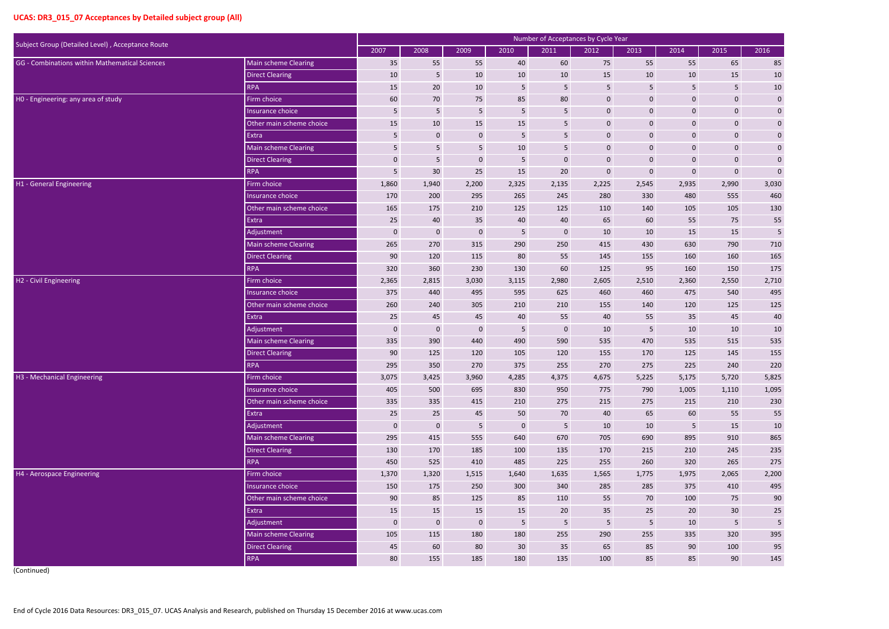|                                                  |                          |             |                         |                  |                 | Number of Acceptances by Cycle Year |                 |                |                  |                  |                 |
|--------------------------------------------------|--------------------------|-------------|-------------------------|------------------|-----------------|-------------------------------------|-----------------|----------------|------------------|------------------|-----------------|
| Subject Group (Detailed Level), Acceptance Route |                          | 2007        | 2008                    | 2009             | 2010            | 2011                                | 2012            | 2013           | 2014             | 2015             | 2016            |
| GG - Combinations within Mathematical Sciences   | Main scheme Clearing     | 35          | 55                      | 55               | 40              | 60                                  | 75              | 55             | 55               | 65               | 85              |
|                                                  | <b>Direct Clearing</b>   | 10          | $5\phantom{.0}$         | 10               | 10              | 10                                  | 15              | 10             | 10               | 15               | 10              |
|                                                  | <b>RPA</b>               | 15          | 20                      | 10               | $\sqrt{5}$      | 5                                   | 5               | 5              | 5                | 5 <sub>5</sub>   | $10\,$          |
| HO - Engineering: any area of study              | Firm choice              | 60          | 70                      | 75               | 85              | 80                                  | $\mathbf 0$     | $\mathbf 0$    | $\pmb{0}$        | $\mathbf 0$      | $\pmb{0}$       |
|                                                  | Insurance choice         | 5           | $\overline{\mathbf{5}}$ | 5                | 5               | 5                                   | $\mathbf 0$     | $\mathbf 0$    | $\pmb{0}$        | $\mathbf 0$      | $\pmb{0}$       |
|                                                  | Other main scheme choice | 15          | 10                      | 15               | 15              | 5                                   | $\pmb{0}$       | $\mathbf 0$    | $\pmb{0}$        | $\mathbf 0$      | $\pmb{0}$       |
|                                                  | Extra                    | 5           | $\mathbf 0$             | $\mathbf 0$      | 5               | 5                                   | $\mathbf 0$     | $\mathbf{0}$   | 0                | $\mathbf 0$      | $\mathbf 0$     |
|                                                  | Main scheme Clearing     | 5           | 5                       | 5                | 10              | 5                                   | $\mathbf 0$     | $\mathbf{0}$   | $\pmb{0}$        | $\mathbf 0$      | $\bf{0}$        |
|                                                  | <b>Direct Clearing</b>   | $\mathbf 0$ | 5                       | $\mathbf 0$      | 5               | $\bf{0}$                            | $\pmb{0}$       | $\mathbf 0$    | $\pmb{0}$        | $\boldsymbol{0}$ | $\pmb{0}$       |
|                                                  | <b>RPA</b>               | 5           | 30                      | 25               | 15              | 20                                  | $\mathbf 0$     | $\mathbf 0$    | $\pmb{0}$        | $\mathbf 0$      | $\mathbf 0$     |
| H1 - General Engineering                         | Firm choice              | 1,860       | 1,940                   | 2,200            | 2,325           | 2,135                               | 2,225           | 2,545          | 2,935            | 2,990            | 3,030           |
|                                                  | Insurance choice         | 170         | 200                     | 295              | 265             | 245                                 | 280             | 330            | 480              | 555              | 460             |
|                                                  | Other main scheme choice | 165         | 175                     | 210              | 125             | 125                                 | 110             | 140            | 105              | 105              | 130             |
|                                                  | Extra                    | 25          | 40                      | 35               | 40              | 40                                  | 65              | 60             | 55               | 75               | 55              |
|                                                  | Adjustment               | $\mathbf 0$ | $\mathbf 0$             | $\mathbf 0$      | 5               | $\mathbf 0$                         | 10              | 10             | 15               | 15               | $5\phantom{.0}$ |
|                                                  | Main scheme Clearing     | 265         | 270                     | 315              | 290             | 250                                 | 415             | 430            | 630              | 790              | 710             |
|                                                  | <b>Direct Clearing</b>   | 90          | 120                     | 115              | 80              | 55                                  | 145             | 155            | 160              | 160              | 165             |
|                                                  | <b>RPA</b>               | 320         | 360                     | 230              | 130             | 60                                  | 125             | 95             | 160              | 150              | 175             |
| H2 - Civil Engineering                           | Firm choice              | 2,365       | 2,815                   | 3,030            | 3,115           | 2,980                               | 2,605           | 2,510          | 2,360            | 2,550            | 2,710           |
|                                                  | Insurance choice         | 375         | 440                     | 495              | 595             | 625                                 | 460             | 460            | 475              | 540              | 495             |
|                                                  | Other main scheme choice | 260         | 240                     | 305              | 210             | 210                                 | 155             | 140            | 120              | 125              | 125             |
|                                                  | Extra                    | 25          | 45                      | 45               | 40              | 55                                  | 40              | 55             | 35               | 45               | 40              |
|                                                  | Adjustment               | $\mathbf 0$ | $\mathbf 0$             | $\mathbf 0$      | 5               | $\mathbf 0$                         | 10              | 5              | 10               | 10               | $10\,$          |
|                                                  | Main scheme Clearing     | 335         | 390                     | 440              | 490             | 590                                 | 535             | 470            | 535              | 515              | 535             |
|                                                  | <b>Direct Clearing</b>   | 90          | 125                     | 120              | 105             | 120                                 | 155             | 170            | 125              | 145              | 155             |
|                                                  | <b>RPA</b>               | 295         | 350                     | 270              | 375             | 255                                 | 270             | 275            | 225              | 240              | 220             |
| H3 - Mechanical Engineering                      | Firm choice              | 3,075       | 3,425                   | 3,960            | 4,285           | 4,375                               | 4,675           | 5,225          | 5,175            | 5,720            | 5,825           |
|                                                  | Insurance choice         | 405         | 500                     | 695              | 830             | 950                                 | 775             | 790            | 1,005            | 1,110            | 1,095           |
|                                                  | Other main scheme choice | 335         | 335                     | 415              | 210             | 275                                 | 215             | 275            | 215              | 210              | 230             |
|                                                  | Extra                    | 25          | 25                      | 45               | 50              | 70                                  | 40              | 65             | 60               | 55               | 55              |
|                                                  | Adjustment               | $\mathbf 0$ | $\boldsymbol{0}$        | $5\phantom{.0}$  | $\mathbf 0$     | $5\phantom{.}$                      | 10              | 10             | 5 <sub>5</sub>   | 15               | $10\,$          |
|                                                  | Main scheme Clearing     | 295         | 415                     | 555              | 640             | 670                                 | 705             | 690            | 895              | 910              | 865             |
|                                                  | <b>Direct Clearing</b>   | 130         | 170                     | 185              | 100             | 135                                 | 170             | 215            | 210              | 245              | 235             |
|                                                  | <b>RPA</b>               | 450         | 525                     | 410              | 485             | 225                                 | 255             | 260            | 320              | 265              | 275             |
| H4 - Aerospace Engineering                       | Firm choice              | 1,370       | 1,320                   | 1,515            | 1,640           | 1,635                               | 1,565           | 1,775          | 1,975            | 2,065            | 2,200           |
|                                                  | Insurance choice         | 150         | 175                     | 250              | 300             | 340                                 | 285             | 285            | 375              | 410              | 495             |
|                                                  | Other main scheme choice | 90          | 85                      | 125              | 85              | 110                                 | 55              | 70             | 100              | 75               | $90\,$          |
|                                                  | Extra                    | 15          | 15                      | 15               | 15              | 20                                  | 35              | 25             | $20\overline{ }$ | 30 <sup>°</sup>  | $25\,$          |
|                                                  | Adjustment               | $\mathbf 0$ | $\boldsymbol{0}$        | $\boldsymbol{0}$ | $5\phantom{.0}$ | $5\phantom{.}$                      | $5\phantom{.0}$ | $5\phantom{.}$ | 10               | 5                | $\sqrt{5}$      |
|                                                  | Main scheme Clearing     | 105         | 115                     | 180              | 180             | 255                                 | 290             | 255            | 335              | 320              | 395             |
|                                                  | <b>Direct Clearing</b>   | 45          | 60                      | 80               | 30 <sup>°</sup> | 35                                  | 65              | 85             | 90               | 100              | 95              |
|                                                  | <b>RPA</b>               | 80          | 155                     | 185              | 180             | 135                                 | 100             | 85             | 85               | 90               | 145             |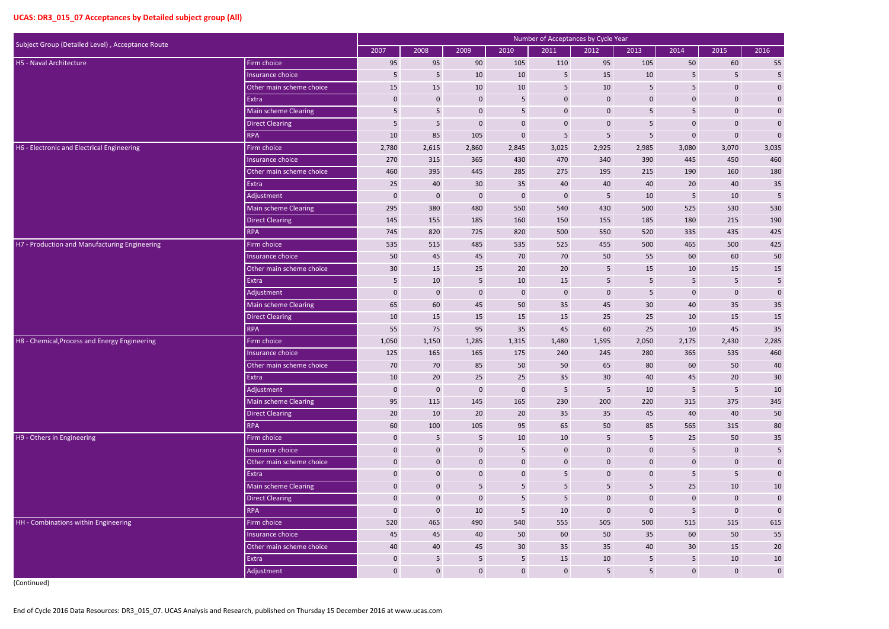| Subject Group (Detailed Level), Acceptance Route |                          |                  |                  |                  |                 | Number of Acceptances by Cycle Year |                         |                  |                 |                 |                |
|--------------------------------------------------|--------------------------|------------------|------------------|------------------|-----------------|-------------------------------------|-------------------------|------------------|-----------------|-----------------|----------------|
|                                                  |                          | 2007             | 2008             | 2009             | 2010            | 2011                                | 2012                    | 2013             | 2014            | 2015            | 2016           |
| H5 - Naval Architecture                          | Firm choice              | 95               | 95               | 90               | 105             | 110                                 | 95                      | 105              | 50              | 60              | 55             |
|                                                  | Insurance choice         | 5                | $5\phantom{.0}$  | 10               | 10              | 5                                   | 15                      | 10               | 5               | 5               | $\sqrt{5}$     |
|                                                  | Other main scheme choice | 15               | 15               | 10               | 10              | 5                                   | 10                      | 5                | 5               | $\mathbf 0$     | $\pmb{0}$      |
|                                                  | Extra                    | $\mathbf 0$      | $\mathbf 0$      | $\mathbf{0}$     | 5               | $\mathbf 0$                         | $\mathbf 0$             | $\mathbf 0$      | $\pmb{0}$       | $\mathbf 0$     | $\pmb{0}$      |
|                                                  | Main scheme Clearing     | 5                | $5\phantom{.}$   | $\mathbf 0$      | 5               | $\mathbf 0$                         | $\pmb{0}$               | 5                | 5               | $\mathbf 0$     | $\pmb{0}$      |
|                                                  | <b>Direct Clearing</b>   | 5                | $\overline{5}$   | $\mathbf 0$      | $\mathbf 0$     | $\bf{0}$                            | $\pmb{0}$               | 5                | $\pmb{0}$       | $\mathbf 0$     | $\pmb{0}$      |
|                                                  | <b>RPA</b>               | 10               | 85               | 105              | $\mathbf 0$     | 5                                   | 5                       | 5                | $\mathbf 0$     | $\mathbf 0$     | $\mathbf 0$    |
| H6 - Electronic and Electrical Engineering       | Firm choice              | 2,780            | 2,615            | 2,860            | 2,845           | 3,025                               | 2,925                   | 2,985            | 3,080           | 3,070           | 3,035          |
|                                                  | Insurance choice         | 270              | 315              | 365              | 430             | 470                                 | 340                     | 390              | 445             | 450             | 460            |
|                                                  | Other main scheme choice | 460              | 395              | 445              | 285             | 275                                 | 195                     | 215              | 190             | 160             | 180            |
|                                                  | Extra                    | 25               | 40               | 30               | 35              | 40                                  | 40                      | 40               | 20              | 40              | $35\,$         |
|                                                  | Adjustment               | $\mathbf{0}$     | $\mathbf 0$      | $\mathbf{0}$     | $\mathbf{0}$    | $\mathbf 0$                         | 5                       | 10               | 5               | 10              | $\sqrt{5}$     |
|                                                  | Main scheme Clearing     | 295              | 380              | 480              | 550             | 540                                 | 430                     | 500              | 525             | 530             | 530            |
|                                                  | <b>Direct Clearing</b>   | 145              | 155              | 185              | 160             | 150                                 | 155                     | 185              | 180             | 215             | 190            |
|                                                  | <b>RPA</b>               | 745              | 820              | 725              | 820             | 500                                 | 550                     | 520              | 335             | 435             | 425            |
| H7 - Production and Manufacturing Engineering    | Firm choice              | 535              | 515              | 485              | 535             | 525                                 | 455                     | 500              | 465             | 500             | 425            |
|                                                  | Insurance choice         | 50               | 45               | 45               | 70              | 70                                  | 50                      | 55               | 60              | 60              | 50             |
|                                                  | Other main scheme choice | 30               | 15               | 25               | 20              | 20                                  | 5                       | 15               | 10              | 15              | $15\,$         |
|                                                  | Extra                    | 5                | 10               | 5                | 10              | 15                                  | $\overline{\mathbf{5}}$ | 5                | $5\phantom{.0}$ | 5 <sub>5</sub>  | 5              |
|                                                  | Adjustment               | $\mathbf 0$      | $\mathbf 0$      | $\mathbf 0$      | $\mathbf 0$     | $\pmb{0}$                           | $\mathbf 0$             | 5                | $\pmb{0}$       | $\mathbf 0$     | $\pmb{0}$      |
|                                                  | Main scheme Clearing     | 65               | 60               | 45               | 50              | 35                                  | 45                      | 30               | 40              | 35              | $35\,$         |
|                                                  | <b>Direct Clearing</b>   | 10               | 15               | 15               | 15              | 15                                  | 25                      | 25               | 10              | 15              | 15             |
|                                                  | <b>RPA</b>               | 55               | 75               | 95               | 35              | 45                                  | 60                      | 25               | 10              | 45              | 35             |
| H8 - Chemical, Process and Energy Engineering    | Firm choice              | 1,050            | 1,150            | 1,285            | 1,315           | 1,480                               | 1,595                   | 2,050            | 2,175           | 2,430           | 2,285          |
|                                                  | Insurance choice         | 125              | 165              | 165              | 175             | 240                                 | 245                     | 280              | 365             | 535             | 460            |
|                                                  | Other main scheme choice | 70               | 70               | 85               | 50              | 50                                  | 65                      | 80               | 60              | 50              | 40             |
|                                                  | Extra                    | 10               | 20               | 25               | 25              | 35                                  | 30 <sup>°</sup>         | 40               | 45              | 20              | 30             |
|                                                  | Adjustment               | $\boldsymbol{0}$ | $\boldsymbol{0}$ | $\boldsymbol{0}$ | $\mathbf 0$     | $5\phantom{.}$                      | $5\phantom{.0}$         | 10               | 5 <sub>5</sub>  | $5\phantom{.}$  | $10\,$         |
|                                                  | Main scheme Clearing     | 95               | 115              | 145              | 165             | 230                                 | 200                     | 220              | 315             | 375             | 345            |
|                                                  | <b>Direct Clearing</b>   | 20               | 10               | 20               | 20              | 35                                  | 35                      | 45               | 40              | 40              | 50             |
|                                                  | <b>RPA</b>               | 60               | 100              | 105              | 95              | 65                                  | 50                      | 85               | 565             | 315             | $80\,$         |
| H9 - Others in Engineering                       | Firm choice              | $\mathbf{0}$     | 5 <sub>5</sub>   | $5\phantom{.}$   | 10              | 10                                  | $5\phantom{.}$          | 5                | 25              | 50              | 35             |
|                                                  | Insurance choice         | $\boldsymbol{0}$ | $\boldsymbol{0}$ | $\pmb{0}$        | $5\phantom{.}$  | $\mathbf 0$                         | $\mathbf 0$             | $\mathbf 0$      | 5 <sub>5</sub>  | $\mathbf 0$     | $\overline{5}$ |
|                                                  | Other main scheme choice | $\pmb{0}$        | $\mathbf 0$      | $\boldsymbol{0}$ | $\mathbf 0$     | $\boldsymbol{0}$                    | $\boldsymbol{0}$        | $\boldsymbol{0}$ | $\mathbf 0$     | $\mathbf 0$     | $\pmb{0}$      |
|                                                  | Extra                    | $\boldsymbol{0}$ | $\mathbf 0$      | $\pmb{0}$        | $\mathbf 0$     | $5\phantom{.}$                      | $\mathbf 0$             | $\mathbf 0$      | 5 <sub>1</sub>  | $5\phantom{.0}$ | $\pmb{0}$      |
|                                                  | Main scheme Clearing     | $\boldsymbol{0}$ | $\boldsymbol{0}$ | 5                | 5               | 5                                   | $\overline{5}$          | 5 <sup>5</sup>   | 25              | 10              | $10\,$         |
|                                                  | Direct Clearing          | $\boldsymbol{0}$ | $\mathbf 0$      | $\boldsymbol{0}$ | 5 <sub>1</sub>  | 5                                   | $\pmb{0}$               | $\mathbf{0}$     | $\pmb{0}$       | $\mathbf 0$     | $\pmb{0}$      |
|                                                  | <b>RPA</b>               | $\boldsymbol{0}$ | $\boldsymbol{0}$ | 10               | 5               | 10                                  | $\bf 0$                 | $\boldsymbol{0}$ | 5               | $\mathbf 0$     | $\pmb{0}$      |
| HH - Combinations within Engineering             | Firm choice              | 520              | 465              | 490              | 540             | 555                                 | 505                     | 500              | 515             | 515             | 615            |
|                                                  | Insurance choice         | 45               | 45               | 40               | 50              | 60                                  | 50                      | 35               | 60              | 50              | 55             |
|                                                  | Other main scheme choice | 40               | 40               | 45               | 30 <sup>°</sup> | 35                                  | 35                      | 40               | 30              | 15              | $20\,$         |
|                                                  | Extra                    | $\mathbf 0$      | $5\phantom{.}$   | $5\phantom{.}$   | $5\phantom{.}$  | 15                                  | 10                      | 5                | 5 <sub>1</sub>  | 10              | $10\,$         |
|                                                  | Adjustment               | $\mathbf 0$      | $\mathbf{0}$     | $\boldsymbol{0}$ | $\mathbf 0$     | $\mathbf 0$                         | $5\phantom{.0}$         | $5\phantom{.}$   | $\mathbf{0}$    | $\mathbf{0}$    | $\mathbf 0$    |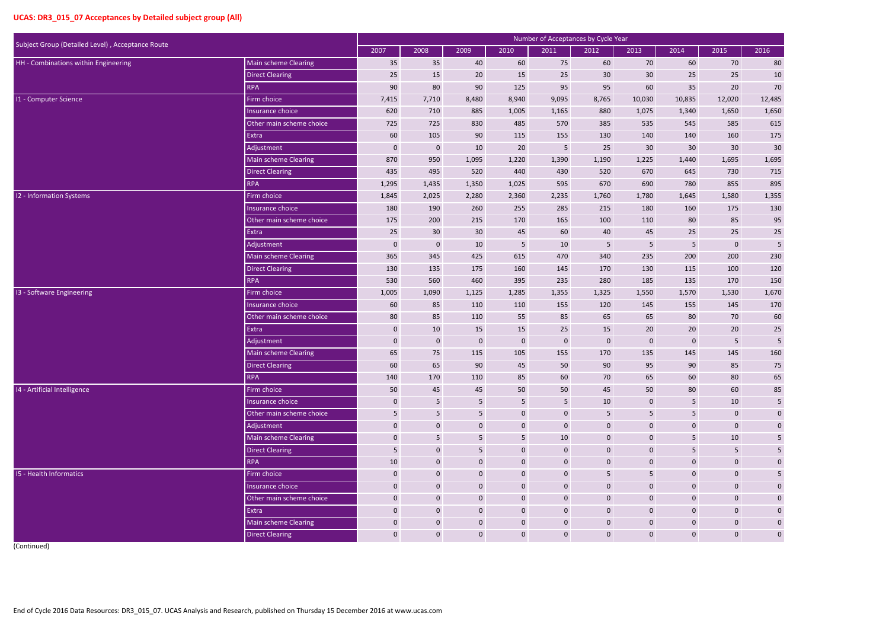|                                                                          |                             |                  |                  |                 |                  | <b>Number of Acceptances by Cycle Year</b> |                  |                  |                |                  |                         |
|--------------------------------------------------------------------------|-----------------------------|------------------|------------------|-----------------|------------------|--------------------------------------------|------------------|------------------|----------------|------------------|-------------------------|
| Subject Group (Detailed Level), Acceptance Route<br>Main scheme Clearing |                             | 2007             | 2008             | 2009            | 2010             | 2011                                       | 2012             | 2013             | 2014           | 2015             | 2016                    |
| HH - Combinations within Engineering                                     |                             | 35               | 35               | 40              | 60               | 75                                         | 60               | 70               | 60             | 70               | 80                      |
|                                                                          | <b>Direct Clearing</b>      | 25               | 15               | 20              | 15               | 25                                         | 30               | 30               | 25             | 25               | 10                      |
|                                                                          | <b>RPA</b>                  | 90               | 80               | 90              | 125              | 95                                         | 95               | 60               | 35             | 20               | $70\,$                  |
| 11 - Computer Science                                                    | Firm choice                 | 7,415            | 7,710            | 8,480           | 8,940            | 9,095                                      | 8,765            | 10,030           | 10,835         | 12,020           | 12,485                  |
|                                                                          | Insurance choice            | 620              | 710              | 885             | 1,005            | 1,165                                      | 880              | 1,075            | 1,340          | 1,650            | 1,650                   |
|                                                                          | Other main scheme choice    | 725              | 725              | 830             | 485              | 570                                        | 385              | 535              | 545            | 585              | 615                     |
|                                                                          | Extra                       | 60               | 105              | 90              | 115              | 155                                        | 130              | 140              | 140            | 160              | 175                     |
|                                                                          | Adjustment                  | $\boldsymbol{0}$ | $\pmb{0}$        | 10              | 20               | $\overline{5}$                             | 25               | 30               | 30             | 30               | 30                      |
|                                                                          | Main scheme Clearing        | 870              | 950              | 1,095           | 1,220            | 1,390                                      | 1,190            | 1,225            | 1,440          | 1,695            | 1,695                   |
|                                                                          | <b>Direct Clearing</b>      | 435              | 495              | 520             | 440              | 430                                        | 520              | 670              | 645            | 730              | 715                     |
|                                                                          | <b>RPA</b>                  | 1,295            | 1,435            | 1,350           | 1,025            | 595                                        | 670              | 690              | 780            | 855              | 895                     |
| 12 - Information Systems                                                 | Firm choice                 | 1,845            | 2,025            | 2,280           | 2,360            | 2,235                                      | 1,760            | 1,780            | 1,645          | 1,580            | 1,355                   |
|                                                                          | Insurance choice            | 180              | 190              | 260             | 255              | 285                                        | 215              | 180              | 160            | 175              | 130                     |
|                                                                          | Other main scheme choice    | 175              | 200              | 215             | 170              | 165                                        | 100              | 110              | 80             | 85               | 95                      |
|                                                                          | Extra                       | 25               | 30               | 30 <sup>°</sup> | 45               | 60                                         | 40               | 45               | 25             | 25               | $25\,$                  |
|                                                                          | Adjustment                  | $\mathbf{0}$     | $\pmb{0}$        | 10              | $5\phantom{.}$   | 10                                         | $\overline{5}$   | 5                | 5 <sub>5</sub> | $\mathbf 0$      | 5                       |
|                                                                          | <b>Main scheme Clearing</b> | 365              | 345              | 425             | 615              | 470                                        | 340              | 235              | 200            | 200              | 230                     |
|                                                                          | <b>Direct Clearing</b>      | 130              | 135              | 175             | 160              | 145                                        | 170              | 130              | 115            | 100              | 120                     |
|                                                                          | <b>RPA</b>                  | 530              | 560              | 460             | 395              | 235                                        | 280              | 185              | 135            | 170              | 150                     |
| 13 - Software Engineering                                                | Firm choice                 | 1,005            | 1,090            | 1,125           | 1,285            | 1,355                                      | 1,325            | 1,550            | 1,570          | 1,530            | 1,670                   |
|                                                                          | Insurance choice            | 60               | 85               | 110             | 110              | 155                                        | 120              | 145              | 155            | 145              | 170                     |
|                                                                          | Other main scheme choice    | 80               | 85               | 110             | 55               | 85                                         | 65               | 65               | 80             | 70               | 60                      |
|                                                                          | Extra                       | $\bf{0}$         | 10               | 15              | 15               | 25                                         | 15               | 20               | 20             | 20               | $25\,$                  |
|                                                                          | Adjustment                  | $\pmb{0}$        | $\pmb{0}$        | $\mathbf 0$     | $\boldsymbol{0}$ | $\mathbf 0$                                | $\boldsymbol{0}$ | $\mathbf{0}$     | 0              | $5\phantom{.}$   | 5                       |
|                                                                          | <b>Main scheme Clearing</b> | 65               | 75               | 115             | 105              | 155                                        | 170              | 135              | 145            | 145              | 160                     |
|                                                                          | Direct Clearing             | 60               | 65               | 90              | 45               | 50                                         | 90               | 95               | 90             | 85               | 75                      |
|                                                                          | <b>RPA</b>                  | 140              | 170              | 110             | 85               | 60                                         | 70               | 65               | 60             | 80               | 65                      |
| 14 - Artificial Intelligence                                             | Firm choice                 | 50               | 45               | 45              | 50               | 50                                         | 45               | 50               | 80             | 60               | 85                      |
|                                                                          | Insurance choice            | $\mathbf 0$      | $5\phantom{.}$   | 5               | $5\phantom{.}$   | $5\phantom{.}$                             | 10               | $\mathbf{0}$     | 5              | 10               | $5\phantom{.0}$         |
|                                                                          | Other main scheme choice    | 5                | $5\phantom{.}$   | 5               | $\mathbf 0$      | $\mathbf 0$                                | 5                | 5                | 5 <sup>1</sup> | $\mathbf 0$      | $\mathbf 0$             |
|                                                                          | Adjustment                  | $\boldsymbol{0}$ | $\boldsymbol{0}$ | $\mathbf 0$     | $\mathbf 0$      | $\mathbf 0$                                | $\boldsymbol{0}$ | $\mathbf 0$      | $\overline{0}$ | $\pmb{0}$        | $\pmb{0}$               |
|                                                                          | Main scheme Clearing        | $\mathbf 0$      | $5\phantom{.}$   | 5               | 5 <sub>1</sub>   | 10                                         | $\mathbf 0$      | $\mathbf 0$      | 5 <sup>1</sup> | 10               | $5\phantom{.0}$         |
|                                                                          | <b>Direct Clearing</b>      | $5\phantom{.}$   | $\mathbf 0$      | 5               | $\mathbf 0$      | $\mathbf 0$                                | $\mathbf 0$      | $\mathbf 0$      | 5 <sup>1</sup> | $5\phantom{.}$   | $5\phantom{.0}$         |
|                                                                          | <b>RPA</b>                  | 10               | $\mathbf 0$      | $\mathbf 0$     | $\mathbf 0$      | $\boldsymbol{0}$                           | $\pmb{0}$        | $\mathbf 0$      | $\overline{0}$ | $\pmb{0}$        | $\pmb{0}$               |
| <b>I5 - Health Informatics</b>                                           | Firm choice                 | $\mathbf 0$      | $\mathbf 0$      | $\mathbf 0$     | $\mathbf{0}$     | $\mathbf 0$                                | $5\phantom{.}$   | 5                | $\overline{0}$ | $\mathbf 0$      | $\overline{\mathbf{5}}$ |
|                                                                          | Insurance choice            | $\mathbf 0$      | $\boldsymbol{0}$ | $\mathbf 0$     | $\boldsymbol{0}$ | $\mathbf 0$                                | $\mathbf 0$      | $\mathbf{0}$     | $\overline{0}$ | $\pmb{0}$        | $\mathbf 0$             |
|                                                                          | Other main scheme choice    | $\mathbf 0$      | $\mathbf{0}$     | $\mathbf 0$     | $\mathbf 0$      | $\boldsymbol{0}$                           | $\pmb{0}$        | $\mathbf 0$      | $\overline{0}$ | $\pmb{0}$        | $\mathbf 0$             |
|                                                                          | Extra                       | $\mathbf 0$      | $\boldsymbol{0}$ | $\mathbf 0$     | $\mathbf 0$      | $\mathbf 0$                                | $\mathbf 0$      | $\mathbf 0$      | $\overline{0}$ | $\boldsymbol{0}$ | $\boldsymbol{0}$        |
|                                                                          | Main scheme Clearing        | $\mathbf{0}$     | $\mathbf 0$      | $\mathbf{0}$    | $\overline{0}$   | $\mathbf 0$                                | $\mathbf 0$      | $\mathbf{0}$     | $\overline{0}$ | $\pmb{0}$        | $\mathbf 0$             |
|                                                                          | <b>Direct Clearing</b>      | $\mathbf 0$      | $\mathbf{0}$     | $\mathbf 0$     | $\mathbf 0$      | $\mathbf 0$                                | $\mathbf{0}$     | $\boldsymbol{0}$ | $\overline{0}$ | $\mathbf 0$      | $\mathbf 0$             |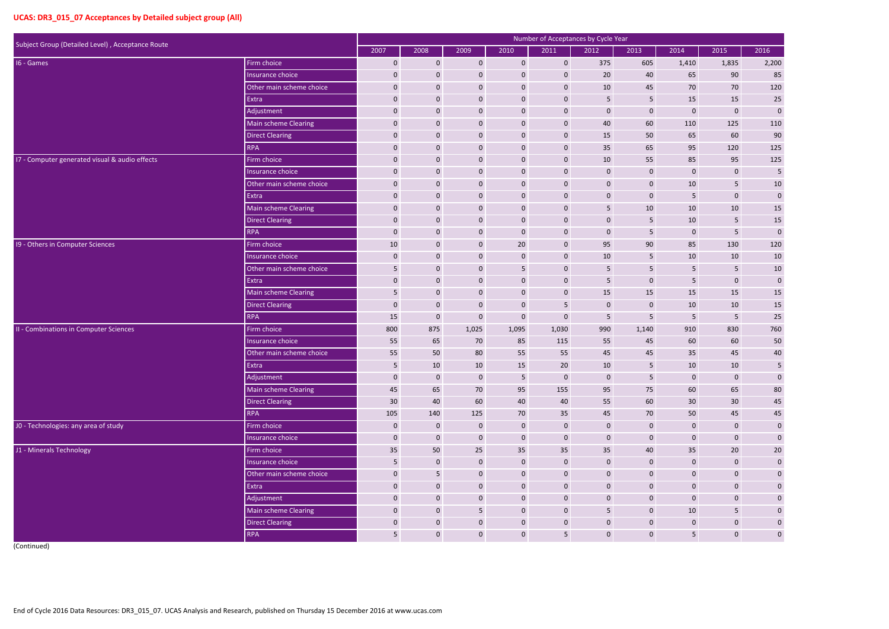| Subject Group (Detailed Level), Acceptance Route |                             |                 |                 |                  |                  | Number of Acceptances by Cycle Year |                         |                 |                  |                 |                  |
|--------------------------------------------------|-----------------------------|-----------------|-----------------|------------------|------------------|-------------------------------------|-------------------------|-----------------|------------------|-----------------|------------------|
|                                                  |                             | 2007            | 2008            | 2009             | 2010             | 2011                                | 2012                    | 2013            | 2014             | 2015            | 2016             |
| 16 - Games                                       | Firm choice                 | $\mathbf 0$     | $\mathbf{0}$    | $\mathbf 0$      | $\mathbf{0}$     | $\mathbf 0$                         | 375                     | 605             | 1,410            | 1,835           | 2,200            |
|                                                  | Insurance choice            | $\mathbf 0$     | $\mathbf 0$     | $\mathbf 0$      | $\mathbf 0$      | $\mathbf 0$                         | 20                      | 40              | 65               | 90              | 85               |
|                                                  | Other main scheme choice    | $\mathbf 0$     | $\mathbf 0$     | $\boldsymbol{0}$ | $\pmb{0}$        | $\mathbf 0$                         | 10                      | 45              | 70               | 70              | 120              |
|                                                  | Extra                       | $\mathbf 0$     | $\mathbf 0$     | $\boldsymbol{0}$ | $\mathbf 0$      | $\mathbf 0$                         | 5                       | 5               | 15               | 15              | 25               |
|                                                  | Adjustment                  | $\mathbf 0$     | $\mathbf 0$     | $\mathbf 0$      | $\mathbf 0$      | $\mathbf 0$                         | $\mathbf 0$             | $\mathbf 0$     | $\boldsymbol{0}$ | $\mathbf{0}$    | $\mathbf 0$      |
|                                                  | Main scheme Clearing        | $\mathbf 0$     | $\mathbf 0$     | $\mathbf 0$      | $\mathbf 0$      | $\mathbf 0$                         | 40                      | 60              | 110              | 125             | 110              |
|                                                  | <b>Direct Clearing</b>      | $\mathbf 0$     | $\mathbf 0$     | $\boldsymbol{0}$ | $\mathbf 0$      | $\mathbf 0$                         | 15                      | 50              | 65               | 60              | 90               |
|                                                  | <b>RPA</b>                  | $\mathbf 0$     | $\mathbf 0$     | $\mathbf 0$      | $\mathbf 0$      | $\mathbf 0$                         | 35                      | 65              | 95               | 120             | 125              |
| 17 - Computer generated visual & audio effects   | Firm choice                 | $\mathbf 0$     | $\mathbf 0$     | $\mathbf 0$      | $\mathbf 0$      | $\mathbf 0$                         | $10\,$                  | 55              | 85               | 95              | 125              |
|                                                  | Insurance choice            | $\mathbf 0$     | $\mathbf 0$     | $\boldsymbol{0}$ | $\mathbf 0$      | $\boldsymbol{0}$                    | $\mathbf 0$             | $\mathbf 0$     | $\boldsymbol{0}$ | $\mathbf{0}$    | $\sqrt{5}$       |
|                                                  | Other main scheme choice    | $\mathbf 0$     | $\mathbf 0$     | $\mathbf 0$      | $\mathbf 0$      | $\mathbf 0$                         | $\mathbf 0$             | $\mathbf 0$     | 10               | 5               | $10\,$           |
|                                                  | Extra                       | $\mathbf 0$     | $\mathbf{0}$    | $\mathbf{0}$     | $\overline{0}$   | $\mathbf 0$                         | $\mathbf 0$             | $\mathbf 0$     | 5                | $\mathbf{0}$    | $\pmb{0}$        |
|                                                  | Main scheme Clearing        | $\mathbf 0$     | $\mathbf 0$     | $\mathbf 0$      | $\mathbf 0$      | $\mathbf 0$                         | 5                       | 10              | 10               | 10              | $15\,$           |
|                                                  | <b>Direct Clearing</b>      | $\mathbf 0$     | $\mathbf 0$     | $\boldsymbol{0}$ | $\mathbf 0$      | $\mathbf 0$                         | $\mathbf 0$             | $5\phantom{.0}$ | $10\,$           | 5               | 15               |
|                                                  | <b>RPA</b>                  | $\mathbf 0$     | $\mathbf 0$     | $\mathbf 0$      | $\mathbf 0$      | $\mathbf 0$                         | $\mathbf 0$             | 5               | $\mathbf 0$      | $5\phantom{.}$  | $\mathbf 0$      |
| 19 - Others in Computer Sciences                 | Firm choice                 | 10              | $\mathbf 0$     | $\mathbf 0$      | 20               | $\mathbf 0$                         | 95                      | 90              | 85               | 130             | 120              |
|                                                  | Insurance choice            | $\mathbf 0$     | $\mathbf 0$     | $\boldsymbol{0}$ | $\mathbf 0$      | $\mathbf 0$                         | 10                      | 5               | 10               | 10              | $10\,$           |
|                                                  | Other main scheme choice    | 5               | $\mathbf 0$     | $\boldsymbol{0}$ | $5\phantom{.}$   | $\mathbf 0$                         | 5                       | 5               | 5                | $5\phantom{.}$  | $10\,$           |
|                                                  | Extra                       | $\mathbf 0$     | $\mathbf 0$     | $\boldsymbol{0}$ | $\mathbf 0$      | $\boldsymbol{0}$                    | 5                       | $\mathbf 0$     | 5 <sub>5</sub>   | $\mathbf 0$     | $\boldsymbol{0}$ |
|                                                  | <b>Main scheme Clearing</b> | 5               | $\mathbf 0$     | $\mathbf 0$      | $\mathbf 0$      | $\boldsymbol{0}$                    | 15                      | 15              | 15               | 15              | 15               |
|                                                  | <b>Direct Clearing</b>      | $\mathbf 0$     | $\mathbf 0$     | $\mathbf 0$      | $\mathbf 0$      | 5                                   | $\mathbf 0$             | $\mathbf 0$     | 10               | 10              | 15               |
|                                                  | <b>RPA</b>                  | 15              | $\mathbf 0$     | $\mathbf 0$      | $\mathbf 0$      | $\mathbf 0$                         | 5                       | 5               | 5                | 5               | 25               |
| II - Combinations in Computer Sciences           | Firm choice                 | 800             | 875             | 1,025            | 1,095            | 1,030                               | 990                     | 1,140           | 910              | 830             | 760              |
|                                                  | Insurance choice            | 55              | 65              | 70               | 85               | 115                                 | 55                      | 45              | 60               | 60              | 50               |
|                                                  | Other main scheme choice    | 55              | 50              | 80               | 55               | 55                                  | 45                      | 45              | 35               | 45              | 40               |
|                                                  | Extra                       | 5               | 10              | 10               | 15               | 20                                  | 10                      | 5               | 10               | 10              | 5                |
|                                                  | Adjustment                  | $\mathbf 0$     | $\mathbf{0}$    | $\mathbf{0}$     | $5\overline{)}$  | $\mathbf 0$                         | $\boldsymbol{0}$        | 5 <sub>5</sub>  | $\mathbf 0$      | $\mathbf 0$     | $\mathbf 0$      |
|                                                  | Main scheme Clearing        | 45              | 65              | 70               | 95               | 155                                 | 95                      | 75              | 60               | 65              | $80\,$           |
|                                                  | <b>Direct Clearing</b>      | 30              | 40              | 60               | 40               | 40                                  | 55                      | 60              | 30               | 30 <sup>°</sup> | 45               |
|                                                  | <b>RPA</b>                  | 105             | 140             | 125              | 70               | 35                                  | 45                      | 70              | 50               | 45              | $45\,$           |
| J0 - Technologies: any area of study             | Firm choice                 | $\mathbf 0$     | $\mathbf{0}$    | $\mathbf{0}$     | $\mathbf 0$      | $\mathbf 0$                         | $\mathbf 0$             | $\mathbf{0}$    | $\mathbf 0$      | $\mathbf 0$     | $\boldsymbol{0}$ |
|                                                  | Insurance choice            | $\mathbf{0}$    | $\bf 0$         | $\mathbf 0$      | $\boldsymbol{0}$ | $\mathbf 0$                         | $\boldsymbol{0}$        | $\mathbf{0}$    | $\mathbf{0}$     | $\mathbf 0$     | $\pmb{0}$        |
| J1 - Minerals Technology                         | Firm choice                 | 35              | 50              | 25               | 35               | 35                                  | 35                      | 40              | 35               | 20              | $20\,$           |
|                                                  | Insurance choice            | $5\phantom{.0}$ | $\bf 0$         | $\mathbf 0$      | $\mathbf 0$      | $\mathbf 0$                         | $\boldsymbol{0}$        | $\mathbf 0$     | $\mathbf 0$      | $\mathbf 0$     | $\boldsymbol{0}$ |
|                                                  | Other main scheme choice    | $\mathbf 0$     | $5\phantom{.0}$ | $\mathbf{0}$     | $\mathbf 0$      | $\mathbf 0$                         | $\mathbf 0$             | $\mathbf{0}$    | $\mathbf{0}$     | $\mathbf 0$     | $\boldsymbol{0}$ |
|                                                  | Extra                       | $\mathbf 0$     | $\bf 0$         | $\mathbf 0$      | $\mathbf 0$      | $\mathbf 0$                         | $\boldsymbol{0}$        | $\mathbf 0$     | $\mathbf{0}$     | $\mathbf 0$     | $\pmb{0}$        |
|                                                  | Adjustment                  | $\mathbf 0$     | $\bf 0$         | $\mathbf 0$      | $\boldsymbol{0}$ | $\mathbf 0$                         | $\boldsymbol{0}$        | $\mathbf{0}$    | $\mathbf 0$      | $\mathbf 0$     | $\pmb{0}$        |
|                                                  | Main scheme Clearing        | $\mathbf 0$     | $\bf 0$         | 5 <sub>5</sub>   | $\mathbf 0$      | $\mathbf 0$                         | $\overline{\mathbf{5}}$ | $\mathbf 0$     | 10               | $5\phantom{.}$  | $\bf{0}$         |
|                                                  | <b>Direct Clearing</b>      | $\mathbf 0$     | $\bf 0$         | $\mathbf{0}$     | $\mathbf 0$      | $\mathbf 0$                         | $\pmb{0}$               | $\mathbf{0}$    | $\mathbf 0$      | $\mathbf 0$     | $\boldsymbol{0}$ |
|                                                  | RPA                         | 5               | $\mathbf{0}$    | $\mathbf{0}$     | $\boldsymbol{0}$ | $5\phantom{.}$                      | $\mathbf 0$             | $\mathbf{0}$    | 5 <sub>5</sub>   | $\mathbf 0$     | $\mathbf 0$      |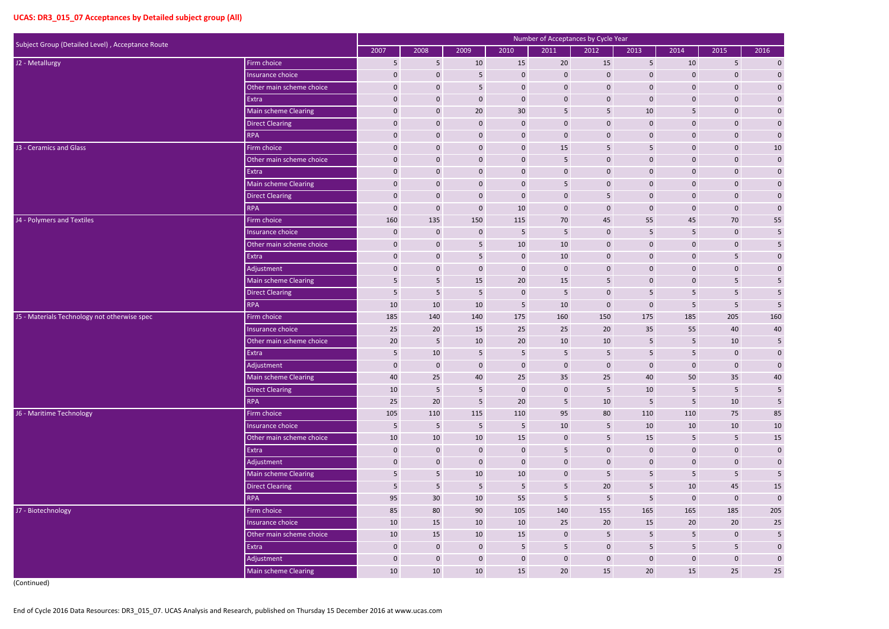|                                                  |                          |                 |                  |                  |                  | Number of Acceptances by Cycle Year |                 |                 |                         |                 |                         |
|--------------------------------------------------|--------------------------|-----------------|------------------|------------------|------------------|-------------------------------------|-----------------|-----------------|-------------------------|-----------------|-------------------------|
| Subject Group (Detailed Level), Acceptance Route |                          | 2007            | 2008             | 2009             | 2010             | 2011                                | 2012            | 2013            | 2014                    | 2015            | 2016                    |
| J2 - Metallurgy                                  | Firm choice              | 5               | 5                | 10               | 15               | 20                                  | 15              | 5               | 10                      | 5               | $\mathbf 0$             |
|                                                  | Insurance choice         | $\mathbf 0$     | $\mathbf{0}$     | 5                | $\mathbf{0}$     | $\mathbf{0}$                        | $\mathbf 0$     | $\mathbf 0$     | $\mathbf 0$             | $\mathbf{0}$    | $\pmb{0}$               |
|                                                  | Other main scheme choice | 0               | $\mathbf 0$      | 5                | $\mathbf 0$      | $\mathbf 0$                         | $\mathbf 0$     | $\mathbf 0$     | 0                       | $\mathbf{0}$    | $\boldsymbol{0}$        |
|                                                  | Extra                    | $\mathbf 0$     | $\mathbf{0}$     | $\mathbf 0$      | $\mathbf 0$      | $\mathbf{0}$                        | $\bf{0}$        | $\mathbf 0$     | $\mathbf 0$             | $\mathbf{0}$    | $\boldsymbol{0}$        |
|                                                  | Main scheme Clearing     | 0               | $\mathbf{0}$     | 20               | 30               | 5                                   | 5               | 10              | 5                       | $\mathbf{0}$    | $\boldsymbol{0}$        |
|                                                  | <b>Direct Clearing</b>   | 0               | $\mathbf{0}$     | $\mathbf 0$      | $\mathbf{0}$     | $\mathbf{0}$                        | $\mathbf{0}$    | $\mathbf 0$     | 0                       | $\mathbf{0}$    | $\boldsymbol{0}$        |
|                                                  | <b>RPA</b>               | 0               | $\mathbf 0$      | $\mathbf 0$      | $\mathbf 0$      | $\mathbf 0$                         | $\mathbf 0$     | $\mathbf 0$     | $\overline{0}$          | $\mathbf 0$     | $\mathbf{0}$            |
| J3 - Ceramics and Glass                          | Firm choice              | $\mathbf 0$     | $\mathbf{0}$     | $\mathbf 0$      | $\mathbf{0}$     | 15                                  | -5              | 5               | $\mathbf 0$             | $\mathbf{0}$    | $10\,$                  |
|                                                  | Other main scheme choice | 0               | $\mathbf{0}$     | $\mathbf 0$      | $\mathbf 0$      | 5                                   | $\mathbf{0}$    | $\mathbf 0$     | 0                       | $\mathbf{0}$    | $\pmb{0}$               |
|                                                  | Extra                    | 0               | $\mathbf 0$      | $\mathbf 0$      | $\mathbf 0$      | $\mathbf{0}$                        | $\mathbf 0$     | $\mathbf 0$     | $\mathbf 0$             | $\mathbf 0$     |                         |
|                                                  | Main scheme Clearing     | 0               | $\mathbf 0$      | $\mathbf 0$      | $\mathbf 0$      | 5                                   | $\mathbf{0}$    | $\mathbf 0$     | $\mathbf 0$             | $\mathbf 0$     | $\boldsymbol{0}$        |
|                                                  | <b>Direct Clearing</b>   | $\mathbf 0$     | $\mathbf 0$      | $\mathbf 0$      | $\bf{0}$         | $\mathbf 0$                         | -5              | $\mathbf 0$     | $\mathbf 0$             | $\mathbf 0$     | $\boldsymbol{0}$        |
|                                                  | <b>RPA</b>               | 0               | $\mathbf 0$      | $\boldsymbol{0}$ | 10               | $\mathbf 0$                         | $\mathbf 0$     | $\mathbf 0$     | 0                       | $\mathbf 0$     | $\boldsymbol{0}$        |
| J4 - Polymers and Textiles                       | Firm choice              | 160             | 135              | 150              | 115              | 70                                  | 45              | 55              | 45                      | 70              | 55                      |
|                                                  | Insurance choice         | $\mathbf 0$     | $\mathbf 0$      | $\mathbf 0$      | 5                | 5                                   | $\mathbf{0}$    | 5               | 5                       | $\mathbf 0$     | $\overline{5}$          |
|                                                  | Other main scheme choice | 0               | $\mathbf{0}$     | 5                | $10\,$           | 10                                  | $\mathbf{0}$    | $\mathbf 0$     | $\mathbf 0$             | $\mathbf 0$     | 5                       |
|                                                  | Extra                    | $\mathbf 0$     | $\mathbf 0$      | 5                | $\mathbf{0}$     | 10                                  | $\mathbf 0$     | $\mathbf 0$     | $\mathbf 0$             | 5               | $\mathbf 0$             |
|                                                  | Adjustment               | $\mathbf 0$     | $\mathbf 0$      | $\mathbf 0$      | $\mathbf 0$      | $\mathbf 0$                         | $\mathbf{0}$    | $\mathbf 0$     | $\mathbf 0$             | $\mathbf 0$     | $\boldsymbol{0}$        |
|                                                  | Main scheme Clearing     | 5               | 5                | 15               | 20               | 15                                  | 5               | $\mathbf 0$     | $\mathbf 0$             | 5               | 5                       |
|                                                  | Direct Clearing          | 5               | $\overline{5}$   | 5                | $\mathbf{0}$     | 5                                   | $\mathbf 0$     | 5               | 5                       | 5               | 5                       |
|                                                  | <b>RPA</b>               | 10              | 10               | 10               | 5                | 10                                  | $\mathbf 0$     | $\mathbf 0$     | 5                       | 5               | $\overline{5}$          |
| J5 - Materials Technology not otherwise spec     | Firm choice              | 185             | 140              | 140              | 175              | 160                                 | 150             | 175             | 185                     | 205             | 160                     |
|                                                  | Insurance choice         | 25              | 20               | 15               | 25               | 25                                  | 20              | 35              | 55                      | 40              | 40                      |
|                                                  | Other main scheme choice | 20              | 5                | 10               | 20               | 10                                  | 10              | 5               | 5                       | 10              | $\overline{5}$          |
|                                                  | Extra                    | 5               | 10               | 5                | 5                | 5                                   | 5               | 5               | 5                       | $\mathbf{0}$    | $\boldsymbol{0}$        |
|                                                  | Adjustment               | $\Omega$        | $\mathbf 0$      | $\mathbf 0$      | $\mathbf 0$      | $\mathbf{0}$                        | $\Omega$        | $\Omega$        | $\mathbf{0}$            | $\mathbf{0}$    | $\pmb{0}$               |
|                                                  | Main scheme Clearing     | 40              | 25               | 40               | 25               | 35                                  | 25              | 40              | 50                      | 35              | 40                      |
|                                                  | <b>Direct Clearing</b>   | 10              | $\sqrt{5}$       | 5                | $\mathbf 0$      | $\pmb{0}$                           | $\overline{5}$  | 10              | $\overline{\mathbf{5}}$ | $5\phantom{.0}$ | $\overline{\mathbf{5}}$ |
|                                                  | RPA                      | 25              | 20               | 5                | 20               | $5\phantom{.0}$                     | 10              | $5\phantom{.}$  | 5                       | 10              | $\overline{\mathbf{5}}$ |
| J6 - Maritime Technology                         | Firm choice              | 105             | 110              | 115              | 110              | 95                                  | 80              | 110             | 110                     | 75              | 85                      |
|                                                  | Insurance choice         | $5\phantom{.0}$ | $\overline{5}$   | $5\phantom{.0}$  | $5\phantom{.0}$  | 10                                  | $5\phantom{.0}$ | 10              | 10                      | 10              | $10\,$                  |
|                                                  | Other main scheme choice | 10              | 10               | 10               | 15               | $\mathbf 0$                         | $\overline{5}$  | 15              | $5\phantom{.0}$         | $\overline{5}$  | <b>15</b>               |
|                                                  | Extra                    | $\mathbf 0$     | $\mathbf 0$      | $\pmb{0}$        | $\mathbf 0$      | $5\phantom{.0}$                     | $\pmb{0}$       | $\mathbf 0$     | $\mathbf{0}$            | $\mathbf 0$     | $\pmb{0}$               |
|                                                  | Adjustment               | $\mathbf 0$     | $\mathbf{0}$     | $\mathbf 0$      | $\boldsymbol{0}$ | $\mathbf 0$                         | $\mathbf 0$     | $\mathbf 0$     | $\overline{0}$          | $\mathbf{0}$    | $\boldsymbol{0}$        |
|                                                  | Main scheme Clearing     | 5               | $5\phantom{.}$   | 10               | 10               | $\mathbf 0$                         | $5\phantom{.0}$ | 5               | 5                       | 5 <sub>5</sub>  | $\overline{\mathbf{5}}$ |
|                                                  | Direct Clearing          | $5\phantom{.0}$ | $\overline{5}$   | 5                | $\overline{5}$   | 5                                   | $20\,$          | $5\phantom{.0}$ | 10                      | 45              | $15\,$                  |
|                                                  | <b>RPA</b>               | 95              | 30               | 10               | 55               | $5\phantom{.}$                      | $\overline{5}$  | 5               | $\mathbf 0$             | $\mathbf 0$     | $\pmb{0}$               |
| J7 - Biotechnology                               | Firm choice              | 85              | 80               | 90               | 105              | 140                                 | 155             | 165             | 165                     | 185             | 205                     |
|                                                  | Insurance choice         | 10              | 15               | 10               | 10               | 25                                  | 20              | 15              | 20                      | 20              | <b>25</b>               |
|                                                  | Other main scheme choice | 10              | 15               | 10               | 15               | $\pmb{0}$                           | $\sqrt{5}$      | 5               | $5\phantom{.0}$         | $\mathbf 0$     | $\overline{\mathbf{5}}$ |
|                                                  | Extra                    | $\mathbf 0$     | $\mathbf 0$      | $\mathbf 0$      | $5\phantom{.}$   | $5\phantom{.}$                      | $\bf 0$         | $5\phantom{.0}$ | $5\overline{)}$         | 5               | $\mathbf 0$             |
|                                                  | Adjustment               | $\mathbf 0$     | $\boldsymbol{0}$ | $\pmb{0}$        | $\overline{0}$   | $\mathbf 0$                         | $\mathbf 0$     | $\mathbf 0$     | $\overline{0}$          | $\mathbf{0}$    | $\boldsymbol{0}$        |
|                                                  | Main scheme Clearing     | 10              | 10               | 10               | 15               | $20\overline{)}$                    | 15              | 20              | 15                      | 25              | 25                      |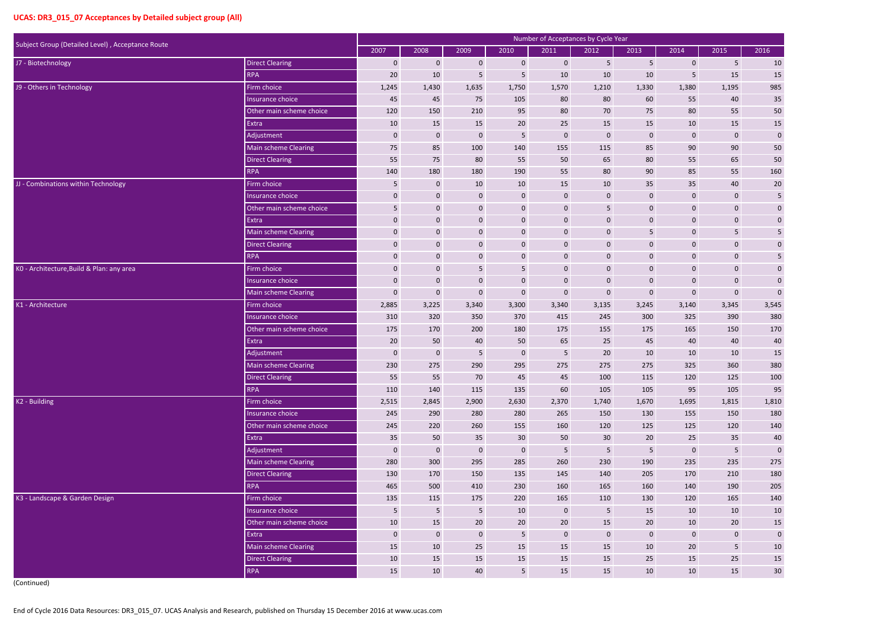| Subject Group (Detailed Level), Acceptance Route |                             |                |                  |                  |                 | Number of Acceptances by Cycle Year |                  |              |                  |                  |                         |
|--------------------------------------------------|-----------------------------|----------------|------------------|------------------|-----------------|-------------------------------------|------------------|--------------|------------------|------------------|-------------------------|
|                                                  |                             | 2007           | 2008             | 2009             | 2010            | 2011                                | 2012             | 2013         | 2014             | 2015             | 2016                    |
| J7 - Biotechnology                               | <b>Direct Clearing</b>      | $\mathbf 0$    | $\mathbf 0$      | $\mathbf 0$      | $\mathbf 0$     | $\mathbf 0$                         | 5                | 5            | $\mathbf 0$      | 5                | 10                      |
|                                                  | <b>RPA</b>                  | 20             | 10               | 5                | $5\phantom{.}$  | 10                                  | 10               | 10           | 5                | 15               | $15\,$                  |
| J9 - Others in Technology                        | Firm choice                 | 1,245          | 1,430            | 1,635            | 1,750           | 1,570                               | 1,210            | 1,330        | 1,380            | 1,195            | 985                     |
|                                                  | Insurance choice            | 45             | 45               | 75               | 105             | 80                                  | 80               | 60           | 55               | 40               | 35                      |
|                                                  | Other main scheme choice    | 120            | 150              | 210              | 95              | 80                                  | 70               | 75           | 80               | 55               | 50                      |
|                                                  | Extra                       | 10             | 15               | 15               | 20              | 25                                  | 15               | 15           | 10               | 15               | $15\,$                  |
|                                                  | Adjustment                  | $\mathbf 0$    | $\mathbf 0$      | $\boldsymbol{0}$ | $5\phantom{.0}$ | $\mathbf 0$                         | $\mathbf 0$      | $\mathbf 0$  | $\boldsymbol{0}$ | $\mathbf 0$      | $\mathbf 0$             |
|                                                  | <b>Main scheme Clearing</b> | 75             | 85               | 100              | 140             | 155                                 | 115              | 85           | 90               | 90               | $50\,$                  |
|                                                  | <b>Direct Clearing</b>      | 55             | 75               | 80               | 55              | 50                                  | 65               | 80           | 55               | 65               | 50                      |
|                                                  | <b>RPA</b>                  | 140            | 180              | 180              | 190             | 55                                  | 80               | 90           | 85               | 55               | 160                     |
| JJ - Combinations within Technology              | Firm choice                 | 5              | $\mathbf{0}$     | 10               | 10              | 15                                  | 10               | 35           | 35               | 40               | 20                      |
|                                                  | Insurance choice            | $\mathbf 0$    | $\mathbf 0$      | $\mathbf 0$      | $\mathbf 0$     | $\mathbf 0$                         | $\mathbf 0$      | $\mathbf 0$  | $\boldsymbol{0}$ | $\mathbf 0$      | $\overline{\mathbf{5}}$ |
|                                                  | Other main scheme choice    | 5              | $\mathbf 0$      | $\boldsymbol{0}$ | $\mathbf 0$     | $\mathbf 0$                         | 5                | $\mathbf 0$  | $\mathbf 0$      | $\mathbf 0$      | $\pmb{0}$               |
|                                                  | Extra                       | $\mathbf 0$    | $\mathbf 0$      | $\mathbf 0$      | $\mathbf 0$     | $\mathbf 0$                         | $\mathbf 0$      | $\mathbf 0$  | $\pmb{0}$        | $\mathbf 0$      | $\boldsymbol{0}$        |
|                                                  | Main scheme Clearing        | $\mathbf 0$    | $\mathbf 0$      | $\mathbf 0$      | $\mathbf 0$     | $\mathbf 0$                         | $\mathbf 0$      | 5            | $\mathbf 0$      | 5                | $\overline{\mathbf{5}}$ |
|                                                  | <b>Direct Clearing</b>      | $\mathbf 0$    | $\mathbf 0$      | $\mathbf 0$      | $\mathbf 0$     | $\mathbf 0$                         | $\mathbf 0$      | $\mathbf 0$  | $\mathbf 0$      | $\mathbf{0}$     | $\pmb{0}$               |
|                                                  | <b>RPA</b>                  | $\pmb{0}$      | $\mathbf 0$      | $\mathbf 0$      | $\pmb{0}$       | $\mathbf 0$                         | $\mathbf 0$      | $\mathbf 0$  | $\pmb{0}$        | $\mathbf{0}$     | $\sqrt{5}$              |
| KO - Architecture, Build & Plan: any area        | Firm choice                 | $\mathbf 0$    | $\mathbf 0$      | 5                | $5\phantom{.}$  | $\mathbf 0$                         | $\mathbf 0$      | $\mathbf 0$  | $\mathbf 0$      | $\mathbf{0}$     | $\pmb{0}$               |
|                                                  | Insurance choice            | $\mathbf{0}$   | $\mathbf 0$      | $\mathbf 0$      | $\mathbf 0$     | $\mathbf 0$                         | $\mathbf 0$      | $\mathbf 0$  | $\pmb{0}$        | $\mathbf{0}$     | $\pmb{0}$               |
|                                                  | Main scheme Clearing        | $\mathbf 0$    | $\boldsymbol{0}$ | $\boldsymbol{0}$ | $\mathbf 0$     | $\boldsymbol{0}$                    | $\mathbf 0$      | $\mathbf 0$  | $\pmb{0}$        | $\boldsymbol{0}$ | $\mathbf 0$             |
| K1 - Architecture                                | Firm choice                 | 2,885          | 3,225            | 3,340            | 3,300           | 3,340                               | 3,135            | 3,245        | 3,140            | 3,345            | 3,545                   |
|                                                  | Insurance choice            | 310            | 320              | 350              | 370             | 415                                 | 245              | 300          | 325              | 390              | 380                     |
|                                                  | Other main scheme choice    | 175            | 170              | 200              | 180             | 175                                 | 155              | 175          | 165              | 150              | 170                     |
|                                                  | Extra                       | 20             | 50               | 40               | 50              | 65                                  | 25               | 45           | 40               | 40               | 40                      |
|                                                  | Adjustment                  | $\mathbf{0}$   | $\mathbf 0$      | 5                | $\mathbf 0$     | 5                                   | 20               | 10           | 10               | 10               | 15                      |
|                                                  | Main scheme Clearing        | 230            | 275              | 290              | 295             | 275                                 | 275              | 275          | 325              | 360              | 380                     |
|                                                  | <b>Direct Clearing</b>      | 55             | 55               | 70               | 45              | 45                                  | 100              | 115          | 120              | 125              | 100                     |
|                                                  | <b>RPA</b>                  | 110            | 140              | 115              | 135             | 60                                  | 105              | 105          | 95               | 105              | 95                      |
| K2 - Building                                    | Firm choice                 | 2,515          | 2,845            | 2,900            | 2,630           | 2,370                               | 1,740            | 1,670        | 1,695            | 1,815            | 1,810                   |
|                                                  | Insurance choice            | 245            | 290              | 280              | 280             | 265                                 | 150              | 130          | 155              | 150              | 180                     |
|                                                  | Other main scheme choice    | 245            | 220              | 260              | 155             | 160                                 | 120              | 125          | 125              | 120              | 140                     |
|                                                  | Extra                       | 35             | 50               | 35               | 30 <sup>°</sup> | 50                                  | 30 <sup>°</sup>  | 20           | 25               | 35               | $40\,$                  |
|                                                  | Adjustment                  | $\mathbf 0$    | $\bf 0$          | $\mathbf 0$      | $\mathbf 0$     | $5\phantom{.0}$                     | $\overline{5}$   | $\sqrt{5}$   | $\mathbf 0$      | 5                | $\pmb{0}$               |
|                                                  | Main scheme Clearing        | 280            | 300              | 295              | 285             | 260                                 | 230              | 190          | 235              | 235              | 275                     |
|                                                  | <b>Direct Clearing</b>      | 130            | 170              | 150              | 135             | 145                                 | 140              | 205          | 170              | 210              | 180                     |
|                                                  | <b>RPA</b>                  | 465            | 500              | 410              | 230             | 160                                 | 165              | 160          | 140              | 190              | 205                     |
| K3 - Landscape & Garden Design                   | Firm choice                 | 135            | 115              | 175              | 220             | 165                                 | 110              | 130          | 120              | 165              | 140                     |
|                                                  | Insurance choice            | $5\phantom{.}$ | $5\phantom{.}$   | 5 <sub>5</sub>   | 10              | $\overline{0}$                      | $5\phantom{.}$   | 15           | 10               | 10               | 10                      |
|                                                  | Other main scheme choice    | 10             | 15               | 20               | 20              | 20                                  | 15               | 20           | 10               | 20               | 15                      |
|                                                  | Extra                       | $\mathbf 0$    | $\bf 0$          | $\mathbf{0}$     | $5\phantom{.0}$ | $\mathbf{0}$                        | $\boldsymbol{0}$ | $\mathbf{0}$ | $\mathbf 0$      | $\mathbf 0$      | $\pmb{0}$               |
|                                                  | Main scheme Clearing        | 15             | 10               | 25               | 15              | 15                                  | 15               | 10           | 20               | $5\phantom{.}$   | $10\,$                  |
|                                                  | <b>Direct Clearing</b>      | 10             | 15               | 15               | 15              | 15                                  | 15               | 25           | 15               | 25               | $15\,$                  |
|                                                  | RPA                         | 15             | 10               | 40               | $5\overline{)}$ | 15                                  | 15               | 10           | 10               | 15               | $30\,$                  |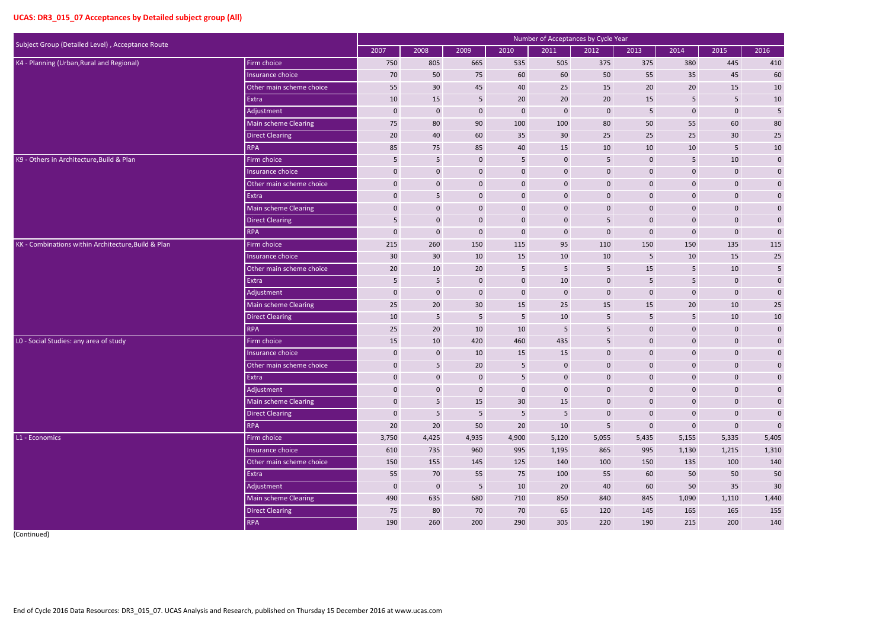| Subject Group (Detailed Level), Acceptance Route    |                             |              |                |                 |                 | Number of Acceptances by Cycle Year |                 |                  |                |                  |              |
|-----------------------------------------------------|-----------------------------|--------------|----------------|-----------------|-----------------|-------------------------------------|-----------------|------------------|----------------|------------------|--------------|
|                                                     |                             | 2007         | 2008           | 2009            | 2010            | 2011                                | 2012            | 2013             | 2014           | 2015             | 2016         |
| K4 - Planning (Urban, Rural and Regional)           | Firm choice                 | 750          | 805            | 665             | 535             | 505                                 | 375             | 375              | 380            | 445              | 410          |
|                                                     | Insurance choice            | 70           | 50             | 75              | 60              | 60                                  | 50              | 55               | 35             | 45               | 60           |
|                                                     | Other main scheme choice    | 55           | 30             | 45              | 40              | 25                                  | 15              | 20               | 20             | 15               | $10\,$       |
|                                                     | Extra                       | 10           | 15             | 5 <sub>1</sub>  | 20              | 20                                  | 20              | 15               | 5              | $5\phantom{.}$   | $10\,$       |
|                                                     | Adjustment                  | $\mathbf 0$  | $\mathbf{0}$   | $\mathbf 0$     | $\mathbf{0}$    | $\mathbf 0$                         | $\mathbf 0$     | 5                | $\mathbf 0$    | $\mathbf 0$      | 5            |
|                                                     | Main scheme Clearing        | 75           | 80             | 90              | 100             | 100                                 | 80              | 50               | 55             | 60               | 80           |
|                                                     | <b>Direct Clearing</b>      | 20           | 40             | 60              | 35              | 30                                  | 25              | 25               | 25             | 30               | $25\,$       |
|                                                     | <b>RPA</b>                  | 85           | 75             | 85              | 40              | 15                                  | 10              | 10               | 10             | $5\phantom{.}$   | $10\,$       |
| K9 - Others in Architecture, Build & Plan           | Firm choice                 | 5            | 5              | $\mathbf{0}$    | $5\phantom{.}$  | $\bf{0}$                            | 5               | $\mathbf{0}$     | 5              | 10               | $\mathbf{0}$ |
|                                                     | Insurance choice            | $\mathbf{0}$ | $\bf{0}$       | $\mathbf{0}$    | $\pmb{0}$       | $\bf{0}$                            | $\mathbf 0$     | $\mathbf{0}$     | $\overline{0}$ | $\boldsymbol{0}$ | $\mathbf{0}$ |
|                                                     | Other main scheme choice    | $\pmb{0}$    | $\pmb{0}$      | $\mathbf{0}$    | $\pmb{0}$       | $\bf{0}$                            | $\mathbf 0$     | $\mathbf 0$      | 0              | $\pmb{0}$        | $\mathbf 0$  |
|                                                     | Extra                       | $\mathbf{0}$ | $5\phantom{.}$ | $\mathbf{0}$    | $\mathbf{0}$    | $\bf{0}$                            | $\mathbf 0$     | $\mathbf{0}$     | $\overline{0}$ | $\mathbf 0$      | $\mathbf{0}$ |
|                                                     | Main scheme Clearing        | $\mathbf 0$  | $\bf{0}$       | $\mathbf{0}$    | $\mathbf 0$     | $\bf{0}$                            | $\pmb{0}$       | $\mathbf{0}$     | $\overline{0}$ | $\boldsymbol{0}$ | $\mathbf 0$  |
|                                                     | <b>Direct Clearing</b>      | 5            | $\pmb{0}$      | $\mathbf{0}$    | $\pmb{0}$       | $\boldsymbol{0}$                    | 5               | $\mathbf 0$      | 0              | $\pmb{0}$        | $\mathbf 0$  |
|                                                     | <b>RPA</b>                  | $\mathbf 0$  | $\mathbf 0$    | $\mathbf 0$     | $\mathbf 0$     | $\mathbf 0$                         | $\mathbf 0$     | $\mathbf 0$      | $\overline{0}$ | $\mathbf 0$      | $\pmb{0}$    |
| KK - Combinations within Architecture, Build & Plan | Firm choice                 | 215          | 260            | 150             | 115             | 95                                  | 110             | 150              | 150            | 135              | 115          |
|                                                     | Insurance choice            | 30           | 30             | 10              | 15              | 10                                  | 10              | 5                | 10             | 15               | $25\,$       |
|                                                     | Other main scheme choice    | 20           | 10             | 20              | $5\phantom{.}$  | $5\phantom{.0}$                     | 5               | 15               | 5              | 10               | $\sqrt{5}$   |
|                                                     | Extra                       | 5            | 5              | $\mathbf{0}$    | $\mathbf{0}$    | 10                                  | $\mathbf 0$     | 5                | 5              | $\mathbf 0$      | $\mathbf 0$  |
|                                                     | Adjustment                  | $\bf{0}$     | $\mathbf 0$    | $\mathbf 0$     | $\mathbf 0$     | $\mathbf 0$                         | $\mathbf 0$     | $\mathbf{0}$     | $\overline{0}$ | $\mathbf 0$      | $\pmb{0}$    |
|                                                     | <b>Main scheme Clearing</b> | 25           | 20             | 30 <sup>°</sup> | 15              | 25                                  | 15              | 15               | 20             | 10               | 25           |
|                                                     | <b>Direct Clearing</b>      | 10           | 5              | 5               | 5               | 10                                  | 5               | 5                | 5              | 10               | $10\,$       |
|                                                     | <b>RPA</b>                  | 25           | 20             | 10              | $10\,$          | 5                                   | 5               | $\mathbf{0}$     | $\overline{0}$ | $\boldsymbol{0}$ | $\mathbf 0$  |
| LO - Social Studies: any area of study              | Firm choice                 | 15           | 10             | 420             | 460             | 435                                 | 5               | $\mathbf 0$      | $\overline{0}$ | $\pmb{0}$        | $\mathbf 0$  |
|                                                     | Insurance choice            | $\mathbf 0$  | $\mathbf 0$    | 10              | 15              | 15                                  | $\mathbf 0$     | $\mathbf 0$      | 0              | $\boldsymbol{0}$ | $\pmb{0}$    |
|                                                     | Other main scheme choice    | $\Omega$     | 5              | 20              | 5               | $\mathbf 0$                         | $\Omega$        | $\Omega$         | $\Omega$       | $\Omega$         | $\mathbf{0}$ |
|                                                     | Extra                       | $\mathbf 0$  | $\overline{0}$ | $\mathbf 0$     | $5\phantom{.0}$ | $\mathbf 0$                         | $\mathbf 0$     | $\mathbf{0}$     | $\overline{0}$ | $\mathbf 0$      | $\mathbf{0}$ |
|                                                     | Adjustment                  | $\mathbf 0$  | $\mathbf 0$    | $\mathbf 0$     | $\mathbf 0$     | $\mathbf 0$                         | $\mathbf 0$     | $\boldsymbol{0}$ | $\mathbf{0}$   | $\mathbf 0$      | $\mathbf 0$  |
|                                                     | Main scheme Clearing        | $\mathbf 0$  | $5\phantom{.}$ | 15              | 30 <sup>°</sup> | 15                                  | $\mathbf{0}$    | $\mathbf{0}$     | $\mathbf 0$    | $\mathbf 0$      | $\mathbf 0$  |
|                                                     | <b>Direct Clearing</b>      | $\mathbf 0$  | $5\phantom{.}$ | $5\phantom{.0}$ | $5\phantom{.}$  | $5\phantom{.0}$                     | $\bf 0$         | $\mathbf{0}$     | $\mathbf{0}$   | $\mathbf 0$      | $\pmb{0}$    |
|                                                     | <b>RPA</b>                  | 20           | $20\degree$    | 50              | $20\degree$     | 10                                  | $5\phantom{.0}$ | $\boldsymbol{0}$ | $\mathbf 0$    | $\mathbf 0$      | $\pmb{0}$    |
| L1 - Economics                                      | Firm choice                 | 3,750        | 4,425          | 4,935           | 4,900           | 5,120                               | 5,055           | 5,435            | 5,155          | 5,335            | 5,405        |
|                                                     | Insurance choice            | 610          | 735            | 960             | 995             | 1,195                               | 865             | 995              | 1,130          | 1,215            | 1,310        |
|                                                     | Other main scheme choice    | 150          | 155            | 145             | 125             | 140                                 | 100             | 150              | 135            | 100              | 140          |
|                                                     | Extra                       | 55           | 70             | 55              | 75              | 100                                 | 55              | 60               | 50             | 50               | $50\,$       |
|                                                     | Adjustment                  | $\mathbf 0$  | $\mathbf{0}$   | $5\phantom{.}$  | 10              | 20                                  | 40              | 60               | 50             | 35               | $30\,$       |
|                                                     | Main scheme Clearing        | 490          | 635            | 680             | 710             | 850                                 | 840             | 845              | 1,090          | 1,110            | 1,440        |
|                                                     | <b>Direct Clearing</b>      | 75           | 80             | 70              | 70              | 65                                  | 120             | 145              | 165            | 165              | 155          |
|                                                     | <b>RPA</b>                  | 190          | 260            | 200             | 290             | 305                                 | 220             | 190              | 215            | 200              | 140          |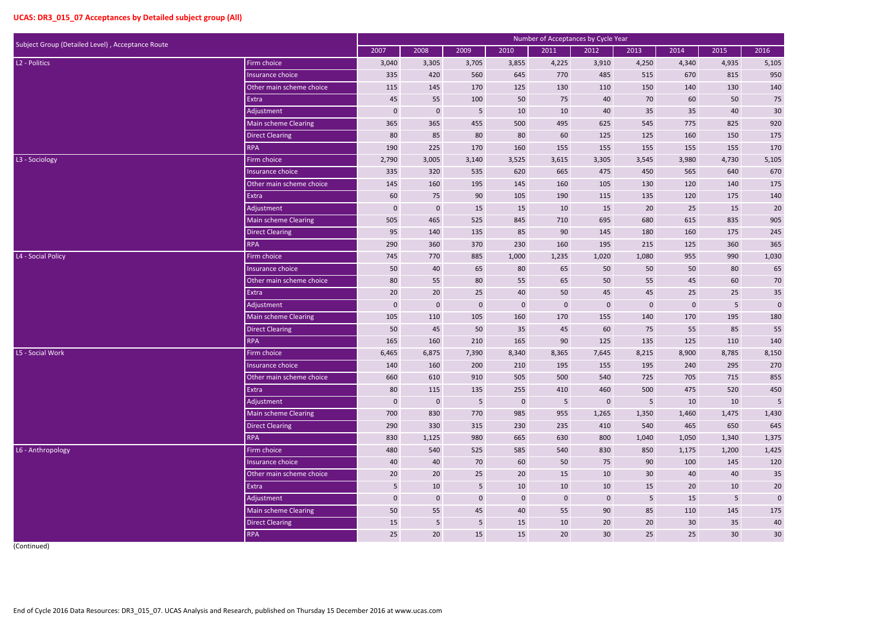| Subject Group (Detailed Level), Acceptance Route |                             |                 |                  |                |                  | <b>Number of Acceptances by Cycle Year</b> |                 |                 |                 |                 |                 |
|--------------------------------------------------|-----------------------------|-----------------|------------------|----------------|------------------|--------------------------------------------|-----------------|-----------------|-----------------|-----------------|-----------------|
|                                                  |                             | 2007            | 2008             | 2009           | 2010             | 2011                                       | 2012            | 2013            | 2014            | 2015            | 2016            |
| L <sub>2</sub> - Politics                        | Firm choice                 | 3,040           | 3,305            | 3,705          | 3,855            | 4,225                                      | 3,910           | 4,250           | 4,340           | 4,935           | 5,105           |
|                                                  | Insurance choice            | 335             | 420              | 560            | 645              | 770                                        | 485             | 515             | 670             | 815             | 950             |
|                                                  | Other main scheme choice    | 115             | 145              | 170            | 125              | 130                                        | 110             | 150             | 140             | 130             | 140             |
|                                                  | Extra                       | 45              | 55               | 100            | 50               | 75                                         | 40              | 70              | 60              | 50              | $75\,$          |
|                                                  | Adjustment                  | $\mathbf 0$     | $\mathbf 0$      | $5\phantom{.}$ | 10               | 10                                         | 40              | 35              | 35              | 40              | $30\,$          |
|                                                  | Main scheme Clearing        | 365             | 365              | 455            | 500              | 495                                        | 625             | 545             | 775             | 825             | 920             |
|                                                  | <b>Direct Clearing</b>      | 80              | 85               | 80             | 80               | 60                                         | 125             | 125             | 160             | 150             | 175             |
|                                                  | <b>RPA</b>                  | 190             | 225              | 170            | 160              | 155                                        | 155             | 155             | 155             | 155             | 170             |
| L3 - Sociology                                   | Firm choice                 | 2,790           | 3,005            | 3,140          | 3,525            | 3,615                                      | 3,305           | 3,545           | 3,980           | 4,730           | 5,105           |
|                                                  | Insurance choice            | 335             | 320              | 535            | 620              | 665                                        | 475             | 450             | 565             | 640             | 670             |
|                                                  | Other main scheme choice    | 145             | 160              | 195            | 145              | 160                                        | 105             | 130             | 120             | 140             | 175             |
|                                                  | Extra                       | 60              | 75               | 90             | 105              | 190                                        | 115             | 135             | 120             | 175             | 140             |
|                                                  | Adjustment                  | $\mathbf 0$     | $\mathbf 0$      | 15             | 15               | 10                                         | 15              | 20              | 25              | 15              | $20\,$          |
|                                                  | <b>Main scheme Clearing</b> | 505             | 465              | 525            | 845              | 710                                        | 695             | 680             | 615             | 835             | 905             |
|                                                  | <b>Direct Clearing</b>      | 95              | 140              | 135            | 85               | 90                                         | 145             | 180             | 160             | 175             | 245             |
|                                                  | <b>RPA</b>                  | 290             | 360              | 370            | 230              | 160                                        | 195             | 215             | 125             | 360             | 365             |
| L4 - Social Policy                               | Firm choice                 | 745             | 770              | 885            | 1,000            | 1,235                                      | 1,020           | 1,080           | 955             | 990             | 1,030           |
|                                                  | Insurance choice            | 50              | 40               | 65             | 80               | 65                                         | 50              | 50              | 50              | 80              | 65              |
|                                                  | Other main scheme choice    | 80              | 55               | 80             | 55               | 65                                         | 50              | 55              | 45              | 60              | 70              |
|                                                  | Extra                       | 20              | 20               | 25             | 40               | 50                                         | 45              | 45              | 25              | 25              | 35              |
|                                                  | Adjustment                  | $\mathbf 0$     | $\boldsymbol{0}$ | $\mathbf 0$    | $\mathbf 0$      | $\bf{0}$                                   | $\bf 0$         | $\mathbf 0$     | $\mathbf{0}$    | $\sqrt{5}$      | $\pmb{0}$       |
|                                                  | <b>Main scheme Clearing</b> | 105             | 110              | 105            | 160              | 170                                        | 155             | 140             | 170             | 195             | 180             |
|                                                  | <b>Direct Clearing</b>      | 50              | 45               | 50             | 35               | 45                                         | 60              | 75              | 55              | 85              | 55              |
|                                                  | <b>RPA</b>                  | 165             | 160              | 210            | 165              | 90                                         | 125             | 135             | 125             | 110             | 140             |
| L5 - Social Work                                 | Firm choice                 | 6,465           | 6,875            | 7,390          | 8,340            | 8,365                                      | 7,645           | 8,215           | 8,900           | 8,785           | 8,150           |
|                                                  | Insurance choice            | 140             | 160              | 200            | 210              | 195                                        | 155             | 195             | 240             | 295             | 270             |
|                                                  | Other main scheme choice    | 660             | 610              | 910            | 505              | 500                                        | 540             | 725             | 705             | 715             | 855             |
|                                                  | Extra                       | 80              | 115              | 135            | 255              | 410                                        | 460             | 500             | 475             | 520             | 450             |
|                                                  | Adjustment                  | $\mathbf 0$     | $\mathbf{0}$     | 5 <sub>5</sub> | $\overline{0}$   | $5\phantom{.0}$                            | $\mathbf{0}$    | $5\phantom{.}$  | 10              | 10              | $5\phantom{.0}$ |
|                                                  | Main scheme Clearing        | 700             | 830              | 770            | 985              | 955                                        | 1,265           | 1,350           | 1,460           | 1,475           | 1,430           |
|                                                  | <b>Direct Clearing</b>      | 290             | 330              | 315            | 230              | 235                                        | 410             | 540             | 465             | 650             | 645             |
|                                                  | <b>RPA</b>                  | 830             | 1,125            | 980            | 665              | 630                                        | 800             | 1,040           | 1,050           | 1,340           | 1,375           |
| L6 - Anthropology                                | Firm choice                 | 480             | 540              | 525            | 585              | 540                                        | 830             | 850             | 1,175           | 1,200           | 1,425           |
|                                                  | Insurance choice            | 40              | 40               | 70             | 60               | 50                                         | 75              | 90              | 100             | 145             | 120             |
|                                                  | Other main scheme choice    | 20              | 20               | 25             | 20               | 15                                         | 10              | 30 <sup>°</sup> | 40              | 40              | 35              |
|                                                  | Extra                       | $5\phantom{.0}$ | 10               | 5 <sub>5</sub> | 10               | 10                                         | 10              | 15              | $20\degree$     | 10              | $20\,$          |
|                                                  | Adjustment                  | $\mathbf 0$     | $\boldsymbol{0}$ | $\mathbf 0$    | $\boldsymbol{0}$ | $\mathbf 0$                                | $\mathbf{0}$    | $5\phantom{.}$  | 15              | $\sqrt{5}$      | $\mathbf 0$     |
|                                                  | Main scheme Clearing        | 50              | 55               | 45             | 40               | 55                                         | 90              | 85              | 110             | 145             | 175             |
|                                                  | <b>Direct Clearing</b>      | 15              | $5\phantom{.}$   | $5\phantom{.}$ | 15               | 10                                         | 20              | 20              | 30 <sup>°</sup> | 35              | 40              |
|                                                  | <b>RPA</b>                  | 25              | 20 <sub>2</sub>  | 15             | 15               | 20                                         | 30 <sup>°</sup> | 25              | 25              | 30 <sup>°</sup> | 30 <sup>°</sup> |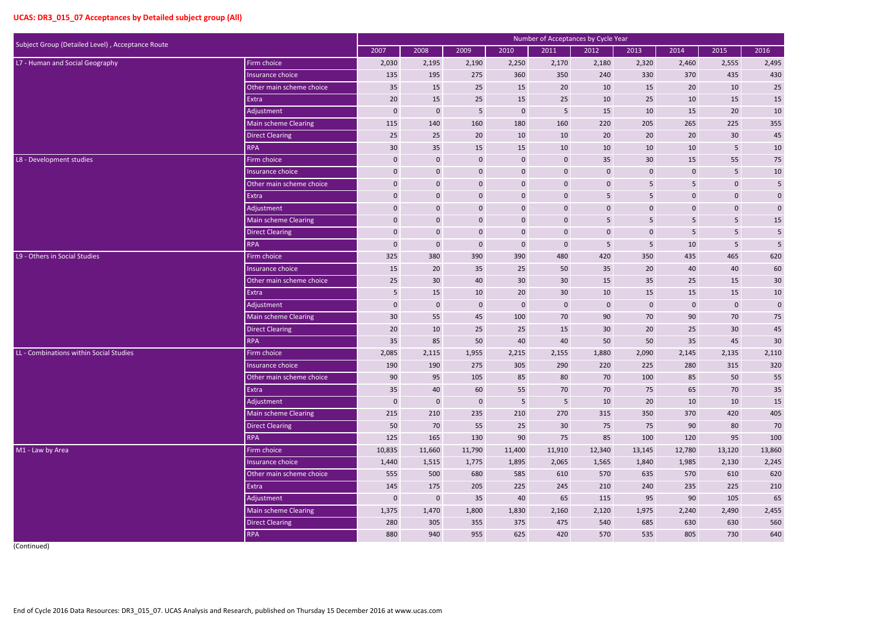| Subject Group (Detailed Level), Acceptance Route |                             |                  |                  |              |                 |              | Number of Acceptances by Cycle Year |              |                  |                |                 |
|--------------------------------------------------|-----------------------------|------------------|------------------|--------------|-----------------|--------------|-------------------------------------|--------------|------------------|----------------|-----------------|
|                                                  |                             | 2007             | 2008             | 2009         | 2010            | 2011         | 2012                                | 2013         | 2014             | 2015           | 2016            |
| L7 - Human and Social Geography                  | Firm choice                 | 2,030            | 2,195            | 2,190        | 2,250           | 2,170        | 2,180                               | 2,320        | 2,460            | 2,555          | 2,495           |
|                                                  | Insurance choice            | 135              | 195              | 275          | 360             | 350          | 240                                 | 330          | 370              | 435            | 430             |
|                                                  | Other main scheme choice    | 35               | 15               | 25           | 15              | 20           | 10                                  | 15           | 20               | 10             | 25              |
|                                                  | Extra                       | 20               | 15               | 25           | 15              | 25           | 10                                  | 25           | 10               | 15             | 15              |
|                                                  | Adjustment                  | $\bf{0}$         | $\bf{0}$         | 5            | $\mathbf{0}$    | 5            | 15                                  | 10           | 15               | 20             | $10\,$          |
|                                                  | Main scheme Clearing        | 115              | 140              | 160          | 180             | 160          | 220                                 | 205          | 265              | 225            | 355             |
|                                                  | <b>Direct Clearing</b>      | 25               | 25               | 20           | 10              | 10           | 20                                  | 20           | 20               | 30             | 45              |
|                                                  | <b>RPA</b>                  | 30               | 35               | 15           | 15              | 10           | 10                                  | 10           | 10               | 5              | $10\,$          |
| L8 - Development studies                         | Firm choice                 | $\bf{0}$         | $\mathbf 0$      | $\mathbf 0$  | $\mathbf 0$     | $\mathbf 0$  | 35                                  | 30           | 15               | 55             | 75              |
|                                                  | Insurance choice            | $\mathbf 0$      | $\mathbf 0$      | $\mathbf 0$  | $\mathbf 0$     | $\mathbf 0$  | $\mathbf 0$                         | $\mathbf 0$  | 0                | $\overline{5}$ | $10\,$          |
|                                                  | Other main scheme choice    | $\mathbf 0$      | $\pmb{0}$        | $\mathbf 0$  | $\pmb{0}$       | $\mathbf{0}$ | $\mathbf 0$                         | 5            | 5 <sup>1</sup>   | $\pmb{0}$      | 5               |
|                                                  | Extra                       | $\bf{0}$         | $\mathbf 0$      | $\mathbf 0$  | $\mathbf 0$     | $\mathbf 0$  | 5                                   | 5            | $\boldsymbol{0}$ | $\pmb{0}$      | $\pmb{0}$       |
|                                                  | Adjustment                  | $\mathbf{0}$     | $\mathbf 0$      | $\mathbf 0$  | $\pmb{0}$       | $\mathbf 0$  | $\mathbf 0$                         | $\mathbf 0$  | 0                | $\pmb{0}$      | $\mathbf 0$     |
|                                                  | <b>Main scheme Clearing</b> | $\pmb{0}$        | $\boldsymbol{0}$ | $\mathbf 0$  | $\pmb{0}$       | $\mathbf{0}$ | 5                                   | 5            | 5 <sub>1</sub>   | $\sqrt{5}$     | 15              |
|                                                  | <b>Direct Clearing</b>      | $\mathbf 0$      | $\mathbf 0$      | $\mathbf 0$  | $\mathbf 0$     | $\mathbf 0$  | $\boldsymbol{0}$                    | $\mathbf{0}$ | 5                | $\overline{5}$ | 5               |
|                                                  | <b>RPA</b>                  | $\bf{0}$         | $\pmb{0}$        | $\mathbf 0$  | $\mathbf 0$     | $\mathbf 0$  | 5                                   | 5            | 10               | $\overline{5}$ | 5               |
| L9 - Others in Social Studies                    | Firm choice                 | 325              | 380              | 390          | 390             | 480          | 420                                 | 350          | 435              | 465            | 620             |
|                                                  | Insurance choice            | 15               | 20               | 35           | 25              | 50           | 35                                  | 20           | 40               | 40             | 60              |
|                                                  | Other main scheme choice    | 25               | 30               | 40           | 30 <sup>°</sup> | 30           | 15                                  | 35           | 25               | 15             | $30\,$          |
|                                                  | Extra                       | 5                | 15               | 10           | 20              | 30           | 10                                  | 15           | 15               | 15             | $10\,$          |
|                                                  | Adjustment                  | $\boldsymbol{0}$ | $\mathbf 0$      | $\mathbf{0}$ | $\mathbf{0}$    | $\mathbf 0$  | $\mathbf 0$                         | $\mathbf 0$  | $\boldsymbol{0}$ | $\pmb{0}$      | $\mathbf 0$     |
|                                                  | <b>Main scheme Clearing</b> | 30               | 55               | 45           | 100             | 70           | 90                                  | 70           | 90               | 70             | 75              |
|                                                  | <b>Direct Clearing</b>      | 20               | 10               | 25           | 25              | 15           | 30                                  | 20           | 25               | 30             | 45              |
|                                                  | <b>RPA</b>                  | 35               | 85               | 50           | 40              | 40           | 50                                  | 50           | 35               | 45             | 30 <sub>o</sub> |
| LL - Combinations within Social Studies          | Firm choice                 | 2,085            | 2,115            | 1,955        | 2,215           | 2,155        | 1,880                               | 2,090        | 2,145            | 2,135          | 2,110           |
|                                                  | Insurance choice            | 190              | 190              | 275          | 305             | 290          | 220                                 | 225          | 280              | 315            | 320             |
|                                                  | Other main scheme choice    | 90               | 95               | 105          | 85              | 80           | 70                                  | 100          | 85               | 50             | 55              |
|                                                  | Extra                       | 35               | 40               | 60           | 55              | 70           | 70                                  | 75           | 65               | 70             | 35              |
|                                                  | Adjustment                  | $\mathbf 0$      | $\mathbf 0$      | $\mathbf{0}$ | $5\phantom{.}$  | 5            | 10                                  | 20           | 10               | 10             | $15\,$          |
|                                                  | Main scheme Clearing        | 215              | 210              | 235          | 210             | 270          | 315                                 | 350          | 370              | 420            | 405             |
|                                                  | <b>Direct Clearing</b>      | 50               | 70               | 55           | 25              | 30           | 75                                  | 75           | 90               | 80             | $70\,$          |
|                                                  | <b>RPA</b>                  | 125              | 165              | 130          | 90              | 75           | 85                                  | 100          | 120              | 95             | 100             |
| M1 - Law by Area                                 | Firm choice                 | 10,835           | 11,660           | 11,790       | 11,400          | 11,910       | 12,340                              | 13,145       | 12,780           | 13,120         | 13,860          |
|                                                  | Insurance choice            | 1,440            | 1,515            | 1,775        | 1,895           | 2,065        | 1,565                               | 1,840        | 1,985            | 2,130          | 2,245           |
|                                                  | Other main scheme choice    | 555              | 500              | 680          | 585             | 610          | 570                                 | 635          | 570              | 610            | 620             |
|                                                  | Extra                       | 145              | 175              | 205          | 225             | 245          | 210                                 | 240          | 235              | 225            | 210             |
|                                                  | Adjustment                  | $\mathbf 0$      | $\bf 0$          | 35           | 40              | 65           | 115                                 | 95           | 90               | 105            | 65              |
|                                                  | Main scheme Clearing        | 1,375            | 1,470            | 1,800        | 1,830           | 2,160        | 2,120                               | 1,975        | 2,240            | 2,490          | 2,455           |
|                                                  | <b>Direct Clearing</b>      | 280              | 305              | 355          | 375             | 475          | 540                                 | 685          | 630              | 630            | 560             |
|                                                  | <b>RPA</b>                  | 880              | 940              | 955          | 625             | 420          | 570                                 | 535          | 805              | 730            | 640             |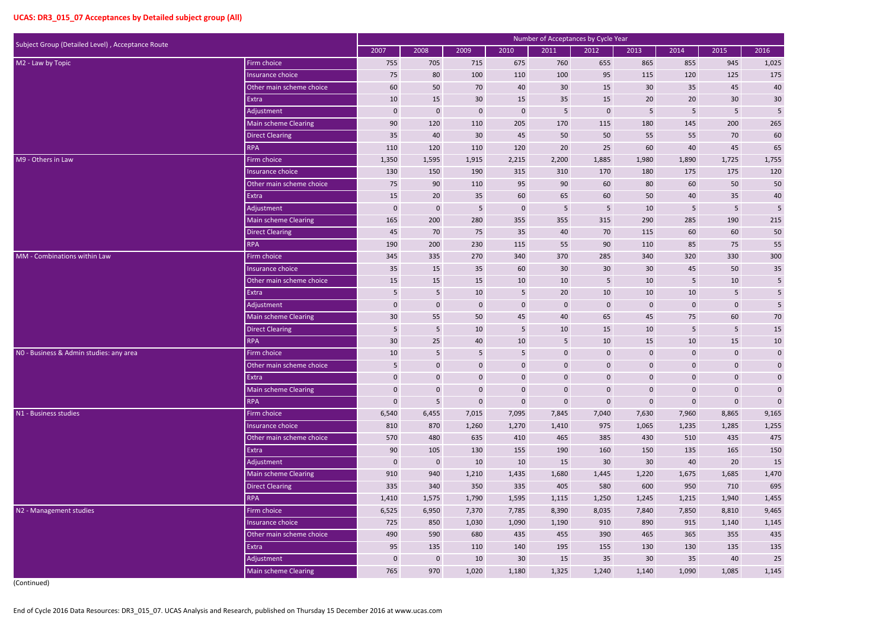| Subject Group (Detailed Level), Acceptance Route |                          |             |                         |                  |                  | Number of Acceptances by Cycle Year |                  |              |              |                  |                  |
|--------------------------------------------------|--------------------------|-------------|-------------------------|------------------|------------------|-------------------------------------|------------------|--------------|--------------|------------------|------------------|
|                                                  |                          | 2007        | 2008                    | 2009             | 2010             | 2011                                | 2012             | 2013         | 2014         | 2015             | 2016             |
| M2 - Law by Topic                                | Firm choice              | 755         | 705                     | 715              | 675              | 760                                 | 655              | 865          | 855          | 945              | 1,025            |
|                                                  | Insurance choice         | 75          | 80                      | 100              | 110              | 100                                 | 95               | 115          | 120          | 125              | 175              |
|                                                  | Other main scheme choice | 60          | 50                      | 70               | 40               | 30                                  | 15               | 30           | 35           | 45               | 40               |
|                                                  | Extra                    | 10          | 15                      | 30               | 15               | 35                                  | 15               | 20           | 20           | 30               | 30               |
|                                                  | Adjustment               | $\mathbf 0$ | $\mathbf 0$             | $\mathbf 0$      | $\mathbf 0$      | 5                                   | $\mathbf 0$      | 5            | 5            | 5                | 5                |
|                                                  | Main scheme Clearing     | 90          | 120                     | 110              | 205              | 170                                 | 115              | 180          | 145          | 200              | 265              |
|                                                  | <b>Direct Clearing</b>   | 35          | 40                      | 30               | 45               | 50                                  | 50               | 55           | 55           | 70               | 60               |
|                                                  | <b>RPA</b>               | 110         | 120                     | 110              | 120              | 20                                  | 25               | 60           | 40           | 45               | 65               |
| M9 - Others in Law                               | Firm choice              | 1,350       | 1,595                   | 1,915            | 2,215            | 2,200                               | 1,885            | 1,980        | 1,890        | 1,725            | 1,755            |
|                                                  | Insurance choice         | 130         | 150                     | 190              | 315              | 310                                 | 170              | 180          | 175          | 175              | 120              |
|                                                  | Other main scheme choice | 75          | 90                      | 110              | 95               | 90                                  | 60               | 80           | 60           | 50               | 50               |
|                                                  | Extra                    | 15          | 20                      | 35               | 60               | 65                                  | 60               | 50           | 40           | 35               | $40\,$           |
|                                                  | Adjustment               | 0           | $\mathbf 0$             | 5                | $\boldsymbol{0}$ | 5                                   | 5                | 10           | 5            | 5                | 5                |
|                                                  | Main scheme Clearing     | 165         | 200                     | 280              | 355              | 355                                 | 315              | 290          | 285          | 190              | 215              |
|                                                  | <b>Direct Clearing</b>   | 45          | 70                      | 75               | 35               | 40                                  | 70               | 115          | 60           | 60               | 50               |
|                                                  | <b>RPA</b>               | 190         | 200                     | 230              | 115              | 55                                  | 90               | 110          | 85           | 75               | 55               |
| MM - Combinations within Law                     | Firm choice              | 345         | 335                     | 270              | 340              | 370                                 | 285              | 340          | 320          | 330              | 300              |
|                                                  | Insurance choice         | 35          | 15                      | 35               | 60               | 30                                  | 30               | 30           | 45           | 50               | 35               |
|                                                  | Other main scheme choice | 15          | 15                      | 15               | 10               | 10                                  | 5                | 10           | 5            | 10               | 5                |
|                                                  | Extra                    | 5           | $\overline{\mathbf{5}}$ | 10               | $5\phantom{.0}$  | 20                                  | 10               | 10           | $10\,$       | 5                | $\sf 5$          |
|                                                  | Adjustment               | $\mathbf 0$ | $\mathbf 0$             | $\mathbf 0$      | $\mathbf 0$      | $\mathbf 0$                         | $\mathbf 0$      | $\mathbf 0$  | $\mathbf 0$  | $\mathbf 0$      | $\sqrt{5}$       |
|                                                  | Main scheme Clearing     | 30          | 55                      | 50               | 45               | 40                                  | 65               | 45           | 75           | 60               | $70\,$           |
|                                                  | <b>Direct Clearing</b>   | 5           | 5                       | 10               | $\overline{5}$   | 10                                  | 15               | 10           | 5            | 5                | 15               |
|                                                  | <b>RPA</b>               | 30          | 25                      | 40               | 10               | $5\phantom{.}$                      | 10               | 15           | 10           | 15               | $10\,$           |
| NO - Business & Admin studies: any area          | Firm choice              | 10          | 5                       | 5                | 5                | $\mathbf 0$                         | $\mathbf 0$      | $\mathbf 0$  | 0            | $\boldsymbol{0}$ | $\mathbf{0}$     |
|                                                  | Other main scheme choice | 5           | $\mathbf{0}$            | $\mathbf{0}$     | $\overline{0}$   | $\Omega$                            | $\Omega$         | $\Omega$     | $\mathbf{0}$ | $\Omega$         | $\mathbf{0}$     |
|                                                  | Extra                    | $\mathbf 0$ | $\mathbf 0$             | $\mathbf 0$      | $\mathbf{0}$     | $\pmb{0}$                           | $\mathbf{0}$     | $\mathbf{0}$ | $\mathbf 0$  | $\mathbf 0$      | $\mathbf 0$      |
|                                                  | Main scheme Clearing     | $\mathbf 0$ | $\mathbf 0$             | $\boldsymbol{0}$ | $\mathbf 0$      | $\mathbf 0$                         | $\mathbf 0$      | $\mathbf{0}$ | $\mathbf{0}$ | $\mathbf 0$      | $\mathbf 0$      |
|                                                  | <b>RPA</b>               | $\mathbf 0$ | $\sqrt{5}$              | $\pmb{0}$        | $\boldsymbol{0}$ | $\pmb{0}$                           | $\boldsymbol{0}$ | $\mathbf 0$  | $\mathbf 0$  | $\pmb{0}$        | $\boldsymbol{0}$ |
| N1 - Business studies                            | Firm choice              | 6,540       | 6,455                   | 7,015            | 7,095            | 7,845                               | 7,040            | 7,630        | 7,960        | 8,865            | 9,165            |
|                                                  | Insurance choice         | 810         | 870                     | 1,260            | 1,270            | 1,410                               | 975              | 1,065        | 1,235        | 1,285            | 1,255            |
|                                                  | Other main scheme choice | 570         | 480                     | 635              | 410              | 465                                 | 385              | 430          | 510          | 435              | 475              |
|                                                  | Extra                    | 90          | 105                     | 130              | 155              | 190                                 | 160              | 150          | 135          | 165              | 150              |
|                                                  | Adjustment               | $\mathbf 0$ | $\pmb{0}$               | 10               | 10               | 15                                  | 30               | 30           | 40           | 20               | 15               |
|                                                  | Main scheme Clearing     | 910         | 940                     | 1,210            | 1,435            | 1,680                               | 1,445            | 1,220        | 1,675        | 1,685            | 1,470            |
|                                                  | <b>Direct Clearing</b>   | 335         | 340                     | 350              | 335              | 405                                 | 580              | 600          | 950          | 710              | 695              |
|                                                  | <b>RPA</b>               | 1,410       | 1,575                   | 1,790            | 1,595            | 1,115                               | 1,250            | 1,245        | 1,215        | 1,940            | 1,455            |
| N2 - Management studies                          | Firm choice              | 6,525       | 6,950                   | 7,370            | 7,785            | 8,390                               | 8,035            | 7,840        | 7,850        | 8,810            | 9,465            |
|                                                  | Insurance choice         | 725         | 850                     | 1,030            | 1,090            | 1,190                               | 910              | 890          | 915          | 1,140            | 1,145            |
|                                                  | Other main scheme choice | 490         | 590                     | 680              | 435              | 455                                 | 390              | 465          | 365          | 355              | 435              |
|                                                  | Extra                    | 95          | 135                     | 110              | 140              | 195                                 | 155              | 130          | 130          | 135              | 135              |
|                                                  | Adjustment               | $\mathbf 0$ | $\mathbf 0$             | 10               | 30 <sup>°</sup>  | 15                                  | 35               | 30           | 35           | 40               | $25\,$           |
|                                                  | Main scheme Clearing     | 765         | 970                     | 1,020            | 1,180            | 1,325                               | 1,240            | 1,140        | 1,090        | 1,085            | 1,145            |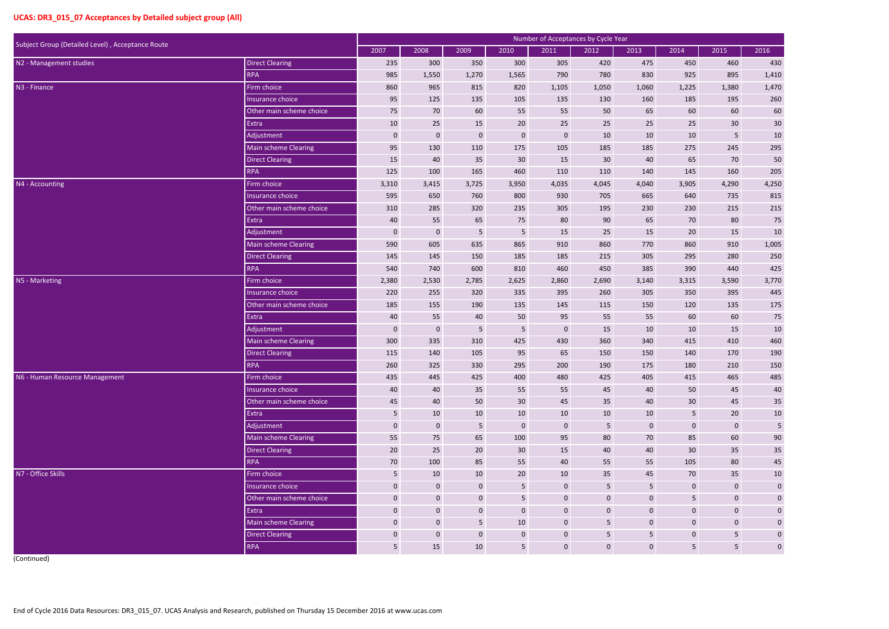|                                                  |                             |                |                  |                  |                  |             | Number of Acceptances by Cycle Year |                 |                 |                 |                  |
|--------------------------------------------------|-----------------------------|----------------|------------------|------------------|------------------|-------------|-------------------------------------|-----------------|-----------------|-----------------|------------------|
| Subject Group (Detailed Level), Acceptance Route |                             | 2007           | 2008             | 2009             | 2010             | 2011        | 2012                                | 2013            | 2014            | 2015            | 2016             |
| N2 - Management studies                          | <b>Direct Clearing</b>      | 235            | 300              | 350              | 300              | 305         | 420                                 | 475             | 450             | 460             | 430              |
|                                                  | <b>RPA</b>                  | 985            | 1,550            | 1,270            | 1,565            | 790         | 780                                 | 830             | 925             | 895             | 1,410            |
| N3 - Finance                                     | Firm choice                 | 860            | 965              | 815              | 820              | 1,105       | 1,050                               | 1,060           | 1,225           | 1,380           | 1,470            |
|                                                  | Insurance choice            | 95             | 125              | 135              | 105              | 135         | 130                                 | 160             | 185             | 195             | 260              |
|                                                  | Other main scheme choice    | 75             | 70               | 60               | 55               | 55          | 50                                  | 65              | 60              | 60              | 60               |
|                                                  | Extra                       | 10             | 25               | 15               | 20               | 25          | 25                                  | 25              | 25              | 30 <sup>°</sup> | $30\,$           |
|                                                  | Adjustment                  | $\mathbf 0$    | $\boldsymbol{0}$ | $\boldsymbol{0}$ | $\pmb{0}$        | $\mathbf 0$ | 10                                  | 10              | $10\,$          | 5               | $10\,$           |
|                                                  | <b>Main scheme Clearing</b> | 95             | 130              | 110              | 175              | 105         | 185                                 | 185             | 275             | 245             | 295              |
|                                                  | <b>Direct Clearing</b>      | 15             | 40               | 35               | 30               | 15          | 30                                  | 40              | 65              | 70              | 50               |
|                                                  | <b>RPA</b>                  | 125            | 100              | 165              | 460              | 110         | 110                                 | 140             | 145             | 160             | 205              |
| N4 - Accounting                                  | Firm choice                 | 3,310          | 3,415            | 3,725            | 3,950            | 4,035       | 4,045                               | 4,040           | 3,905           | 4,290           | 4,250            |
|                                                  | Insurance choice            | 595            | 650              | 760              | 800              | 930         | 705                                 | 665             | 640             | 735             | 815              |
|                                                  | Other main scheme choice    | 310            | 285              | 320              | 235              | 305         | 195                                 | 230             | 230             | 215             | 215              |
|                                                  | Extra                       | 40             | 55               | 65               | 75               | 80          | 90                                  | 65              | 70              | 80              | $75\,$           |
|                                                  | Adjustment                  | $\mathbf 0$    | $\mathbf 0$      | 5                | $5\phantom{.0}$  | 15          | 25                                  | 15              | 20              | 15              | 10               |
|                                                  | Main scheme Clearing        | 590            | 605              | 635              | 865              | 910         | 860                                 | 770             | 860             | 910             | 1,005            |
|                                                  | <b>Direct Clearing</b>      | 145            | 145              | 150              | 185              | 185         | 215                                 | 305             | 295             | 280             | 250              |
|                                                  | <b>RPA</b>                  | 540            | 740              | 600              | 810              | 460         | 450                                 | 385             | 390             | 440             | 425              |
| N5 - Marketing                                   | Firm choice                 | 2,380          | 2,530            | 2,785            | 2,625            | 2,860       | 2,690                               | 3,140           | 3,315           | 3,590           | 3,770            |
|                                                  | Insurance choice            | 220            | 255              | 320              | 335              | 395         | 260                                 | 305             | 350             | 395             | 445              |
|                                                  | Other main scheme choice    | 185            | 155              | 190              | 135              | 145         | 115                                 | 150             | 120             | 135             | 175              |
|                                                  | Extra                       | 40             | 55               | 40               | 50               | 95          | 55                                  | 55              | 60              | 60              | $75\,$           |
|                                                  | Adjustment                  | $\mathbf 0$    | $\mathbf 0$      | $5\phantom{.0}$  | $\overline{5}$   | $\mathbf 0$ | 15                                  | 10              | 10              | 15              | $10\,$           |
|                                                  | <b>Main scheme Clearing</b> | 300            | 335              | 310              | 425              | 430         | 360                                 | 340             | 415             | 410             | 460              |
|                                                  | <b>Direct Clearing</b>      | 115            | 140              | 105              | 95               | 65          | 150                                 | 150             | 140             | 170             | 190              |
|                                                  | <b>RPA</b>                  | 260            | 325              | 330              | 295              | 200         | 190                                 | 175             | 180             | 210             | 150              |
| N6 - Human Resource Management                   | Firm choice                 | 435            | 445              | 425              | 400              | 480         | 425                                 | 405             | 415             | 465             | 485              |
|                                                  | Insurance choice            | 40             | 40               | 35               | 55               | 55          | 45                                  | 40              | 50              | 45              | 40               |
|                                                  | Other main scheme choice    | 45             | 40               | 50               | 30               | 45          | 35                                  | 40              | 30              | 45              | $35\,$           |
|                                                  | Extra                       | 5              | 10               | 10               | 10               | 10          | $10\,$                              | 10              | $5\phantom{.}$  | 20              | $10\,$           |
|                                                  | Adjustment                  | $\mathbf 0$    | $\mathbf 0$      | 5 <sub>5</sub>   | $\boldsymbol{0}$ | $\mathbf 0$ | $5\phantom{.0}$                     | $\mathbf{0}$    | $\mathbf 0$     | $\mathbf 0$     | $\sqrt{5}$       |
|                                                  | Main scheme Clearing        | 55             | 75               | 65               | 100              | 95          | 80                                  | 70              | 85              | 60              | $90\,$           |
|                                                  | <b>Direct Clearing</b>      | $20\degree$    | 25               | 20               | 30               | 15          | 40                                  | 40              | 30              | 35              | $35\,$           |
|                                                  | <b>RPA</b>                  | 70             | 100              | 85               | 55               | 40          | 55                                  | 55              | 105             | 80              | $45\,$           |
| N7 - Office Skills                               | Firm choice                 | $5\phantom{.}$ | 10               | 10               | 20               | 10          | 35                                  | 45              | 70              | 35              | $10\,$           |
|                                                  | Insurance choice            | $\mathbf 0$    | $\mathbf 0$      | $\mathbf 0$      | $5\phantom{.}$   | $\mathbf 0$ | $\overline{5}$                      | 5               | $\mathbf 0$     | $\mathbf 0$     | $\pmb{0}$        |
|                                                  | Other main scheme choice    | $\mathbf 0$    | $\bf 0$          | $\mathbf 0$      | $5\phantom{.}$   | $\mathbf 0$ | $\boldsymbol{0}$                    | $\mathbf 0$     | $5\phantom{.0}$ | $\mathbf 0$     | $\mathbf 0$      |
|                                                  | Extra                       | $\mathbf 0$    | $\bf 0$          | $\mathbf 0$      | $\bf 0$          | $\mathbf 0$ | $\bf 0$                             | $\mathbf 0$     | $\mathbf 0$     | $\mathbf 0$     | $\boldsymbol{0}$ |
|                                                  | Main scheme Clearing        | $\mathbf 0$    | $\bf 0$          | 5 <sub>5</sub>   | 10               | $\pmb{0}$   | 5                                   | $\mathbf 0$     | $\mathbf{0}$    | $\mathbf 0$     | $\boldsymbol{0}$ |
|                                                  | <b>Direct Clearing</b>      | $\mathbf 0$    | $\bf 0$          | $\mathbf 0$      | $\mathbf 0$      | $\pmb{0}$   | $5\phantom{.0}$                     | $5\phantom{.0}$ | $\mathbf{0}$    | 5               | $\pmb{0}$        |
|                                                  | <b>RPA</b>                  | $5\phantom{.}$ | 15               | 10               | 5 <sub>5</sub>   | $\mathbf 0$ | $\boldsymbol{0}$                    | $\mathbf 0$     | 5 <sub>1</sub>  | 5               | $\boldsymbol{0}$ |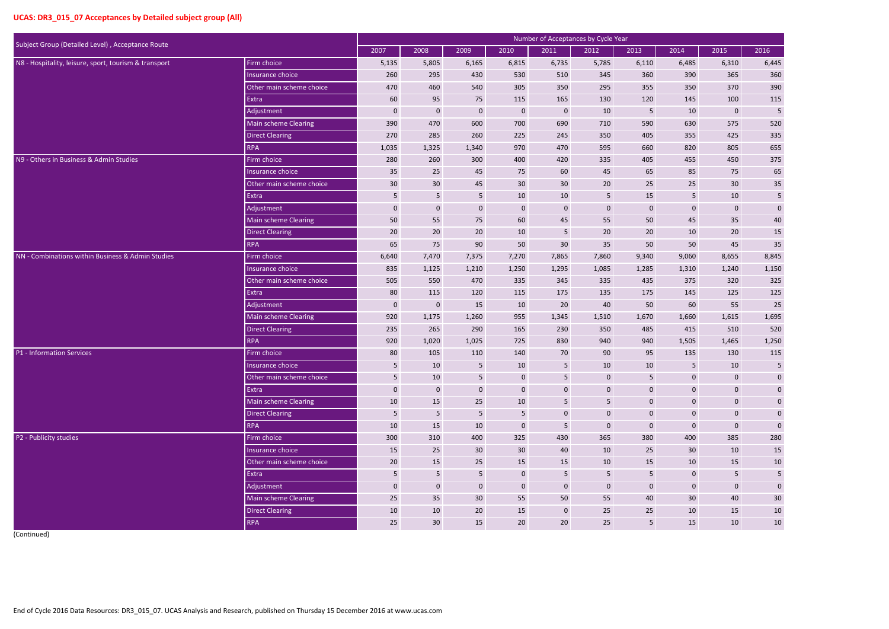| Subject Group (Detailed Level), Acceptance Route                                         |                          |                  |                  |                  |                 | Number of Acceptances by Cycle Year |                  |                  |                 |                 |                         |
|------------------------------------------------------------------------------------------|--------------------------|------------------|------------------|------------------|-----------------|-------------------------------------|------------------|------------------|-----------------|-----------------|-------------------------|
|                                                                                          |                          | 2007             | 2008             | 2009             | 2010            | 2011                                | 2012             | 2013             | 2014            | 2015            | 2016                    |
| Firm choice<br>N8 - Hospitality, leisure, sport, tourism & transport<br>Insurance choice |                          | 5,135            | 5,805            | 6,165            | 6,815           | 6,735                               | 5,785            | 6,110            | 6,485           | 6,310           | 6,445                   |
|                                                                                          |                          | 260              | 295              | 430              | 530             | 510                                 | 345              | 360              | 390             | 365             | 360                     |
|                                                                                          | Other main scheme choice | 470              | 460              | 540              | 305             | 350                                 | 295              | 355              | 350             | 370             | 390                     |
|                                                                                          | Extra                    | 60               | 95               | 75               | 115             | 165                                 | 130              | 120              | 145             | 100             | 115                     |
|                                                                                          | Adjustment               | $\mathbf 0$      | $\mathbf 0$      | $\boldsymbol{0}$ | $\mathbf 0$     | $\mathbf 0$                         | 10               | 5                | 10              | $\mathbf 0$     | $\sqrt{5}$              |
|                                                                                          | Main scheme Clearing     | 390              | 470              | 600              | 700             | 690                                 | 710              | 590              | 630             | 575             | 520                     |
|                                                                                          | <b>Direct Clearing</b>   | 270              | 285              | 260              | 225             | 245                                 | 350              | 405              | 355             | 425             | 335                     |
|                                                                                          | <b>RPA</b>               | 1,035            | 1,325            | 1,340            | 970             | 470                                 | 595              | 660              | 820             | 805             | 655                     |
| N9 - Others in Business & Admin Studies                                                  | Firm choice              | 280              | 260              | 300              | 400             | 420                                 | 335              | 405              | 455             | 450             | 375                     |
|                                                                                          | Insurance choice         | 35               | 25               | 45               | 75              | 60                                  | 45               | 65               | 85              | 75              | 65                      |
|                                                                                          | Other main scheme choice | 30               | $30\,$           | 45               | 30              | 30                                  | 20               | 25               | 25              | 30 <sup>°</sup> | $35\,$                  |
|                                                                                          | <b>Extra</b>             | 5                | 5 <sub>5</sub>   | $5\phantom{.}$   | 10              | 10                                  | $5\phantom{.0}$  | 15               | 5 <sub>1</sub>  | 10              | $\overline{\mathbf{5}}$ |
|                                                                                          | Adjustment               | $\boldsymbol{0}$ | $\boldsymbol{0}$ | $\boldsymbol{0}$ | $\mathbf{0}$    | $\bf{0}$                            | $\mathbf{0}$     | $\boldsymbol{0}$ | $\mathbf 0$     | $\mathbf 0$     | $\pmb{0}$               |
|                                                                                          | Main scheme Clearing     | 50               | 55               | 75               | 60              | 45                                  | 55               | 50               | 45              | 35              | $40\,$                  |
|                                                                                          | <b>Direct Clearing</b>   | 20               | 20               | 20               | 10              | 5                                   | 20               | 20               | 10              | 20              | $15\,$                  |
|                                                                                          | <b>RPA</b>               | 65               | 75               | 90               | 50              | 30                                  | 35               | 50               | 50              | 45              | $35\,$                  |
| NN - Combinations within Business & Admin Studies                                        | Firm choice              | 6,640            | 7,470            | 7,375            | 7,270           | 7,865                               | 7,860            | 9,340            | 9,060           | 8,655           | 8,845                   |
|                                                                                          | Insurance choice         | 835              | 1,125            | 1,210            | 1,250           | 1,295                               | 1,085            | 1,285            | 1,310           | 1,240           | 1,150                   |
|                                                                                          | Other main scheme choice | 505              | 550              | 470              | 335             | 345                                 | 335              | 435              | 375             | 320             | 325                     |
|                                                                                          | Extra                    | 80               | 115              | 120              | 115             | 175                                 | 135              | 175              | 145             | 125             | 125                     |
|                                                                                          | Adjustment               | $\bf{0}$         | $\mathbf 0$      | 15               | 10              | 20                                  | 40               | 50               | 60              | 55              | $25\,$                  |
|                                                                                          | Main scheme Clearing     | 920              | 1,175            | 1,260            | 955             | 1,345                               | 1,510            | 1,670            | 1,660           | 1,615           | 1,695                   |
|                                                                                          | <b>Direct Clearing</b>   | 235              | 265              | 290              | 165             | 230                                 | 350              | 485              | 415             | 510             | 520                     |
|                                                                                          | <b>RPA</b>               | 920              | 1,020            | 1,025            | 725             | 830                                 | 940              | 940              | 1,505           | 1,465           | 1,250                   |
| P1 - Information Services                                                                | Firm choice              | 80               | 105              | 110              | 140             | 70                                  | 90               | 95               | 135             | 130             | 115                     |
|                                                                                          | Insurance choice         | 5                | 10               | 5                | 10              | 5                                   | 10               | 10               | 5               | 10              | 5                       |
|                                                                                          | Other main scheme choice | 5 <sub>5</sub>   | 10               | $5\phantom{.}$   | $\mathbf 0$     | $5\phantom{.}$                      | $\boldsymbol{0}$ | $5\phantom{.}$   | $\mathbf{0}$    | $\mathbf 0$     | $\pmb{0}$               |
|                                                                                          | Extra                    | $\mathbf 0$      | $\bf 0$          | $\mathbf 0$      | $\bf 0$         | $\mathbf 0$                         | $\bf 0$          | $\mathbf 0$      | $\mathbf 0$     | $\mathbf 0$     | $\mathbf{0}$            |
|                                                                                          | Main scheme Clearing     | 10               | 15               | 25               | 10              | $\overline{5}$                      | $5\phantom{.}$   | $\mathbf 0$      | $\mathbf{0}$    | $\mathbf 0$     | $\mathbf{0}$            |
|                                                                                          | <b>Direct Clearing</b>   | 5 <sub>5</sub>   | $5\phantom{.}$   | $\overline{5}$   | 5 <sup>1</sup>  | $\pmb{0}$                           | $\mathbf 0$      | $\mathbf 0$      | $\mathbf 0$     | $\mathbf 0$     | $\pmb{0}$               |
|                                                                                          | <b>RPA</b>               | 10               | 15               | 10               | $\mathbf 0$     | 5                                   | $\bf 0$          | $\mathbf 0$      | $\mathbf 0$     | $\mathbf 0$     | $\pmb{0}$               |
| P2 - Publicity studies                                                                   | Firm choice              | 300              | 310              | 400              | 325             | 430                                 | 365              | 380              | 400             | 385             | 280                     |
|                                                                                          | Insurance choice         | 15               | 25               | 30 <sup>°</sup>  | 30              | 40                                  | 10               | 25               | 30 <sup>°</sup> | 10              | 15                      |
|                                                                                          | Other main scheme choice | 20               | 15               | 25               | 15              | 15                                  | 10               | 15               | 10              | 15              | $10\,$                  |
|                                                                                          | Extra                    | 5 <sub>1</sub>   | $5\phantom{.}$   | $5\phantom{.}$   | $\overline{0}$  | $5\overline{)}$                     | $5\phantom{.}$   | $5\phantom{.}$   | $\mathbf{0}$    | $5\phantom{.}$  | $\overline{\mathbf{5}}$ |
|                                                                                          | Adjustment               | $\mathbf 0$      | $\bf 0$          | $\mathbf 0$      | $\mathbf{0}$    | $\bf{0}$                            | $\mathbf 0$      | $\mathbf{0}$     | $\mathbf{0}$    | $\mathbf 0$     | $\pmb{0}$               |
|                                                                                          | Main scheme Clearing     | 25               | 35               | 30 <sup>°</sup>  | 55              | 50                                  | 55               | 40               | 30 <sup>°</sup> | 40              | $30\,$                  |
|                                                                                          | <b>Direct Clearing</b>   | 10               | 10               | 20               | 15              | $\mathbf{0}$                        | 25               | 25               | 10              | 15              | 10                      |
|                                                                                          | <b>RPA</b>               | 25               | 30 <sup>°</sup>  | 15               | 20 <sub>2</sub> | 20                                  | 25               | 5                | 15              | 10              | $10\,$                  |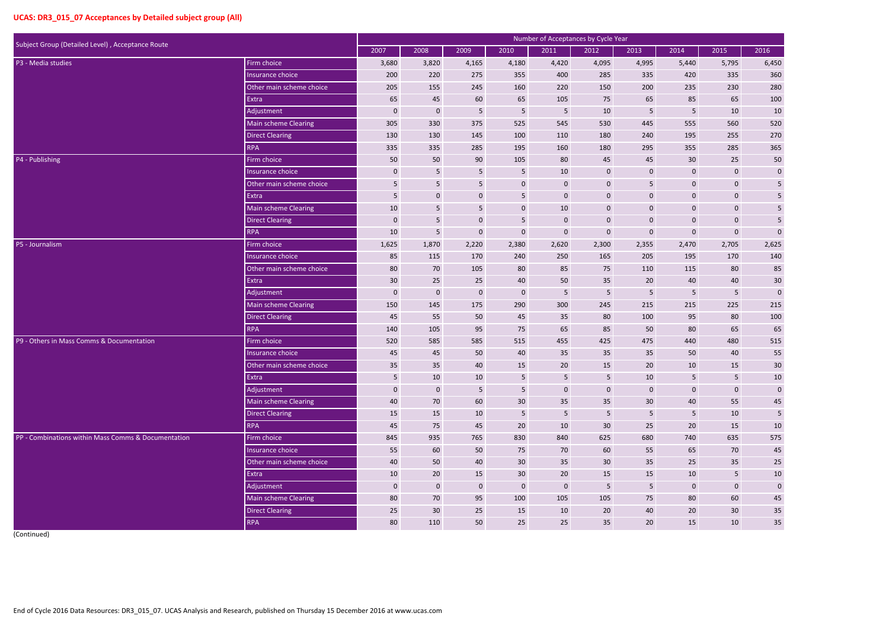| Subject Group (Detailed Level), Acceptance Route    |                             |                  |                 |                 |                 | Number of Acceptances by Cycle Year |                         |                  |                |                 |                         |
|-----------------------------------------------------|-----------------------------|------------------|-----------------|-----------------|-----------------|-------------------------------------|-------------------------|------------------|----------------|-----------------|-------------------------|
|                                                     |                             | 2007             | 2008            | 2009            | 2010            | 2011                                | 2012                    | 2013             | 2014           | 2015            | 2016                    |
| P3 - Media studies                                  | Firm choice                 | 3,680            | 3,820           | 4,165           | 4,180           | 4,420                               | 4,095                   | 4,995            | 5,440          | 5,795           | 6,450                   |
|                                                     | Insurance choice            | 200              | 220             | 275             | 355             | 400                                 | 285                     | 335              | 420            | 335             | 360                     |
|                                                     | Other main scheme choice    | 205              | 155             | 245             | 160             | 220                                 | 150                     | 200              | 235            | 230             | 280                     |
|                                                     | Extra                       | 65               | 45              | 60              | 65              | 105                                 | 75                      | 65               | 85             | 65              | 100                     |
|                                                     | Adjustment                  | $\mathbf 0$      | $\mathbf 0$     | 5               | 5               | 5                                   | 10                      | 5                | 5              | 10              | 10                      |
|                                                     | Main scheme Clearing        | 305              | 330             | 375             | 525             | 545                                 | 530                     | 445              | 555            | 560             | 520                     |
|                                                     | <b>Direct Clearing</b>      | 130              | 130             | 145             | 100             | 110                                 | 180                     | 240              | 195            | 255             | 270                     |
|                                                     | <b>RPA</b>                  | 335              | 335             | 285             | 195             | 160                                 | 180                     | 295              | 355            | 285             | 365                     |
| P4 - Publishing                                     | Firm choice                 | 50               | 50              | 90              | 105             | 80                                  | 45                      | 45               | 30             | 25              | 50                      |
|                                                     | Insurance choice            | 0                | 5               | 5               | $\overline{5}$  | 10                                  | $\mathbf 0$             | $\mathbf{0}$     | $\mathbf 0$    | $\mathbf 0$     | $\pmb{0}$               |
|                                                     | Other main scheme choice    | 5 <sup>5</sup>   | $\overline{5}$  | $5\phantom{.0}$ | $\mathbf 0$     | $\mathbf 0$                         | $\boldsymbol{0}$        | 5                | $\mathbf 0$    | $\mathbf 0$     | $\sqrt{5}$              |
|                                                     | Extra                       | 5                | $\bf{0}$        | $\mathbf 0$     | $\overline{5}$  | $\mathbf{0}$                        | $\mathbf 0$             | $\mathbf{0}$     | $\mathbf 0$    | $\mathbf 0$     | $\overline{\mathbf{5}}$ |
|                                                     | Main scheme Clearing        | 10               | 5               | 5               | $\mathbf{0}$    | 10                                  | $\mathbf 0$             | $\mathbf{0}$     | $\mathbf 0$    | $\mathbf 0$     | 5                       |
|                                                     | <b>Direct Clearing</b>      | $\mathbf 0$      | $5\phantom{.0}$ | $\mathbf 0$     | $\overline{5}$  | $\mathbf 0$                         | $\mathbf 0$             | $\mathbf{0}$     | $\mathbf 0$    | $\mathbf 0$     | $\overline{\mathbf{5}}$ |
|                                                     | <b>RPA</b>                  | 10               | $5\phantom{.0}$ | $\mathbf 0$     | $\mathbf 0$     | $\mathbf 0$                         | $\mathbf 0$             | $\mathbf{0}$     | $\mathbf 0$    | $\mathbf 0$     | $\mathbf 0$             |
| P5 - Journalism                                     | Firm choice                 | 1,625            | 1,870           | 2,220           | 2,380           | 2,620                               | 2,300                   | 2,355            | 2,470          | 2,705           | 2,625                   |
|                                                     | Insurance choice            | 85               | 115             | 170             | 240             | 250                                 | 165                     | 205              | 195            | 170             | 140                     |
|                                                     | Other main scheme choice    | 80               | 70              | 105             | 80              | 85                                  | 75                      | 110              | 115            | 80              | 85                      |
|                                                     | Extra                       | 30               | 25              | 25              | 40              | 50                                  | 35                      | 20               | 40             | 40              | 30                      |
|                                                     | Adjustment                  | $\boldsymbol{0}$ | $\mathbf 0$     | $\mathbf{0}$    | $\mathbf 0$     | 5                                   | 5                       | 5                | $5\phantom{.}$ | 5               | $\mathbf 0$             |
|                                                     | <b>Main scheme Clearing</b> | 150              | 145             | 175             | 290             | 300                                 | 245                     | 215              | 215            | 225             | 215                     |
|                                                     | <b>Direct Clearing</b>      | 45               | 55              | 50              | 45              | 35                                  | 80                      | 100              | 95             | 80              | 100                     |
|                                                     | <b>RPA</b>                  | 140              | 105             | 95              | 75              | 65                                  | 85                      | 50               | 80             | 65              | 65                      |
| P9 - Others in Mass Comms & Documentation           | Firm choice                 | 520              | 585             | 585             | 515             | 455                                 | 425                     | 475              | 440            | 480             | 515                     |
|                                                     | Insurance choice            | 45               | 45              | 50              | 40              | 35                                  | 35                      | 35               | 50             | 40              | 55                      |
|                                                     | Other main scheme choice    | 35               | 35              | 40              | 15              | 20                                  | 15                      | 20               | 10             | 15              | 30                      |
|                                                     | Extra                       | 5                | $10\,$          | 10              | $5\phantom{.0}$ | $5\phantom{.0}$                     | $5\phantom{.0}$         | 10               | $5\phantom{.}$ | $5\phantom{.}$  | $10\,$                  |
|                                                     | Adjustment                  | $\mathbf 0$      | $\pmb{0}$       | $5\phantom{.0}$ | $5\phantom{.0}$ | $\boldsymbol{0}$                    | $\mathbf 0$             | $\boldsymbol{0}$ | $\bf 0$        | $\mathbf 0$     | $\boldsymbol{0}$        |
|                                                     | Main scheme Clearing        | 40               | 70              | 60              | 30 <sup>°</sup> | 35                                  | 35                      | 30 <sup>°</sup>  | 40             | 55              | 45                      |
|                                                     | <b>Direct Clearing</b>      | 15               | 15              | 10              | $\overline{5}$  | 5                                   | $\overline{\mathbf{5}}$ | $5\phantom{.}$   | $5\phantom{.}$ | 10              | $\sqrt{5}$              |
|                                                     | <b>RPA</b>                  | 45               | 75              | 45              | 20              | 10                                  | 30                      | 25               | 20             | 15              | $10\,$                  |
| PP - Combinations within Mass Comms & Documentation | Firm choice                 | 845              | 935             | 765             | 830             | 840                                 | 625                     | 680              | 740            | 635             | 575                     |
|                                                     | Insurance choice            | 55               | 60              | 50              | 75              | 70                                  | 60                      | 55               | 65             | 70              | 45                      |
|                                                     | Other main scheme choice    | 40               | 50              | 40              | 30 <sup>°</sup> | 35                                  | 30 <sup>°</sup>         | 35               | 25             | 35              | $25\,$                  |
|                                                     | Extra                       | 10               | 20              | 15              | 30 <sup>°</sup> | 20                                  | 15                      | 15               | 10             | $5\phantom{.0}$ | $10\,$                  |
|                                                     | Adjustment                  | $\mathbf 0$      | $\pmb{0}$       | $\mathbf 0$     | $\mathbf 0$     | $\mathbf 0$                         | 5                       | $5\phantom{.}$   | $\mathbf{0}$   | $\mathbf 0$     | $\pmb{0}$               |
|                                                     | Main scheme Clearing        | 80               | 70              | 95              | 100             | 105                                 | 105                     | 75               | 80             | 60              | $45\,$                  |
|                                                     | Direct Clearing             | 25               | 30              | 25              | 15              | 10                                  | 20                      | 40               | 20             | 30 <sup>°</sup> | $35\,$                  |
|                                                     | <b>RPA</b>                  | 80               | 110             | 50              | 25              | 25                                  | 35                      | 20               | 15             | 10              | $35\,$                  |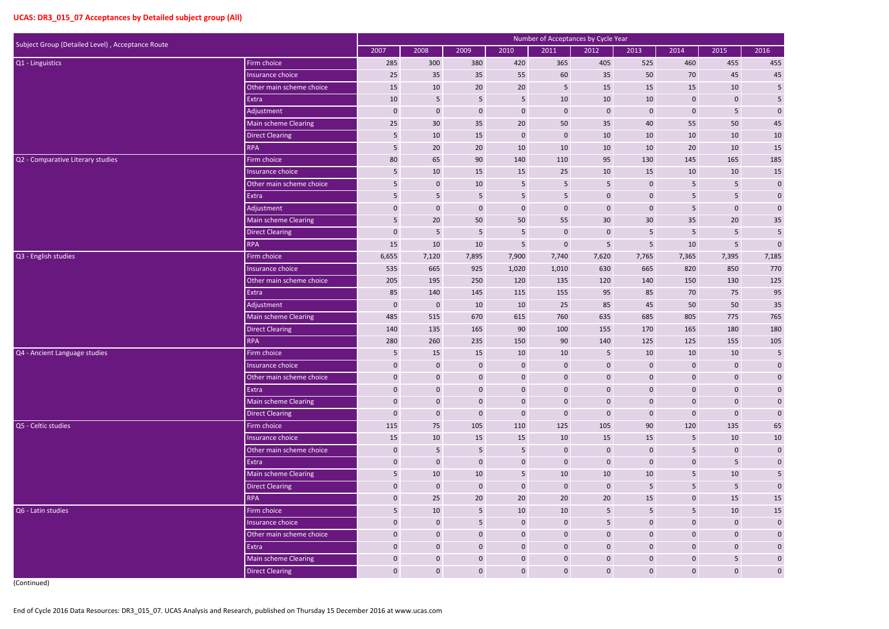| Subject Group (Detailed Level), Acceptance Route | Number of Acceptances by Cycle Year |                 |                  |                 |                  |                 |                  |                 |                 |                 |                         |  |
|--------------------------------------------------|-------------------------------------|-----------------|------------------|-----------------|------------------|-----------------|------------------|-----------------|-----------------|-----------------|-------------------------|--|
|                                                  |                                     | 2007            | 2008             | 2009            | 2010             | 2011            | 2012             | 2013            | 2014            | 2015            | 2016                    |  |
| Q1 - Linguistics                                 | Firm choice                         | 285             | 300              | 380             | 420              | 365             | 405              | 525             | 460             | 455             | 455                     |  |
|                                                  | Insurance choice                    | 25              | 35               | 35              | 55               | 60              | 35               | 50              | 70              | 45              | 45                      |  |
|                                                  | Other main scheme choice            | 15              | $10\,$           | 20              | 20               | $5\phantom{.0}$ | 15               | 15              | 15              | 10              | $\overline{\mathbf{5}}$ |  |
|                                                  | Extra                               | 10              | $\overline{5}$   | $5\phantom{.0}$ | $5\phantom{.0}$  | 10              | 10               | 10              | $\pmb{0}$       | $\mathbf 0$     | $\overline{\mathbf{5}}$ |  |
|                                                  | Adjustment                          | $\mathbf 0$     | $\mathbf 0$      | $\mathbf 0$     | $\boldsymbol{0}$ | $\mathbf 0$     | $\mathbf 0$      | $\mathbf 0$     | $\pmb{0}$       | $5\phantom{.}$  | $\pmb{0}$               |  |
|                                                  | <b>Main scheme Clearing</b>         | 25              | 30               | 35              | 20               | 50              | 35               | 40              | 55              | 50              | $45\,$                  |  |
|                                                  | <b>Direct Clearing</b>              | 5               | $10\,$           | 15              | $\boldsymbol{0}$ | $\pmb{0}$       | 10               | 10              | $10\,$          | 10              | 10                      |  |
|                                                  | <b>RPA</b>                          | $5\phantom{.0}$ | 20               | 20              | 10               | 10              | 10               | 10              | 20              | 10              | 15                      |  |
| Q2 - Comparative Literary studies                | Firm choice                         | 80              | 65               | 90              | 140              | 110             | 95               | 130             | 145             | 165             | 185                     |  |
|                                                  | Insurance choice                    | 5               | $10\,$           | 15              | 15               | 25              | $10\,$           | 15              | 10              | 10              | $15\,$                  |  |
|                                                  | Other main scheme choice            | $5\phantom{.0}$ | $\mathbf 0$      | 10              | $\sqrt{5}$       | $\overline{5}$  | $\overline{5}$   | $\mathbf 0$     | 5               | $\overline{5}$  | $\boldsymbol{0}$        |  |
|                                                  | Extra                               | 5               | 5                | 5               | 5                | $5\phantom{.0}$ | $\mathbf 0$      | $\mathbf 0$     | 5               | $5\phantom{.0}$ | $\pmb{0}$               |  |
|                                                  | Adjustment                          | $\mathbf 0$     | $\mathbf 0$      | $\mathbf 0$     | $\mathbf 0$      | $\mathbf 0$     | $\mathbf 0$      | $\mathbf 0$     | 5               | $\mathbf{0}$    | ${\bf 0}$               |  |
|                                                  | <b>Main scheme Clearing</b>         | $5\phantom{.0}$ | $20\,$           | 50              | 50               | 55              | 30               | 30 <sup>°</sup> | 35              | $20\degree$     | $35$                    |  |
|                                                  | <b>Direct Clearing</b>              | $\mathbf 0$     | 5                | 5               | $\overline{5}$   | $\mathbf 0$     | $\mathbf 0$      | 5               | 5               | $5\phantom{.}$  | $\overline{\mathbf{5}}$ |  |
|                                                  | <b>RPA</b>                          | 15              | $10\,$           | 10              | 5                | $\pmb{0}$       | 5                | 5               | 10              | $5\phantom{.0}$ | $\pmb{0}$               |  |
| Q3 - English studies                             | Firm choice                         | 6,655           | 7,120            | 7,895           | 7,900            | 7,740           | 7,620            | 7,765           | 7,365           | 7,395           | 7,185                   |  |
|                                                  | Insurance choice                    | 535             | 665              | 925             | 1,020            | 1,010           | 630              | 665             | 820             | 850             | 770                     |  |
|                                                  | Other main scheme choice            | 205             | 195              | 250             | 120              | 135             | 120              | 140             | 150             | 130             | 125                     |  |
|                                                  | Extra                               | 85              | 140              | 145             | 115              | 155             | 95               | 85              | 70              | 75              | 95                      |  |
|                                                  | Adjustment                          | $\mathbf 0$     | $\boldsymbol{0}$ | 10              | 10               | 25              | 85               | 45              | 50              | 50              | $35\,$                  |  |
|                                                  | <b>Main scheme Clearing</b>         | 485             | 515              | 670             | 615              | 760             | 635              | 685             | 805             | 775             | 765                     |  |
|                                                  | <b>Direct Clearing</b>              | 140             | 135              | 165             | 90               | 100             | 155              | 170             | 165             | 180             | 180                     |  |
|                                                  | <b>RPA</b>                          | 280             | 260              | 235             | 150              | 90              | 140              | 125             | 125             | 155             | 105                     |  |
| Q4 - Ancient Language studies                    | Firm choice                         | 5               | 15               | 15              | 10               | 10              | 5                | 10              | 10              | 10              | 5                       |  |
|                                                  | Insurance choice                    | $\mathbf{0}$    | $\mathbf 0$      | $\mathbf{0}$    | $\pmb{0}$        | $\mathbf{0}$    | $\overline{0}$   | $\Omega$        | 0               | $\mathbf 0$     | $\pmb{0}$               |  |
|                                                  | Other main scheme choice            | $\mathbf 0$     | $\mathbf 0$      | $\mathbf 0$     | $\mathbf 0$      | $\pmb{0}$       | $\mathbf 0$      | $\mathbf 0$     | $\mathbf{0}$    | $\mathbf 0$     | $\pmb{0}$               |  |
|                                                  | Extra                               | $\mathbf 0$     | $\mathbf 0$      | $\mathbf 0$     | $\boldsymbol{0}$ | $\mathbf 0$     | $\mathbf 0$      | $\mathbf 0$     | $\mathbf{0}$    | $\mathbf 0$     | $\mathbf{0}$            |  |
|                                                  | Main scheme Clearing                | $\mathbf 0$     | $\mathbf 0$      | $\mathbf{0}$    | $\mathbf{0}$     | $\mathbf 0$     | $\mathbf 0$      | $\mathbf 0$     | $\mathbf{0}$    | $\mathbf{0}$    | $\mathbf{0}$            |  |
|                                                  | <b>Direct Clearing</b>              | $\mathbf 0$     | $\boldsymbol{0}$ | $\mathbf 0$     | $\pmb{0}$        | $\mathbf 0$     | $\mathbf 0$      | $\mathbf 0$     | $\mathbf{0}$    | $\mathbf{0}$    | $\pmb{0}$               |  |
| Q5 - Celtic studies                              | Firm choice                         | 115             | 75               | 105             | 110              | 125             | 105              | 90              | 120             | 135             | 65                      |  |
|                                                  | Insurance choice                    | 15              | 10               | 15              | 15               | 10              | 15               | 15              | 5               | 10              | $10\,$                  |  |
|                                                  | Other main scheme choice            | $\mathbf 0$     | $\overline{5}$   | $5\phantom{.0}$ | $5\phantom{.}$   | $\mathbf 0$     | $\mathbf 0$      | $\mathbf 0$     | 5               | $\mathbf{0}$    | $\pmb{0}$               |  |
|                                                  | Extra                               | $\mathbf 0$     | $\boldsymbol{0}$ | $\mathbf 0$     | $\pmb{0}$        | $\mathbf 0$     | $\boldsymbol{0}$ | $\mathbf 0$     | $\mathbf{0}$    | $5\phantom{.}$  | $\pmb{0}$               |  |
|                                                  | Main scheme Clearing                | 5               | 10               | 10              | $5\phantom{.}$   | 10              | 10               | 10              | 5               | 10              | $\overline{\mathbf{5}}$ |  |
|                                                  | <b>Direct Clearing</b>              | $\mathbf 0$     | $\boldsymbol{0}$ | $\mathbf 0$     | $\overline{0}$   | $\mathbf 0$     | $\mathbf 0$      | 5               | $5\phantom{.0}$ | $5\phantom{.}$  | $\boldsymbol{0}$        |  |
|                                                  | <b>RPA</b>                          | $\mathbf 0$     | 25               | 20              | 20               | 20              | 20               | 15              | $\mathbf{0}$    | 15              | $15\,$                  |  |
| Q6 - Latin studies                               | Firm choice                         | 5               | 10               | 5               | 10               | 10              | 5                | 5               | 5               | 10              | $15\,$                  |  |
|                                                  | Insurance choice                    | $\mathbf 0$     | $\mathbf 0$      | 5               | $\overline{0}$   | $\mathbf 0$     | 5                | $\mathbf 0$     | $\mathbf{0}$    | $\mathbf 0$     | $\pmb{0}$               |  |
|                                                  | Other main scheme choice            | $\mathbf 0$     | $\mathbf 0$      | $\mathbf 0$     | $\overline{0}$   | $\pmb{0}$       | $\mathbf 0$      | $\mathbf 0$     | $\mathbf{0}$    | $\mathbf{0}$    | $\boldsymbol{0}$        |  |
|                                                  | Extra                               | $\mathbf 0$     | $\boldsymbol{0}$ | $\mathbf 0$     | $\mathbf{0}$     | $\mathbf 0$     | $\mathbf 0$      | $\mathbf 0$     | $\mathbf 0$     | $\mathbf 0$     | $\mathbf{0}$            |  |
|                                                  | Main scheme Clearing                | $\mathbf 0$     | $\mathbf 0$      | $\mathbf 0$     | $\overline{0}$   | $\mathbf 0$     | $\mathbf 0$      | $\mathbf 0$     | $\mathbf{0}$    | 5               | $\mathbf{0}$            |  |
|                                                  | <b>Direct Clearing</b>              | $\mathbf{0}$    | $\mathbf{0}$     | $\mathbf{0}$    | $\overline{0}$   | $\pmb{0}$       | $\mathbf 0$      | $\mathbf 0$     | $\overline{0}$  | $\mathbf{0}$    | $\mathbf{0}$            |  |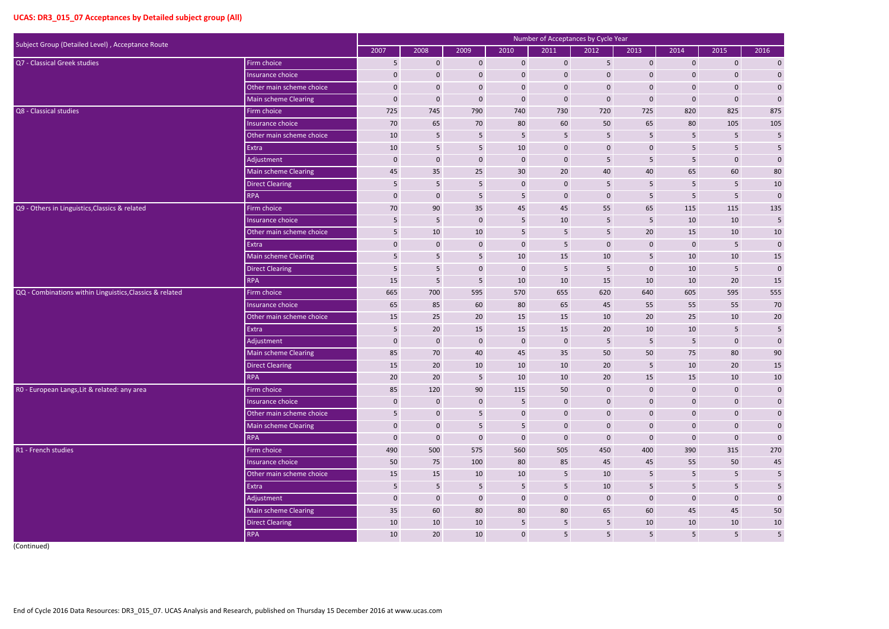| Subject Group (Detailed Level), Acceptance Route         |                             |                  |                  |                 |                 | Number of Acceptances by Cycle Year |                  |                  |                |                  |                         |
|----------------------------------------------------------|-----------------------------|------------------|------------------|-----------------|-----------------|-------------------------------------|------------------|------------------|----------------|------------------|-------------------------|
|                                                          |                             | 2007             | 2008             | 2009            | 2010            | 2011                                | 2012             | 2013             | 2014           | 2015             | 2016                    |
| Q7 - Classical Greek studies                             | Firm choice                 | $5\phantom{.}$   | $\mathbf 0$      | $\mathbf{0}$    | $\overline{0}$  | $\mathbf 0$                         | $5\phantom{.}$   | $\mathbf{0}$     | $\mathbf{0}$   | $\overline{0}$   | $\overline{0}$          |
|                                                          | Insurance choice            | $\mathbf{0}$     | $\mathbf 0$      | $\mathbf{0}$    | $\mathbf 0$     | $\mathbf{0}$                        | $\mathbf{0}$     | $\mathbf 0$      | 0              | $\mathbf{0}$     | $\mathbf{0}$            |
|                                                          | Other main scheme choice    | $\mathbf 0$      | $\pmb{0}$        | $\mathbf 0$     | $\pmb{0}$       | $\mathbf 0$                         | $\mathbf 0$      | $\mathbf{0}$     | $\overline{0}$ | $\boldsymbol{0}$ | $\mathbf 0$             |
|                                                          | <b>Main scheme Clearing</b> | $\mathbf{0}$     | $\pmb{0}$        | $\mathbf{0}$    | $\mathbf 0$     | $\mathbf 0$                         | $\mathbf 0$      | $\mathbf{0}$     | $\mathbf{0}$   | $\boldsymbol{0}$ | $\pmb{0}$               |
| Q8 - Classical studies                                   | Firm choice                 | 725              | 745              | 790             | 740             | 730                                 | 720              | 725              | 820            | 825              | 875                     |
|                                                          | Insurance choice            | 70               | 65               | 70              | 80              | 60                                  | 50               | 65               | 80             | 105              | 105                     |
|                                                          | Other main scheme choice    | 10               | $\sqrt{5}$       | $5\phantom{.}$  | $5\phantom{.}$  | 5                                   | 5                | 5                | 5              | 5                | 5                       |
|                                                          | Extra                       | 10               | $5\phantom{.}$   | 5               | 10              | $\mathbf 0$                         | $\mathbf 0$      | $\mathbf 0$      | 5              | $5\phantom{.}$   | $\sqrt{5}$              |
|                                                          | Adjustment                  | $\bf{0}$         | $\pmb{0}$        | $\mathbf 0$     | $\mathbf 0$     | $\mathbf 0$                         | $\overline{5}$   | 5                | 5              | $\mathbf 0$      | $\pmb{0}$               |
|                                                          | <b>Main scheme Clearing</b> | 45               | 35               | 25              | 30 <sup>°</sup> | 20                                  | 40               | 40               | 65             | 60               | $80\,$                  |
|                                                          | <b>Direct Clearing</b>      | 5                | $5\phantom{.0}$  | 5               | $\mathbf 0$     | $\mathbf 0$                         | $\overline{5}$   | 5                | 5              | 5                | $10\,$                  |
|                                                          | <b>RPA</b>                  | $\mathbf{0}$     | $\mathbf 0$      | 5               | 5               | $\mathbf{0}$                        | $\mathbf 0$      | 5                | 5              | $5\phantom{.0}$  | $\pmb{0}$               |
| Q9 - Others in Linguistics, Classics & related           | Firm choice                 | 70               | 90               | 35              | 45              | 45                                  | 55               | 65               | 115            | 115              | 135                     |
|                                                          | Insurance choice            | 5                | $5\phantom{.0}$  | $\mathbf{0}$    | 5               | 10                                  | 5                | 5                | 10             | 10               | 5                       |
|                                                          | Other main scheme choice    | 5                | 10               | 10              | 5               | 5                                   | 5                | $20\,$           | 15             | 10               | $10\,$                  |
|                                                          | Extra                       | $\mathbf 0$      | $\mathbf 0$      | $\mathbf{0}$    | $\mathbf 0$     | 5                                   | $\mathbf 0$      | $\mathbf{0}$     | $\mathbf{0}$   | 5                | $\pmb{0}$               |
|                                                          | Main scheme Clearing        | $5\phantom{.}$   | 5                | 5               | 10              | 15                                  | 10               | 5                | 10             | 10               | 15                      |
|                                                          | <b>Direct Clearing</b>      | 5                | 5 <sub>5</sub>   | $\mathbf 0$     | $\mathbf{0}$    | 5                                   | 5                | $\mathbf{0}$     | 10             | $5\phantom{.}$   | $\pmb{0}$               |
|                                                          | <b>RPA</b>                  | 15               | $\overline{5}$   | 5               | 10              | 10                                  | 15               | 10               | 10             | 20               | $15\,$                  |
| QQ - Combinations within Linguistics, Classics & related | Firm choice                 | 665              | 700              | 595             | 570             | 655                                 | 620              | 640              | 605            | 595              | 555                     |
|                                                          | Insurance choice            | 65               | 85               | 60              | 80              | 65                                  | 45               | 55               | 55             | 55               | 70                      |
|                                                          | Other main scheme choice    | 15               | 25               | 20              | 15              | 15                                  | 10               | 20               | 25             | 10               | $20\,$                  |
|                                                          | Extra                       | 5                | $20\,$           | 15              | 15              | 15                                  | 20               | 10               | 10             | 5                | $\sqrt{5}$              |
|                                                          | Adjustment                  | $\boldsymbol{0}$ | $\pmb{0}$        | $\mathbf{0}$    | $\mathbf{0}$    | $\mathbf 0$                         | 5                | 5                | 5              | $\boldsymbol{0}$ | $\mathbf 0$             |
|                                                          | Main scheme Clearing        | 85               | 70               | 40              | 45              | 35                                  | 50               | 50               | 75             | 80               | 90                      |
|                                                          | <b>Direct Clearing</b>      | 15               | 20               | 10              | 10              | 10                                  | 20               |                  | 10             | 20               | 15                      |
|                                                          | <b>RPA</b>                  | 20               | 20               | $5\phantom{.}$  | 10              | 10                                  | $20\,$           | 15               | 15             | 10               | 10                      |
| R0 - European Langs, Lit & related: any area             | Firm choice                 | 85               | 120              | 90              | 115             | 50                                  | $\bf 0$          | $\boldsymbol{0}$ | $\mathbf 0$    | $\boldsymbol{0}$ | $\mathbf 0$             |
|                                                          | Insurance choice            | $\mathbf{0}$     | $\mathbf 0$      | $\mathbf{0}$    | $5\phantom{.0}$ | $\mathbf 0$                         | $\mathbf 0$      | $\mathbf{0}$     | $\overline{0}$ | $\boldsymbol{0}$ | $\mathbf 0$             |
|                                                          | Other main scheme choice    | 5                | $\mathbf 0$      | $5\phantom{.0}$ | $\mathbf 0$     | $\boldsymbol{0}$                    | $\boldsymbol{0}$ | $\boldsymbol{0}$ | $\overline{0}$ | $\boldsymbol{0}$ | $\mathbf 0$             |
|                                                          | Main scheme Clearing        | $\mathbf{0}$     | $\mathbf 0$      | $5\phantom{.0}$ | 5 <sub>1</sub>  | $\boldsymbol{0}$                    | $\mathbf 0$      | $\mathbf 0$      | $\mathbf 0$    | $\boldsymbol{0}$ | $\mathbf 0$             |
|                                                          | <b>RPA</b>                  | $\mathbf{0}$     | $\boldsymbol{0}$ | $\bf 0$         | $\mathbf 0$     | $\mathbf 0$                         | $\mathbf 0$      | $\mathbf 0$      | $\mathbf 0$    | $\boldsymbol{0}$ | $\boldsymbol{0}$        |
| R1 - French studies                                      | Firm choice                 | 490              | 500              | 575             | 560             | 505                                 | 450              | 400              | 390            | 315              | 270                     |
|                                                          | Insurance choice            | 50               | 75               | 100             | 80              | 85                                  | 45               | 45               | 55             | 50               | $45\,$                  |
|                                                          | Other main scheme choice    | 15               | 15               | 10              | 10              | $5\phantom{.0}$                     | 10               | 5                | 5 <sub>1</sub> | 5                | $5\phantom{.0}$         |
|                                                          | Extra                       | $5\phantom{.}$   | $5\phantom{.0}$  | $5\phantom{.}$  | $5\phantom{.}$  | $5\phantom{.0}$                     | 10               | 5                | 5 <sup>1</sup> | 5                | $\overline{\mathbf{5}}$ |
|                                                          | Adjustment                  | $\mathbf 0$      | $\mathbf 0$      | $\bf 0$         | $\mathbf 0$     | $\boldsymbol{0}$                    | $\mathbf 0$      | $\mathbf{0}$     | $\mathbf 0$    | $\mathbf 0$      | $\boldsymbol{0}$        |
|                                                          | Main scheme Clearing        | 35               | 60               | 80              | 80              | 80                                  | 65               | 60               | 45             | 45               | $50\,$                  |
|                                                          | <b>Direct Clearing</b>      | 10               | 10               | 10              | $5\phantom{.0}$ | $5\phantom{.0}$                     | $5\phantom{.0}$  | 10               | 10             | 10               | $10\,$                  |
|                                                          | <b>RPA</b>                  | 10               | 20               | 10              | $\mathbf 0$     | $\overline{\mathbf{5}}$             | $5\phantom{.}$   | $5\phantom{.}$   | 5 <sub>5</sub> | $5\phantom{.}$   | $5\phantom{a}$          |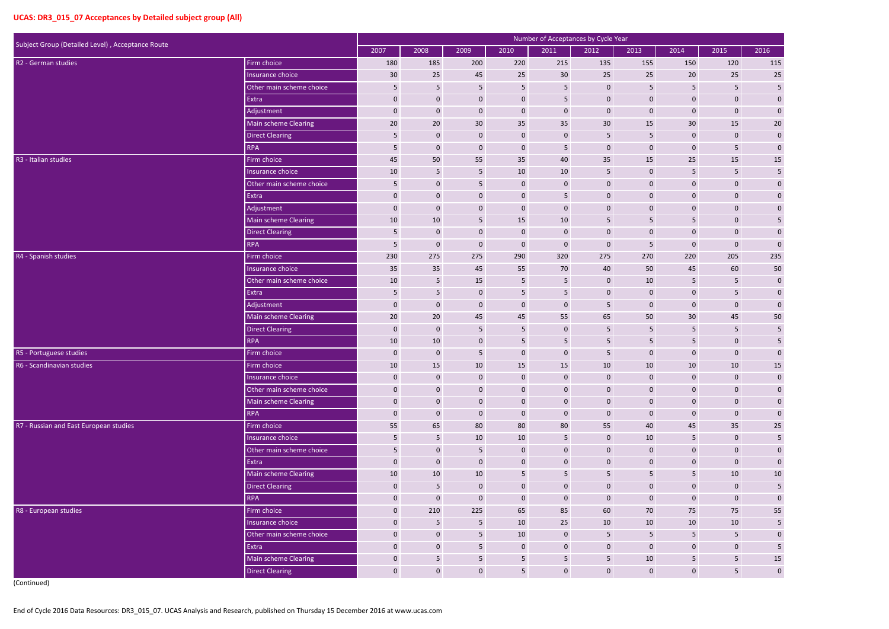| Subject Group (Detailed Level), Acceptance Route |                          |                  |                  |                 |                 | Number of Acceptances by Cycle Year |                  |                  |                |                 |                         |
|--------------------------------------------------|--------------------------|------------------|------------------|-----------------|-----------------|-------------------------------------|------------------|------------------|----------------|-----------------|-------------------------|
|                                                  |                          | 2007             | 2008             | 2009            | 2010            | 2011                                | 2012             | 2013             | 2014           | 2015            | 2016                    |
| R2 - German studies                              | Firm choice              | 180              | 185              | 200             | 220             | 215                                 | 135              | 155              | 150            | 120             | 115                     |
|                                                  | Insurance choice         | 30               | 25               | 45              | 25              | 30                                  | 25               | 25               | 20             | 25              | $25\,$                  |
|                                                  | Other main scheme choice | 5                | $\sqrt{5}$       | 5               | $\sqrt{5}$      | 5                                   | $\pmb{0}$        | 5                | 5              | $5\phantom{.}$  | $\sf 5$                 |
|                                                  | Extra                    | 0                | $\mathbf 0$      | $\mathbf{0}$    | $\mathbf 0$     | 5                                   | $\mathbf 0$      | $\mathbf{0}$     | $\mathbf 0$    | $\mathbf{0}$    | $\mathbf 0$             |
|                                                  | Adjustment               | $\boldsymbol{0}$ | $\mathbf 0$      | $\mathbf 0$     | $\mathbf 0$     | $\mathbf 0$                         | $\mathbf 0$      | $\mathbf 0$      | $\mathbf 0$    | $\mathbf{0}$    | $\boldsymbol{0}$        |
|                                                  | Main scheme Clearing     | 20               | 20               | 30              | 35              | 35                                  | $30\,$           | 15               | 30             | 15              | $20\,$                  |
|                                                  | <b>Direct Clearing</b>   | 5                | $\mathbf 0$      | $\mathbf 0$     | $\pmb{0}$       | $\mathbf 0$                         | 5                | 5                | $\mathbf 0$    | $\mathbf 0$     | $\mathbf 0$             |
|                                                  | <b>RPA</b>               | 5                | $\mathbf 0$      | $\mathbf 0$     | $\mathbf 0$     | 5                                   | $\mathbf 0$      | $\mathbf 0$      | $\mathbf 0$    | $5\phantom{.0}$ | $\mathbf 0$             |
| R3 - Italian studies                             | Firm choice              | 45               | 50               | 55              | 35              | 40                                  | 35               | 15               | 25             | 15              | $15\,$                  |
|                                                  | Insurance choice         | 10               | $\overline{5}$   | 5               | 10              | 10                                  | 5                | $\mathbf 0$      | 5              | 5               | $\sf 5$                 |
|                                                  | Other main scheme choice | 5                | $\mathbf 0$      | 5               | $\bf{0}$        | $\mathbf 0$                         | $\mathbf 0$      | $\mathbf 0$      | $\mathbf 0$    | $\mathbf{0}$    | $\boldsymbol{0}$        |
|                                                  | Extra                    | $\boldsymbol{0}$ | $\mathbf 0$      | $\mathbf 0$     | $\mathbf 0$     | 5                                   | $\mathbf 0$      | $\mathbf{0}$     | $\mathbf 0$    | $\mathbf{0}$    | $\pmb{0}$               |
|                                                  | Adjustment               | 0                | $\mathbf 0$      | $\mathbf 0$     | $\pmb{0}$       | $\boldsymbol{0}$                    | $\mathbf 0$      | $\mathbf 0$      | $\mathbf 0$    | $\pmb{0}$       | $\mathbf 0$             |
|                                                  | Main scheme Clearing     | 10               | 10               | 5               | 15              | 10                                  | 5                | 5                | 5              | $\mathbf 0$     | 5                       |
|                                                  | <b>Direct Clearing</b>   | 5                | $\mathbf 0$      | $\mathbf 0$     | $\mathbf{0}$    | $\mathbf 0$                         | $\mathbf 0$      | $\boldsymbol{0}$ | $\mathbf{0}$   | $\mathbf 0$     | $\pmb{0}$               |
|                                                  | <b>RPA</b>               | 5                | $\mathbf 0$      | $\mathbf 0$     | $\mathbf 0$     | $\mathbf 0$                         | $\mathbf 0$      | 5                | $\mathbf 0$    | $\mathbf{0}$    | $\mathbf 0$             |
| R4 - Spanish studies                             | Firm choice              | 230              | 275              | 275             | 290             | 320                                 | 275              | 270              | 220            | 205             | 235                     |
|                                                  | Insurance choice         | 35               | 35               | 45              | 55              | 70                                  | 40               | 50               | 45             | 60              | 50                      |
|                                                  | Other main scheme choice | 10               | 5                | 15              | 5               | 5                                   | $\mathbf 0$      | 10               |                | 5               | $\mathbf 0$             |
|                                                  | Extra                    | 5                | 5                | $\mathbf 0$     | 5               | 5                                   | $\pmb{0}$        | $\mathbf 0$      | $\mathbf 0$    | 5               | $\mathbf 0$             |
|                                                  | Adjustment               | $\mathbf 0$      | $\mathbf 0$      | $\mathbf{0}$    | $\mathbf 0$     | $\mathbf 0$                         | 5                | $\mathbf 0$      | $\mathbf 0$    | $\mathbf{0}$    | $\mathbf 0$             |
|                                                  | Main scheme Clearing     | 20               | 20               | 45              | 45              | 55                                  | 65               | 50               | 30             | 45              | 50                      |
|                                                  | Direct Clearing          | 0                | $\mathbf 0$      | 5               | 5               | $\mathbf 0$                         | 5                | 5                | 5              | $5\phantom{.}$  | $\sqrt{5}$              |
|                                                  | <b>RPA</b>               | 10               | $10\,$           | $\mathbf{0}$    | 5               | 5                                   | 5                | 5                | 5              | $\mathbf 0$     | 5                       |
| R5 - Portuguese studies                          | Firm choice              | $\mathbf{0}$     | $\mathbf 0$      | 5               | $\mathbf 0$     | $\mathbf 0$                         | 5                | $\overline{0}$   | $\mathbf 0$    | $\mathbf{0}$    | $\pmb{0}$               |
| R6 - Scandinavian studies                        | Firm choice              | 10               | 15               | 10              | 15              | 15                                  | 10               | 10               | 10             | 10              | 15                      |
|                                                  | Insurance choice         | $\mathbf 0$      | $\pmb{0}$        | $\mathbf 0$     | $\mathbf 0$     | $\boldsymbol{0}$                    | $\pmb{0}$        | $\mathbf 0$      | $\overline{0}$ | $\mathbf 0$     | $\boldsymbol{0}$        |
|                                                  | Other main scheme choice | $\mathbf 0$      | $\pmb{0}$        | $\mathbf{0}$    | $\mathbf 0$     | $\pmb{0}$                           | $\pmb{0}$        | $\pmb{0}$        | $\overline{0}$ | $\mathbf 0$     | $\mathbf 0$             |
|                                                  | Main scheme Clearing     | 0                | $\mathbf 0$      | $\mathbf 0$     | $\mathbf 0$     | $\boldsymbol{0}$                    | $\pmb{0}$        | $\mathbf 0$      | $\mathbf{0}$   | $\pmb{0}$       | $\pmb{0}$               |
|                                                  | <b>RPA</b>               | $\mathbf 0$      | $\pmb{0}$        | $\mathbf 0$     | $\pmb{0}$       | $\boldsymbol{0}$                    | $\pmb{0}$        | $\mathbf 0$      | $\mathbf{0}$   | $\pmb{0}$       | $\boldsymbol{0}$        |
| R7 - Russian and East European studies           | Firm choice              | 55               | 65               | 80              | 80              | 80                                  | 55               | 40               | 45             | 35              | $25\phantom{.0}$        |
|                                                  | Insurance choice         | 5                | $\overline{5}$   | 10              | 10              | 5                                   | $\mathbf 0$      | 10               | 5              | $\mathbf 0$     | $\overline{\mathbf{5}}$ |
|                                                  | Other main scheme choice | 5                | $\boldsymbol{0}$ | $5\phantom{.0}$ | $\mathbf 0$     | $\boldsymbol{0}$                    | $\pmb{0}$        | $\mathbf 0$      | $\mathbf{0}$   | $\mathbf{0}$    | $\pmb{0}$               |
|                                                  | Extra                    | $\pmb{0}$        | $\bf{0}$         | $\pmb{0}$       | $\mathbf 0$     | $\boldsymbol{0}$                    | $\pmb{0}$        | $\mathbf 0$      | $\mathbf{0}$   | $\pmb{0}$       | $\boldsymbol{0}$        |
|                                                  | Main scheme Clearing     | 10               | $10\,$           | 10              | 5               | 5                                   | 5                | 5                | 5              | 10              | $10\,$                  |
|                                                  | Direct Clearing          | 0                | $5\phantom{.0}$  | $\mathbf{0}$    | $\mathbf 0$     | $\mathbf 0$                         | $\mathbf{0}$     | $\mathbf 0$      | $\mathbf{0}$   | $\mathbf{0}$    | $\sqrt{5}$              |
|                                                  | <b>RPA</b>               | $\mathbf 0$      | $\pmb{0}$        | $\mathbf 0$     | $\mathbf 0$     | $\mathbf 0$                         | $\boldsymbol{0}$ | $\mathbf 0$      | $\mathbf{0}$   | $\pmb{0}$       | $\mathbf 0$             |
| R8 - European studies                            | Firm choice              | $\mathbf 0$      | 210              | 225             | 65              | 85                                  | 60               | 70               | 75             | 75              | 55                      |
|                                                  | Insurance choice         | $\mathbf 0$      | $\overline{5}$   | $5\phantom{.0}$ | $10\,$          | 25                                  | 10               | 10               | 10             | 10              | 5 <sub>1</sub>          |
|                                                  | Other main scheme choice | $\mathbf 0$      | $\pmb{0}$        | $5\phantom{.0}$ | 10              | $\pmb{0}$                           | $\sqrt{5}$       | $\overline{5}$   | $5\phantom{.}$ | $5\phantom{.0}$ | $\pmb{0}$               |
|                                                  | Extra                    | 0                | $\mathbf 0$      | 5 <sub>5</sub>  | $\mathbf{0}$    | $\mathbf 0$                         | $\mathbf 0$      | $\mathbf 0$      | $\mathbf 0$    | $\mathbf 0$     | $\overline{\mathbf{5}}$ |
|                                                  | Main scheme Clearing     | 0                | $\overline{5}$   | 5               | $\overline{5}$  | 5                                   | $\overline{5}$   | 10               | $5\phantom{.}$ | $5\phantom{.0}$ | 15                      |
|                                                  | Direct Clearing          | $\mathbf 0$      | $\mathbf 0$      | $\mathbf{0}$    | $5\phantom{.0}$ | $\pmb{0}$                           | $\pmb{0}$        | $\mathbf 0$      | $\mathbf{0}$   | 5 <sub>5</sub>  | $\boldsymbol{0}$        |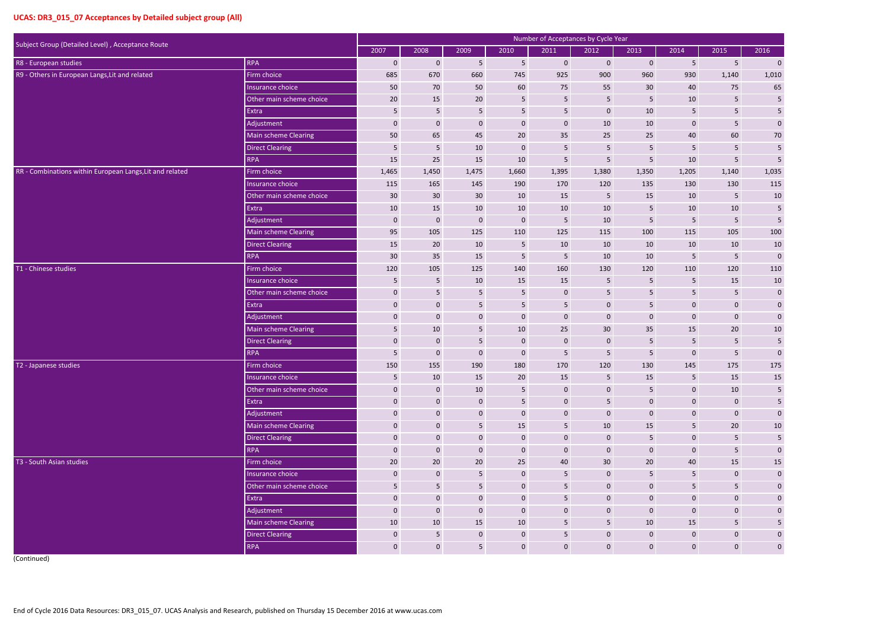|                                                                |                          |                 |                  |                 | Number of Acceptances by Cycle Year |                  |                         |                 |                 |                 |                         |
|----------------------------------------------------------------|--------------------------|-----------------|------------------|-----------------|-------------------------------------|------------------|-------------------------|-----------------|-----------------|-----------------|-------------------------|
| Subject Group (Detailed Level), Acceptance Route<br><b>RPA</b> |                          | 2007            | 2008             | 2009            | 2010                                | 2011             | 2012                    | 2013            | 2014            | 2015            | 2016                    |
| R8 - European studies                                          |                          | $\mathbf 0$     | $\mathbf 0$      | 5               | $5\phantom{.}$                      | $\mathbf 0$      | $\mathbf{0}$            | $\mathbf{0}$    | 5 <sub>5</sub>  | $5\phantom{.}$  | $\bf{0}$                |
| R9 - Others in European Langs, Lit and related                 | Firm choice              | 685             | 670              | 660             | 745                                 | 925              | 900                     | 960             | 930             | 1,140           | 1,010                   |
|                                                                | Insurance choice         | 50              | 70               | 50              | 60                                  | 75               | 55                      | 30              | 40              | 75              | 65                      |
|                                                                | Other main scheme choice | 20              | 15               | 20              | $5\phantom{.}$                      | $5\phantom{.}$   | $5\phantom{.0}$         | $5\phantom{.0}$ | $10\,$          | $5\phantom{.0}$ | $\sqrt{5}$              |
|                                                                | Extra                    | 5               | $5\phantom{.}$   | 5               | $5\phantom{.}$                      | 5                | $\mathbf 0$             | 10              | 5               | 5               | $\overline{5}$          |
|                                                                | Adjustment               | $\mathbf 0$     | $\mathbf 0$      | $\bf 0$         | $\mathbf 0$                         | $\mathbf 0$      | $10\,$                  | 10              | $\mathbf 0$     | $5\phantom{.0}$ | $\pmb{0}$               |
|                                                                | Main scheme Clearing     | 50              | 65               | 45              | 20                                  | 35               | 25                      | 25              | $40\,$          | 60              | $70\,$                  |
|                                                                | <b>Direct Clearing</b>   | $5\phantom{.}$  | 5                | 10              | $\mathbf 0$                         | $5\phantom{.}$   | $5\phantom{.0}$         | 5               | 5 <sub>1</sub>  | $5\phantom{.}$  | $\sqrt{5}$              |
|                                                                | <b>RPA</b>               | 15              | 25               | 15              | $10\,$                              | $\overline{5}$   | 5                       | 5               | 10              | $5\phantom{.0}$ | 5                       |
| RR - Combinations within European Langs, Lit and related       | Firm choice              | 1,465           | 1,450            | 1,475           | 1,660                               | 1,395            | 1,380                   | 1,350           | 1,205           | 1,140           | 1,035                   |
|                                                                | Insurance choice         | 115             | 165              | 145             | 190                                 | 170              | 120                     | 135             | 130             | 130             | 115                     |
|                                                                | Other main scheme choice | 30              | 30               | 30 <sup>°</sup> | 10                                  | 15               | 5                       | 15              | 10              | $5\phantom{.}$  | $10\,$                  |
|                                                                | Extra                    | 10              | 15               | 10              | 10                                  | 10               | $10\,$                  | 5               | 10              | 10              | $\sqrt{5}$              |
|                                                                | Adjustment               | $\mathbf 0$     | $\boldsymbol{0}$ | $\pmb{0}$       | $\boldsymbol{0}$                    | $5\phantom{.}$   | 10                      | $5\phantom{.0}$ | 5 <sub>1</sub>  | 5               | 5                       |
|                                                                | Main scheme Clearing     | 95              | 105              | 125             | 110                                 | 125              | 115                     | 100             | 115             | 105             | 100                     |
|                                                                | <b>Direct Clearing</b>   | 15              | 20               | 10              | $5\phantom{.0}$                     | 10               | 10                      | 10              | 10              | 10              | 10                      |
|                                                                | <b>RPA</b>               | 30 <sup>°</sup> | 35               | 15              | $\overline{5}$                      | $5\phantom{.0}$  | 10                      | 10              | 5               | 5               | $\mathbf 0$             |
| T1 - Chinese studies                                           | Firm choice              | 120             | 105              | 125             | 140                                 | 160              | 130                     | 120             | 110             | 120             | 110                     |
|                                                                | Insurance choice         | 5               | 5                | 10              | 15                                  | 15               | 5                       | 5               | 5               | 15              | 10                      |
|                                                                | Other main scheme choice | $\mathbf 0$     | $5\phantom{.0}$  | $5\phantom{.0}$ | $5\phantom{.0}$                     | $\boldsymbol{0}$ | 5                       | 5               | 5 <sub>5</sub>  | $5\phantom{.0}$ | $\boldsymbol{0}$        |
|                                                                | Extra                    | $\mathbf 0$     | $\mathbf 0$      | 5               | 5 <sub>1</sub>                      | 5                | $\mathbf 0$             | 5               | $\mathbf 0$     | $\mathbf 0$     | $\pmb{0}$               |
|                                                                | Adjustment               | $\mathbf 0$     | $\mathbf 0$      | $\mathbf 0$     | $\mathbf 0$                         | $\mathbf 0$      | $\mathbf 0$             | $\mathbf 0$     | $\mathbf 0$     | $\mathbf 0$     | $\pmb{0}$               |
|                                                                | Main scheme Clearing     | $5\phantom{.}$  | $10\,$           | $5\phantom{.0}$ | $10\,$                              | 25               | $30\,$                  | 35              | 15              | 20              | $10\,$                  |
|                                                                | <b>Direct Clearing</b>   | $\mathbf 0$     | $\mathbf 0$      | 5               | $\bf 0$                             | $\mathbf 0$      | $\mathbf 0$             | $5\phantom{.0}$ | $5\phantom{.0}$ | $\overline{5}$  | 5                       |
|                                                                | <b>RPA</b>               | 5               | $\mathbf 0$      | $\bf 0$         | $\mathbf 0$                         | 5                | 5                       | 5               | $\mathbf 0$     | 5               | $\mathbf 0$             |
| T2 - Japanese studies                                          | Firm choice              | 150             | 155              | 190             | 180                                 | 170              | 120                     | 130             | 145             | 175             | 175                     |
|                                                                | Insurance choice         | $5\phantom{.}$  | 10               | 15              | 20                                  | 15               | $\overline{\mathbf{5}}$ | 15              | 5 <sub>5</sub>  | 15              | 15                      |
|                                                                | Other main scheme choice | $\mathbf 0$     | $\bf 0$          | 10              | $5\phantom{.0}$                     | $\mathbf 0$      | $\mathbf 0$             | $5\phantom{.0}$ | $\mathbf 0$     | 10              | $5\phantom{.0}$         |
|                                                                | Extra                    | $\mathbf 0$     | $\bf 0$          | $\mathbf 0$     | $5\phantom{.0}$                     | $\mathbf 0$      | $\overline{\mathbf{5}}$ | $\mathbf 0$     | $\mathbf{0}$    | $\mathbf 0$     | $\overline{\mathbf{5}}$ |
|                                                                | Adjustment               | $\mathbf 0$     | $\bf 0$          | $\mathbf 0$     | $\mathbf 0$                         | $\mathbf 0$      | $\boldsymbol{0}$        | $\mathbf 0$     | $\mathbf{0}$    | $\mathbf 0$     | $\pmb{0}$               |
|                                                                | Main scheme Clearing     | $\mathbf 0$     | $\overline{0}$   | 5 <sub>5</sub>  | 15                                  | $5\phantom{.}$   | $10\,$                  | 15              | 5 <sup>1</sup>  | 20              | $10\,$                  |
|                                                                | <b>Direct Clearing</b>   | $\mathbf 0$     | $\bf 0$          | $\mathbf 0$     | $\overline{0}$                      | $\mathbf 0$      | $\mathbf{0}$            | 5               | $\mathbf 0$     | $5\phantom{.0}$ | $\overline{\mathbf{5}}$ |
|                                                                | <b>RPA</b>               | $\mathbf 0$     | $\boldsymbol{0}$ | $\mathbf 0$     | $\mathbf 0$                         | $\mathbf 0$      | $\boldsymbol{0}$        | $\mathbf 0$     | $\mathbf{0}$    | $5\phantom{.}$  | $\pmb{0}$               |
| T3 - South Asian studies                                       | Firm choice              | 20              | 20               | 20              | 25                                  | 40               | 30                      | 20              | 40              | 15              | $15\,$                  |
|                                                                | Insurance choice         | $\mathbf 0$     | $\overline{0}$   | 5 <sub>5</sub>  | $\mathbf 0$                         | 5                | $\mathbf{0}$            | 5               | 5 <sub>5</sub>  | $\mathbf 0$     | $\mathbf 0$             |
|                                                                | Other main scheme choice | 5 <sub>1</sub>  | $5\phantom{.0}$  | $\sqrt{5}$      | $\mathbf 0$                         | $5\phantom{.0}$  | $\mathbf 0$             | $\mathbf 0$     | $5\phantom{.0}$ | 5               | $\pmb{0}$               |
|                                                                | Extra                    | $\mathbf 0$     | $\bf 0$          | $\mathbf 0$     | $\mathbf 0$                         | 5                | $\boldsymbol{0}$        | $\mathbf 0$     | $\mathbf 0$     | $\mathbf 0$     | $\mathbf 0$             |
|                                                                | Adjustment               | $\mathbf 0$     | $\bf 0$          | $\mathbf 0$     | $\bf 0$                             | $\mathbf 0$      | $\bf 0$                 | $\mathbf 0$     | $\mathbf 0$     | $\mathbf 0$     | $\pmb{0}$               |
|                                                                | Main scheme Clearing     | 10              | 10               | 15              | 10                                  | $5\phantom{.0}$  | $5\phantom{.0}$         | 10              | 15              | $5\phantom{.0}$ | $\overline{\mathbf{5}}$ |
|                                                                | <b>Direct Clearing</b>   | $\mathbf 0$     | $5\phantom{.0}$  | $\mathbf 0$     | $\boldsymbol{0}$                    | $5\phantom{.0}$  | $\boldsymbol{0}$        | $\mathbf{0}$    | $\mathbf{0}$    | $\mathbf 0$     | $\pmb{0}$               |
|                                                                | <b>RPA</b>               | $\mathbf 0$     | $\bf 0$          | 5 <sub>5</sub>  | $\mathbf 0$                         | $\mathbf 0$      | $\boldsymbol{0}$        | $\mathbf 0$     | $\mathbf{0}$    | $\mathbf 0$     | $\boldsymbol{0}$        |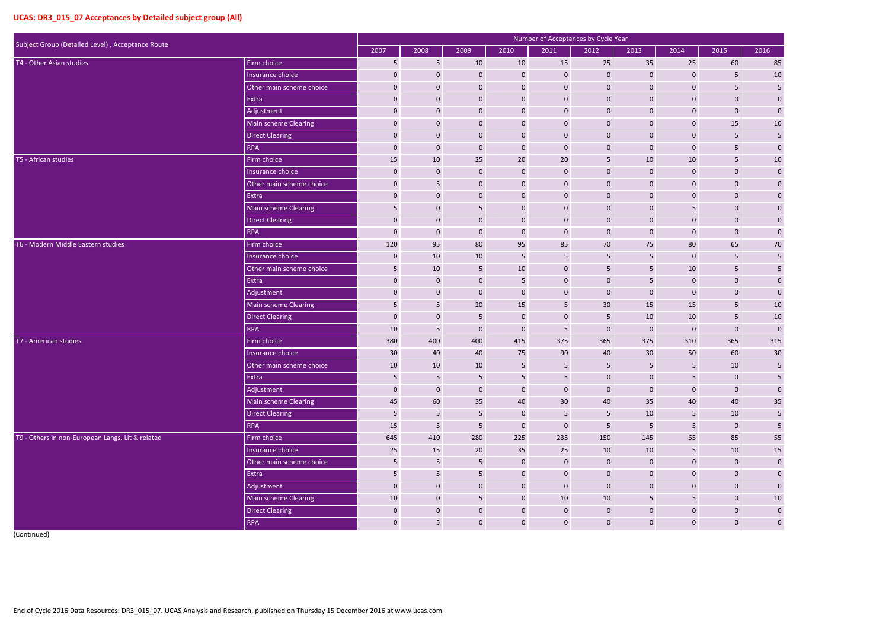| Subject Group (Detailed Level), Acceptance Route | Number of Acceptances by Cycle Year |                  |                         |                  |                  |                     |                  |                 |                |                 |                         |
|--------------------------------------------------|-------------------------------------|------------------|-------------------------|------------------|------------------|---------------------|------------------|-----------------|----------------|-----------------|-------------------------|
|                                                  |                                     | 2007             | 2008                    | 2009             | 2010             | 2011                | 2012             | 2013            | 2014           | 2015            | 2016                    |
| T4 - Other Asian studies                         | Firm choice                         | 5                | $\overline{5}$          | 10               | 10               | 15                  | 25               | 35              | 25             | 60              | 85                      |
|                                                  | Insurance choice                    | $\mathbf 0$      | $\mathbf{0}$            | $\mathbf 0$      | $\mathbf 0$      | $\mathbf 0$         | $\mathbf 0$      | $\mathbf 0$     | $\mathbf 0$    | 5               | $10\,$                  |
|                                                  | Other main scheme choice            | $\mathbf 0$      | $\mathbf 0$             | $\mathbf 0$      | $\overline{0}$   | $\pmb{0}$           | $\mathbf 0$      | $\mathbf 0$     | $\mathbf{0}$   | 5               | $\sqrt{5}$              |
|                                                  | Extra                               | 0                | $\boldsymbol{0}$        | $\mathbf 0$      | $\pmb{0}$        | $\pmb{0}$           | $\mathbf 0$      | $\mathbf 0$     | $\mathbf 0$    | $\mathbf 0$     | $\mathbf{0}$            |
|                                                  | Adjustment                          | 0                | $\mathbf{0}$            | $\mathbf 0$      | $\mathbf 0$      | $\mathbf 0$         | $\mathbf 0$      | $\mathbf{0}$    | $\mathbf 0$    | $\mathbf 0$     | $\pmb{0}$               |
|                                                  | Main scheme Clearing                | $\mathbf 0$      | $\mathbf{0}$            | $\mathbf 0$      | $\mathbf 0$      | $\mathbf 0$         | $\mathbf 0$      | $\mathbf 0$     | $\mathbf{0}$   | 15              | 10                      |
|                                                  | <b>Direct Clearing</b>              | 0                | $\mathbf{0}$            | $\mathbf 0$      | $\pmb{0}$        | $\mathbf 0$         | $\mathbf 0$      | $\mathbf 0$     | $\mathbf 0$    | $5\phantom{.}$  | $\sqrt{5}$              |
|                                                  | <b>RPA</b>                          | $\mathbf 0$      | $\mathbf 0$             | $\mathbf 0$      | $\mathbf 0$      | $\mathbf 0$         | $\mathbf 0$      | $\mathbf{0}$    | $\mathbf 0$    | 5               | $\mathbf 0$             |
| T5 - African studies                             | Firm choice                         | 15               | 10                      | 25               | 20               | 20                  | 5                | 10              | 10             | $5\phantom{.}$  | 10                      |
|                                                  | Insurance choice                    | $\mathbf 0$      | $\mathbf{0}$            | $\mathbf 0$      | $\overline{0}$   | $\mathbf 0$         | $\mathbf 0$      | $\mathbf 0$     | 0              | $\mathbf{0}$    | $\pmb{0}$               |
|                                                  | Other main scheme choice            | 0                | 5                       | $\mathbf 0$      | $\pmb{0}$        | $\mathbf 0$         | $\mathbf 0$      | $\mathbf 0$     | 0              | $\mathbf 0$     | $\mathbf 0$             |
|                                                  | Extra                               | 0                | $\mathbf{0}$            | $\mathbf 0$      | $\mathbf 0$      | $\mathbf 0$         | $\mathbf 0$      | $\mathbf 0$     | $\mathbf 0$    | $\mathbf{0}$    | $\boldsymbol{0}$        |
|                                                  | Main scheme Clearing                | 5                | $\mathbf 0$             | 5                | $\pmb{0}$        | $\pmb{0}$           | $\mathbf 0$      | $\mathbf 0$     | 5              | $\mathbf 0$     | $\boldsymbol{0}$        |
|                                                  | Direct Clearing                     | 0                | $\mathbf 0$             | $\mathbf 0$      | $\pmb{0}$        | $\pmb{0}$           | $\mathbf 0$      | $\mathbf 0$     | 0              | $\mathbf{0}$    | $\mathbf{0}$            |
|                                                  | <b>RPA</b>                          | $\mathbf 0$      | $\mathbf{0}$            | $\mathbf 0$      | $\mathbf 0$      | $\mathbf{0}$        | $\mathbf 0$      | $\mathbf{0}$    | $\mathbf 0$    | $\mathbf{0}$    | $\pmb{0}$               |
| T6 - Modern Middle Eastern studies               | Firm choice                         | 120              | 95                      | 80               | 95               | 85                  | 70               | 75              | 80             | 65              | $70\,$                  |
|                                                  | Insurance choice                    | 0                | 10                      | 10               | $\overline{5}$   | $\overline{5}$      | 5                | 5               | $\mathbf{0}$   | $5\phantom{.}$  | $\sqrt{5}$              |
|                                                  | Other main scheme choice            | 5                | 10                      | 5                | 10               | $\mathbf 0$         | 5                | 5               | 10             | 5               | 5                       |
|                                                  | Extra                               | $\mathbf 0$      | $\mathbf{0}$            | $\mathbf 0$      | 5                | $\mathbf 0$         | $\mathbf 0$      | 5               | 0              | $\mathbf{0}$    | $\boldsymbol{0}$        |
|                                                  | Adjustment                          | $\mathbf{0}$     | $\mathbf{0}$            | $\mathbf 0$      | $\boldsymbol{0}$ | $\mathbf 0$         | $\mathbf 0$      | $\mathbf 0$     | 0              | $\mathbf{0}$    | $\pmb{0}$               |
|                                                  | Main scheme Clearing                | 5                | 5                       | 20               | 15               | 5                   | 30               | 15              | 15             | $5\phantom{.0}$ | $10\,$                  |
|                                                  | Direct Clearing                     | 0                | $\mathbf 0$             | 5                | $\mathbf 0$      | $\mathbf 0$         | 5                | 10              | 10             | $5\phantom{.}$  | $10\,$                  |
|                                                  | <b>RPA</b>                          | 10               | $\overline{\mathbf{5}}$ | $\mathbf 0$      | $\mathbf 0$      | 5                   | $\mathbf 0$      | $\mathbf 0$     | $\mathbf 0$    | $\mathbf 0$     | $\mathbf 0$             |
| T7 - American studies                            | Firm choice                         | 380              | 400                     | 400              | 415              | 375                 | 365              | 375             | 310            | 365             | 315                     |
|                                                  | Insurance choice                    | 30               | 40                      | 40               | 75               | 90                  | 40               | 30 <sup>°</sup> | 50             | 60              | 30                      |
|                                                  | Other main scheme choice            | 10               | 10                      | 10               | 5                | 5                   | 5                | 5               |                | 10              | 5                       |
|                                                  | Extra                               | $5\phantom{.0}$  | $5\phantom{.0}$         | 5                | $5\phantom{.}$   | $\overline{5}$      | $\mathbf 0$      | $\mathbf 0$     | 5 <sub>5</sub> | $\mathbf 0$     | 5                       |
|                                                  | Adjustment                          | $\boldsymbol{0}$ | $\mathbf 0$             | $\mathbf 0$      | $\mathbf 0$      | $\mathsf{O}\xspace$ | $\mathbf 0$      | $\mathbf 0$     | $\bf 0$        | $\mathbf 0$     | $\boldsymbol{0}$        |
|                                                  | Main scheme Clearing                | 45               | 60                      | 35               | 40               | 30 <sup>°</sup>     | 40               | 35              | 40             | 40              | $\mathbf{35}$           |
|                                                  | Direct Clearing                     | 5                | $\sqrt{5}$              | 5                | $\mathbf 0$      | $\overline{5}$      | $\sqrt{5}$       | 10              | $5\phantom{.}$ | 10              | $\overline{\mathbf{5}}$ |
|                                                  | <b>RPA</b>                          | 15               | $\overline{5}$          | 5                | $\mathbf 0$      | $\pmb{0}$           | $\overline{5}$   | $5\phantom{.}$  | 5 <sub>5</sub> | $\mathbf 0$     | $\overline{\mathbf{5}}$ |
| T9 - Others in non-European Langs, Lit & related | Firm choice                         | 645              | 410                     | 280              | 225              | 235                 | 150              | 145             | 65             | 85              | 55                      |
|                                                  | Insurance choice                    | 25               | 15                      | 20               | 35               | 25                  | 10               | 10              | $5\phantom{.}$ | 10              | <b>15</b>               |
|                                                  | Other main scheme choice            | $5\phantom{.0}$  | $\sqrt{5}$              | 5                | $\mathbf 0$      | $\mathbf 0$         | $\boldsymbol{0}$ | $\mathbf{0}$    | $\mathbf 0$    | $\mathbf 0$     | $\pmb{0}$               |
|                                                  | Extra                               | 5                | $5\phantom{.}$          | 5                | $\overline{0}$   | $\overline{0}$      | $\mathbf 0$      | $\mathbf 0$     | $\mathbf 0$    | $\mathbf 0$     | $\mathbf 0$             |
|                                                  | Adjustment                          | $\mathbf 0$      | $\boldsymbol{0}$        | $\mathbf{0}$     | $\overline{0}$   | $\pmb{0}$           | $\mathbf 0$      | $\mathbf 0$     | $\mathbf{0}$   | $\mathbf 0$     | $\boldsymbol{0}$        |
|                                                  | Main scheme Clearing                | 10               | $\boldsymbol{0}$        | 5                | $\mathbf{0}$     | 10                  | 10               | $5\phantom{.}$  | 5 <sub>5</sub> | $\mathbf 0$     | 10                      |
|                                                  | Direct Clearing                     | $\pmb{0}$        | $\boldsymbol{0}$        | $\boldsymbol{0}$ | $\overline{0}$   | $\mathbf 0$         | $\boldsymbol{0}$ | $\mathbf 0$     | $\mathbf 0$    | $\mathbf 0$     | $\pmb{0}$               |
|                                                  | RPA                                 | $\mathbf{0}$     | $5\phantom{.}$          | $\mathbf 0$      | $\mathbf{0}$     | $\mathbf{0}$        | $\mathbf 0$      | $\mathbf{0}$    | $\mathbf 0$    | $\mathbf 0$     | $\mathbf 0$             |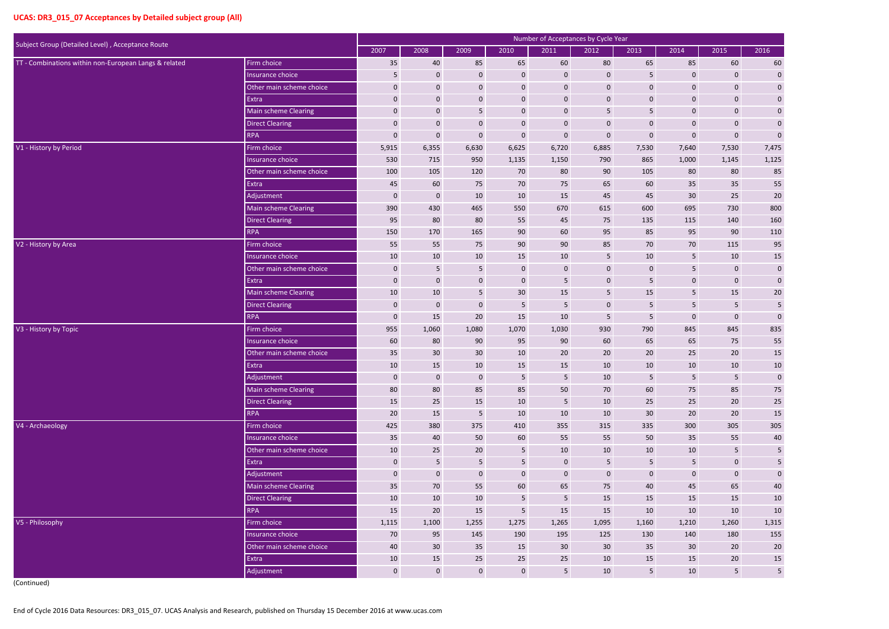| Subject Group (Detailed Level), Acceptance Route      |                             |              |                  |                  |                  | Number of Acceptances by Cycle Year |                 |                 |                 |                  |                         |
|-------------------------------------------------------|-----------------------------|--------------|------------------|------------------|------------------|-------------------------------------|-----------------|-----------------|-----------------|------------------|-------------------------|
|                                                       |                             | 2007         | 2008             | 2009             | 2010             | 2011                                | 2012            | 2013            | 2014            | 2015             | 2016                    |
| TT - Combinations within non-European Langs & related | Firm choice                 | 35           | 40               | 85               | 65               | 60                                  | 80              | 65              | 85              | 60               | 60                      |
|                                                       | Insurance choice            | 5            | $\mathbf{0}$     | $\mathbf 0$      | $\mathbf 0$      | $\mathbf 0$                         | $\mathbf 0$     | 5               | 0               | $\mathbf 0$      | $\pmb{0}$               |
|                                                       | Other main scheme choice    | 0            | $\mathbf 0$      | $\mathbf 0$      | $\pmb{0}$        | $\pmb{0}$                           | $\mathbf 0$     | $\mathbf 0$     | $\mathbf 0$     | $\mathbf{0}$     | $\pmb{0}$               |
|                                                       | Extra                       | $\mathbf 0$  | $\mathbf 0$      | $\mathbf 0$      | $\mathbf 0$      | $\mathbf 0$                         | $\mathbf 0$     | $\mathbf{0}$    | $\pmb{0}$       | $\boldsymbol{0}$ | $\pmb{0}$               |
|                                                       | <b>Main scheme Clearing</b> | $\mathbf 0$  | $\mathbf{0}$     | 5                | $\boldsymbol{0}$ | $\mathbf 0$                         | 5               | 5               | $\mathbf 0$     | $\mathbf 0$      | $\pmb{0}$               |
|                                                       | <b>Direct Clearing</b>      | $\mathbf 0$  | $\mathbf 0$      | $\mathbf 0$      | $\pmb{0}$        | $\mathbf 0$                         | $\mathbf 0$     | $\mathbf 0$     | $\mathbf 0$     | $\mathbf{0}$     | $\pmb{0}$               |
|                                                       | <b>RPA</b>                  | 0            | $\mathbf 0$      | $\mathbf 0$      | $\pmb{0}$        | $\pmb{0}$                           | $\mathbf 0$     | $\mathbf 0$     | $\mathbf 0$     | $\mathbf 0$      | $\mathbf 0$             |
| V1 - History by Period                                | Firm choice                 | 5,915        | 6,355            | 6,630            | 6,625            | 6,720                               | 6,885           | 7,530           | 7,640           | 7,530            | 7,475                   |
|                                                       | Insurance choice            | 530          | 715              | 950              | 1,135            | 1,150                               | 790             | 865             | 1,000           | 1,145            | 1,125                   |
|                                                       | Other main scheme choice    | 100          | 105              | 120              | 70               | 80                                  | 90              | 105             | 80              | 80               | 85                      |
|                                                       | Extra                       | 45           | 60               | 75               | 70               | 75                                  | 65              | 60              | 35              | 35               | 55                      |
|                                                       | Adjustment                  | $\mathbf 0$  | $\mathbf 0$      | 10               | 10               | 15                                  | 45              | 45              | 30              | 25               | 20                      |
|                                                       | <b>Main scheme Clearing</b> | 390          | 430              | 465              | 550              | 670                                 | 615             | 600             | 695             | 730              | 800                     |
|                                                       | <b>Direct Clearing</b>      | 95           | 80               | 80               | 55               | 45                                  | 75              | 135             | 115             | 140              | 160                     |
|                                                       | <b>RPA</b>                  | 150          | 170              | 165              | 90               | 60                                  | 95              | 85              | 95              | 90               | 110                     |
| V2 - History by Area                                  | Firm choice                 | 55           | 55               | 75               | 90               | 90                                  | 85              | 70              | 70              | 115              | 95                      |
|                                                       | Insurance choice            | 10           | 10               | 10               | 15               | 10                                  | 5               | 10              | $5\phantom{.}$  | 10               | 15                      |
|                                                       | Other main scheme choice    | 0            | 5                | 5                | $\mathbf 0$      | $\mathbf 0$                         | $\mathbf 0$     | $\mathbf 0$     | 5               | $\mathbf{0}$     | $\pmb{0}$               |
|                                                       | Extra                       | 0            | $\mathbf 0$      | $\mathbf 0$      | $\mathbf 0$      | 5                                   | $\mathbf 0$     | 5               | $\mathbf 0$     | $\boldsymbol{0}$ | $\pmb{0}$               |
|                                                       | Main scheme Clearing        | 10           | 10               | 5                | 30               | 15                                  | $\overline{5}$  | 15              | 5               | 15               | $20\,$                  |
|                                                       | <b>Direct Clearing</b>      | $\mathbf 0$  | $\mathbf{0}$     | $\mathbf 0$      | 5                | 5                                   | $\mathbf 0$     | 5               | 5 <sub>1</sub>  | 5                | $\sqrt{5}$              |
|                                                       | <b>RPA</b>                  | $\mathbf 0$  | 15               | 20               | 15               | 10                                  | 5               | 5               | $\mathbf{0}$    | $\mathbf{0}$     | $\mathbf 0$             |
| V3 - History by Topic                                 | Firm choice                 | 955          | 1,060            | 1,080            | 1,070            | 1,030                               | 930             | 790             | 845             | 845              | 835                     |
|                                                       | Insurance choice            | 60           | 80               | 90               | 95               | 90                                  | 60              | 65              | 65              | 75               | 55                      |
|                                                       | Other main scheme choice    | 35           | 30               | 30 <sup>°</sup>  | 10               | 20                                  | 20              | 20              | 25              | 20               | 15                      |
|                                                       | Extra                       | 10           | 15               | 10               | 15               | 15                                  | 10              | 10              | 10              | 10               | $10\,$                  |
|                                                       | Adjustment                  | $\mathbf 0$  | $\mathbf 0$      | $\mathbf 0$      | $5\phantom{.0}$  | $\overline{5}$                      | 10              | 5 <sub>5</sub>  | $5\phantom{.}$  | $5\phantom{.}$   | $\pmb{0}$               |
|                                                       | Main scheme Clearing        | 80           | 80               | 85               | 85               | 50                                  | 70              | 60              | 75              | 85               | $75\,$                  |
|                                                       | Direct Clearing             | 15           | 25               | 15               | 10               | $\overline{5}$                      | 10              | 25              | 25              | 20               | $25\,$                  |
|                                                       | RPA                         | 20           | 15               | 5                | 10               | 10                                  | 10              | 30              | $20\degree$     | 20               | 15                      |
| V4 - Archaeology                                      | Firm choice                 | 425          | 380              | 375              | 410              | 355                                 | 315             | 335             | 300             | 305              | 305                     |
|                                                       | Insurance choice            | 35           | 40               | 50               | 60               | 55                                  | 55              | 50              | 35              | 55               | $40\,$                  |
|                                                       | Other main scheme choice    | 10           | 25               | 20               | $5\phantom{.}$   | 10                                  | 10              | 10              | 10              | $5\phantom{.}$   | $5\phantom{.0}$         |
|                                                       | Extra                       | $\mathbf 0$  | $\sqrt{5}$       | 5                | $5\phantom{.}$   | $\pmb{0}$                           | $5\phantom{.0}$ | $5\phantom{.0}$ | $5\phantom{.}$  | $\mathbf 0$      | $\overline{\mathbf{5}}$ |
|                                                       | Adjustment                  | $\mathbf 0$  | $\boldsymbol{0}$ | $\boldsymbol{0}$ | $\boldsymbol{0}$ | $\mathbf 0$                         | $\mathbf 0$     | $\mathbf 0$     | $\mathbf 0$     | $\mathbf 0$      | $\pmb{0}$               |
|                                                       | Main scheme Clearing        | 35           | 70               | 55               | 60               | 65                                  | 75              | 40              | 45              | 65               | $40\,$                  |
|                                                       | Direct Clearing             | 10           | 10               | 10               | $5\phantom{.}$   | $\overline{5}$                      | 15              | 15              | 15              | 15               | $10\,$                  |
|                                                       | <b>RPA</b>                  | 15           | $20\degree$      | 15               | $5\phantom{.}$   | 15                                  | 15              | 10              | 10              | 10               | $10\,$                  |
| V5 - Philosophy                                       | Firm choice                 | 1,115        | 1,100            | 1,255            | 1,275            | 1,265                               | 1,095           | 1,160           | 1,210           | 1,260            | 1,315                   |
|                                                       | Insurance choice            | 70           | 95               | 145              | 190              | 195                                 | 125             | 130             | 140             | 180              | 155                     |
|                                                       | Other main scheme choice    | 40           | 30               | 35               | 15               | 30 <sup>°</sup>                     | 30 <sup>°</sup> | 35              | 30 <sup>°</sup> | 20               | $20\,$                  |
|                                                       | Extra                       | 10           | 15               | 25               | 25               | 25                                  | 10              | 15              | 15              | 20               | 15                      |
|                                                       | Adjustment                  | $\mathbf{0}$ | $\mathbf{0}$     | $\mathbf{0}$     | $\mathbf{0}$     | $5\phantom{.}$                      | 10              | 5 <sub>5</sub>  | 10              | $5\phantom{.}$   | $\overline{\mathbf{5}}$ |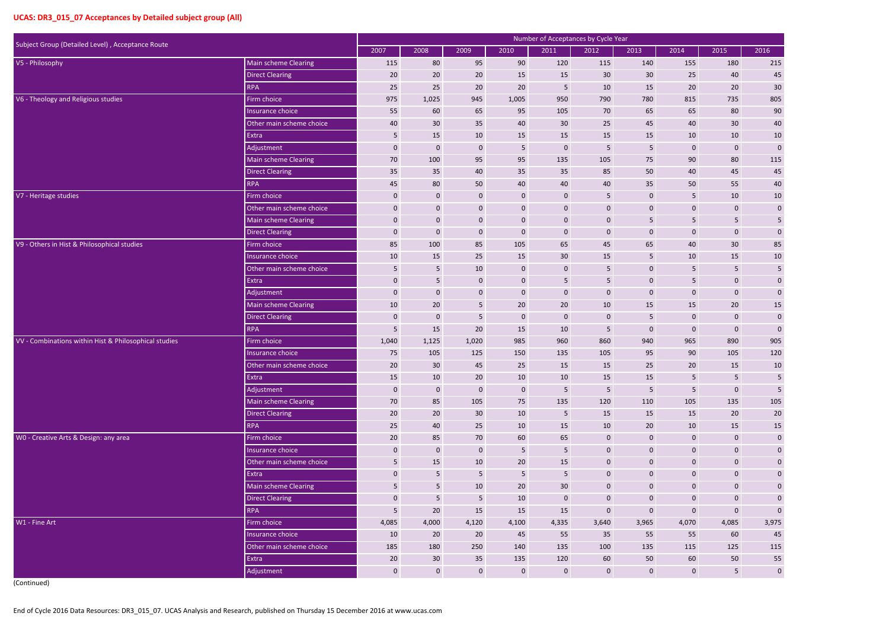| Subject Group (Detailed Level), Acceptance Route      |                          |                 |                  |                  |                  | Number of Acceptances by Cycle Year |                  |                  |                |                  |                 |
|-------------------------------------------------------|--------------------------|-----------------|------------------|------------------|------------------|-------------------------------------|------------------|------------------|----------------|------------------|-----------------|
|                                                       |                          | 2007            | 2008             | 2009             | 2010             | 2011                                | 2012             | 2013             | 2014           | 2015             | 2016            |
| V5 - Philosophy                                       | Main scheme Clearing     | 115             | 80               | 95               | 90               | 120                                 | 115              | 140              | 155            | 180              | 215             |
|                                                       | <b>Direct Clearing</b>   | 20              | 20               | 20               | 15               | 15                                  | 30               | 30               | 25             | 40               | 45              |
|                                                       | <b>RPA</b>               | 25              | 25               | 20               | 20               | 5                                   | 10               | 15               | 20             | 20               | 30              |
| V6 - Theology and Religious studies                   | Firm choice              | 975             | 1,025            | 945              | 1,005            | 950                                 | 790              | 780              | 815            | 735              | 805             |
|                                                       | Insurance choice         | 55              | 60               | 65               | 95               | 105                                 | 70               | 65               | 65             | 80               | 90              |
|                                                       | Other main scheme choice | 40              | 30               | 35               | 40               | 30                                  | 25               | 45               | 40             | 30               | 40              |
|                                                       | Extra                    | $5\phantom{.0}$ | 15               | 10               | 15               | 15                                  | 15               | 15               | 10             | 10               | $10\,$          |
|                                                       | Adjustment               | $\mathbf 0$     | $\mathbf 0$      | $\mathbf 0$      | 5                | $\mathbf 0$                         | 5                | 5                | $\pmb{0}$      | $\mathbf 0$      | $\pmb{0}$       |
|                                                       | Main scheme Clearing     | 70              | 100              | 95               | 95               | 135                                 | 105              | 75               | 90             | 80               | 115             |
|                                                       | <b>Direct Clearing</b>   | 35              | 35               | 40               | 35               | 35                                  | 85               | 50               | 40             | 45               | 45              |
|                                                       | <b>RPA</b>               | 45              | 80               | 50               | 40               | 40                                  | 40               | 35               | 50             | 55               | 40              |
| V7 - Heritage studies                                 | Firm choice              | $\mathbf 0$     | $\mathbf 0$      | $\mathbf 0$      | $\mathbf 0$      | $\mathbf 0$                         | 5                | $\mathbf 0$      | 5              | 10               | $10\,$          |
|                                                       | Other main scheme choice | $\mathbf 0$     | $\mathbf 0$      | $\mathbf 0$      | $\pmb{0}$        | $\mathbf 0$                         | $\boldsymbol{0}$ | $\mathbf 0$      | $\overline{0}$ | $\boldsymbol{0}$ | $\mathbf 0$     |
|                                                       | Main scheme Clearing     | $\mathbf 0$     | $\mathbf 0$      | $\mathbf{0}$     | $\pmb{0}$        | $\mathbf{0}$                        | $\mathbf 0$      | 5                | 5 <sub>1</sub> | 5                | 5 <sub>5</sub>  |
|                                                       | <b>Direct Clearing</b>   | $\mathbf 0$     | $\boldsymbol{0}$ | $\mathbf 0$      | $\boldsymbol{0}$ | $\mathbf 0$                         | $\overline{0}$   | $\mathbf 0$      | $\mathbf{0}$   | $\mathbf 0$      | $\pmb{0}$       |
| V9 - Others in Hist & Philosophical studies           | Firm choice              | 85              | 100              | 85               | 105              | 65                                  | 45               | 65               | 40             | $30\,$           | 85              |
|                                                       | Insurance choice         | 10              | 15               | 25               | 15               | 30                                  | 15               | 5                | 10             | 15               | $10\,$          |
|                                                       | Other main scheme choice | 5               | 5                | 10               | $\pmb{0}$        | $\mathbf 0$                         | 5                | $\mathbf 0$      | 5              | 5                | $5\phantom{.0}$ |
|                                                       | Extra                    | $\mathbf 0$     | 5                | $\mathbf 0$      | $\pmb{0}$        | 5                                   | 5                | $\mathbf 0$      | 5              | $\mathbf 0$      | $\mathbf 0$     |
|                                                       | Adjustment               | $\mathbf 0$     | $\mathbf 0$      | $\mathbf{0}$     | $\boldsymbol{0}$ | $\mathbf 0$                         | $\mathbf 0$      | $\mathbf{0}$     | $\pmb{0}$      | $\boldsymbol{0}$ | $\pmb{0}$       |
|                                                       | Main scheme Clearing     | 10              | 20               | 5                | 20               | 20                                  | 10               | 15               | 15             | 20               | $15\,$          |
|                                                       | <b>Direct Clearing</b>   | $\mathbf 0$     | $\boldsymbol{0}$ | 5                | $\bf{0}$         | $\mathbf 0$                         | $\bf{0}$         | 5                | $\mathbf 0$    | $\mathbf{0}$     | $\pmb{0}$       |
|                                                       | RPA                      | 5               | 15               | 20               | 15               | 10                                  | 5                | $\mathbf{0}$     | $\pmb{0}$      | $\boldsymbol{0}$ | $\mathbf 0$     |
| VV - Combinations within Hist & Philosophical studies | Firm choice              | 1,040           | 1,125            | 1,020            | 985              | 960                                 | 860              | 940              | 965            | 890              | 905             |
|                                                       | Insurance choice         | 75              | 105              | 125              | 150              | 135                                 | 105              | 95               | 90             | 105              | 120             |
|                                                       | Other main scheme choice | 20              | 30               | 45               | 25               | 15                                  | 15               | 25               | 20             | 15               | 10              |
|                                                       | Extra                    | 15              | 10               | 20               | 10               | 10                                  | 15               | 15               | 5 <sub>1</sub> | 5                | 5               |
|                                                       | Adjustment               | $\pmb{0}$       | $\mathbf 0$      | $\boldsymbol{0}$ | $\boldsymbol{0}$ | $5\phantom{.0}$                     | $5\phantom{.}$   | $5\phantom{.0}$  | 5 <sub>1</sub> | $\boldsymbol{0}$ | $5\phantom{.0}$ |
|                                                       | Main scheme Clearing     | 70              | 85               | 105              | 75               | 135                                 | 120              | 110              | 105            | 135              | 105             |
|                                                       | <b>Direct Clearing</b>   | $20\,$          | $20\degree$      | 30 <sup>°</sup>  | 10               | $\overline{5}$                      | 15               | 15               | 15             | 20               | 20              |
|                                                       | <b>RPA</b>               | 25              | 40               | 25               | 10               | 15                                  | 10               | 20               | 10             | 15               | $15\,$          |
| WO - Creative Arts & Design: any area                 | Firm choice              | 20              | 85               | 70               | 60               | 65                                  | $\mathbf{0}$     | $\mathbf 0$      | $\mathbf{0}$   | $\boldsymbol{0}$ | $\mathbf 0$     |
|                                                       | Insurance choice         | $\pmb{0}$       | $\mathbf 0$      | $\pmb{0}$        | $5\phantom{.0}$  | $5\phantom{.0}$                     | $\boldsymbol{0}$ | $\pmb{0}$        | $\pmb{0}$      | $\pmb{0}$        | $\mathbf 0$     |
|                                                       | Other main scheme choice | $\overline{5}$  | 15               | 10               | 20               | 15                                  | $\boldsymbol{0}$ | $\boldsymbol{0}$ | $\mathbf 0$    | $\boldsymbol{0}$ | $\mathbf 0$     |
|                                                       | Extra                    | $\pmb{0}$       | 5 <sub>1</sub>   | $5\phantom{.}$   | $5\overline{)}$  | $5\phantom{.}$                      | $\mathbf 0$      | $\mathbf 0$      | $\overline{0}$ | $\boldsymbol{0}$ | $\mathbf 0$     |
|                                                       | Main scheme Clearing     | 5               | $5\overline{)}$  | 10               | 20               | 30                                  | $\mathbf{0}$     | $\pmb{0}$        | $\overline{0}$ | $\boldsymbol{0}$ | $\mathbf 0$     |
|                                                       | <b>Direct Clearing</b>   | $\pmb{0}$       | $\sqrt{5}$       | $5\phantom{.0}$  | 10               | $\boldsymbol{0}$                    | $\boldsymbol{0}$ | $\boldsymbol{0}$ | $\mathbf 0$    | $\mathbf 0$      | $\pmb{0}$       |
|                                                       | <b>RPA</b>               | $5\phantom{.0}$ | $20\degree$      | 15               | 15               | 15                                  | $\mathbf 0$      | $\mathbf{0}$     | $\mathbf 0$    | $\boldsymbol{0}$ | $\mathbf 0$     |
| W1 - Fine Art                                         | Firm choice              | 4,085           | 4,000            | 4,120            | 4,100            | 4,335                               | 3,640            | 3,965            | 4,070          | 4,085            | 3,975           |
|                                                       | Insurance choice         | 10              | $20\degree$      | $20\degree$      | 45               | 55                                  | 35               | 55               | 55             | 60               | 45              |
|                                                       | Other main scheme choice | 185             | 180              | 250              | 140              | 135                                 | 100              | 135              | 115            | 125              | 115             |
|                                                       | Extra                    | 20              | 30               | 35               | 135              | 120                                 | 60               | 50               | 60             | 50               | 55              |
|                                                       | Adjustment               | $\mathbf 0$     | $\mathbf{0}$     | $\mathbf 0$      | $\boldsymbol{0}$ | $\boldsymbol{0}$                    | $\overline{0}$   | $\mathbf 0$      | $\mathbf{0}$   | $5\phantom{.}$   | $\mathbf 0$     |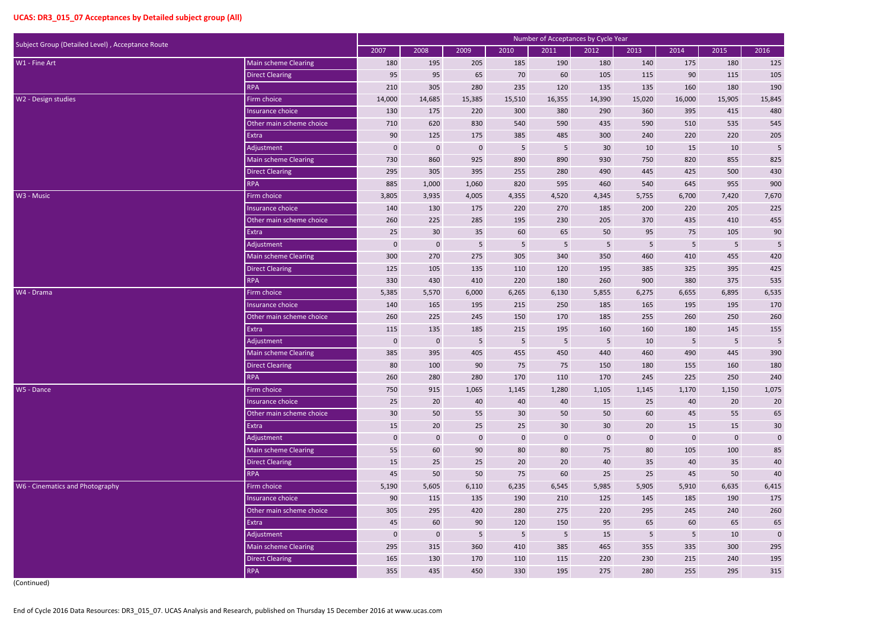| Subject Group (Detailed Level), Acceptance Route |                             |             |                  |             |                  | Number of Acceptances by Cycle Year |                  |                |              |             |            |
|--------------------------------------------------|-----------------------------|-------------|------------------|-------------|------------------|-------------------------------------|------------------|----------------|--------------|-------------|------------|
|                                                  |                             | 2007        | 2008             | 2009        | 2010             | 2011                                | 2012             | 2013           | 2014         | 2015        | 2016       |
| W1 - Fine Art                                    | Main scheme Clearing        | 180         | 195              | 205         | 185              | 190                                 | 180              | 140            | 175          | 180         | 125        |
|                                                  | <b>Direct Clearing</b>      | 95          | 95               | 65          | 70               | 60                                  | 105              | 115            | 90           | 115         | 105        |
|                                                  | <b>RPA</b>                  | 210         | 305              | 280         | 235              | 120                                 | 135              | 135            | 160          | 180         | 190        |
| W2 - Design studies                              | Firm choice                 | 14,000      | 14,685           | 15,385      | 15,510           | 16,355                              | 14,390           | 15,020         | 16,000       | 15,905      | 15,845     |
|                                                  | Insurance choice            | 130         | 175              | 220         | 300              | 380                                 | 290              | 360            | 395          | 415         | 480        |
|                                                  | Other main scheme choice    | 710         | 620              | 830         | 540              | 590                                 | 435              | 590            | 510          | 535         | 545        |
|                                                  | Extra                       | 90          | 125              | 175         | 385              | 485                                 | 300              | 240            | 220          | 220         | 205        |
|                                                  | Adjustment                  | $\mathbf 0$ | $\mathbf 0$      | $\mathbf 0$ | $\overline{5}$   | 5                                   | 30               | 10             | 15           | 10          | $\sqrt{5}$ |
|                                                  | Main scheme Clearing        | 730         | 860              | 925         | 890              | 890                                 | 930              | 750            | 820          | 855         | 825        |
|                                                  | <b>Direct Clearing</b>      | 295         | 305              | 395         | 255              | 280                                 | 490              | 445            | 425          | 500         | 430        |
|                                                  | <b>RPA</b>                  | 885         | 1,000            | 1,060       | 820              | 595                                 | 460              | 540            | 645          | 955         | 900        |
| W3 - Music                                       | Firm choice                 | 3,805       | 3,935            | 4,005       | 4,355            | 4,520                               | 4,345            | 5,755          | 6,700        | 7,420       | 7,670      |
|                                                  | Insurance choice            | 140         | 130              | 175         | 220              | 270                                 | 185              | 200            | 220          | 205         | 225        |
|                                                  | Other main scheme choice    | 260         | 225              | 285         | 195              | 230                                 | 205              | 370            | 435          | 410         | 455        |
|                                                  | Extra                       | 25          | 30               | 35          | 60               | 65                                  | 50               | 95             | 75           | 105         | 90         |
|                                                  | Adjustment                  | 0           | $\mathbf 0$      | 5           | $\overline{5}$   | $5\phantom{.}$                      | 5                | $5\phantom{.}$ | 5            | 5           | $\sqrt{5}$ |
|                                                  | Main scheme Clearing        | 300         | 270              | 275         | 305              | 340                                 | 350              | 460            | 410          | 455         | 420        |
|                                                  | <b>Direct Clearing</b>      | 125         | 105              | 135         | 110              | 120                                 | 195              | 385            | 325          | 395         | 425        |
|                                                  | <b>RPA</b>                  | 330         | 430              | 410         | 220              | 180                                 | 260              | 900            | 380          | 375         | 535        |
| W4 - Drama                                       | Firm choice                 | 5,385       | 5,570            | 6,000       | 6,265            | 6,130                               | 5,855            | 6,275          | 6,655        | 6,895       | 6,535      |
|                                                  | Insurance choice            | 140         | 165              | 195         | 215              | 250                                 | 185              | 165            | 195          | 195         | 170        |
|                                                  | Other main scheme choice    | 260         | 225              | 245         | 150              | 170                                 | 185              | 255            | 260          | 250         | 260        |
|                                                  | Extra                       | 115         | 135              | 185         | 215              | 195                                 | 160              | 160            | 180          | 145         | 155        |
|                                                  | Adjustment                  | $\mathbf 0$ | $\mathbf{0}$     | 5           | $\overline{5}$   | 5                                   | 5                | 10             | 5            | 5           | 5          |
|                                                  | <b>Main scheme Clearing</b> | 385         | 395              | 405         | 455              | 450                                 | 440              | 460            | 490          | 445         | 390        |
|                                                  | Direct Clearing             | 80          | 100              | 90          | 75               | 75                                  | 150              | 180            | 155          | 160         | 180        |
|                                                  | <b>RPA</b>                  | 260         | 280              | 280         | 170              | 110                                 | 170              | 245            | 225          | 250         | 240        |
| W5 - Dance                                       | Firm choice                 | 750         | 915              | 1,065       | 1,145            | 1,280                               | 1,105            | 1,145          | 1,170        | 1,150       | 1,075      |
|                                                  | Insurance choice            | 25          | 20               | 40          | 40               | 40                                  | 15               | 25             | 40           | 20          | 20         |
|                                                  | Other main scheme choice    | 30          | 50               | 55          | 30 <sup>°</sup>  | 50                                  | 50               | 60             | 45           | 55          | 65         |
|                                                  | Extra                       | 15          | 20               | 25          | 25               | 30                                  | 30               | 20             | 15           | 15          | $30\,$     |
|                                                  | Adjustment                  | $\mathbf 0$ | $\boldsymbol{0}$ | $\mathbf 0$ | $\boldsymbol{0}$ | $\boldsymbol{0}$                    | $\boldsymbol{0}$ | $\mathbf{0}$   | $\mathbf{0}$ | $\mathbf 0$ | $\pmb{0}$  |
|                                                  | Main scheme Clearing        | 55          | 60               | 90          | 80               | 80                                  | 75               | 80             | 105          | 100         | 85         |
|                                                  | <b>Direct Clearing</b>      | 15          | 25               | 25          | 20               | 20                                  | 40               | 35             | 40           | 35          | $40\,$     |
|                                                  | <b>RPA</b>                  | 45          | 50               | 50          | 75               | 60                                  | 25               | 25             | 45           | 50          | $40\,$     |
| W6 - Cinematics and Photography                  | Firm choice                 | 5,190       | 5,605            | 6,110       | 6,235            | 6,545                               | 5,985            | 5,905          | 5,910        | 6,635       | 6,415      |
|                                                  | Insurance choice            | 90          | 115              | 135         | 190              | 210                                 | 125              | 145            | 185          | 190         | 175        |
|                                                  | Other main scheme choice    | 305         | 295              | 420         | 280              | 275                                 | 220              | 295            | 245          | 240         | 260        |
|                                                  | Extra                       | 45          | 60               | 90          | 120              | 150                                 | 95               | 65             | 60           | 65          | 65         |
|                                                  | Adjustment                  | $\mathbf 0$ | $\pmb{0}$        | 5           | $\sqrt{5}$       | $\overline{5}$                      | 15               | $5\phantom{.}$ | 5            | 10          | $\pmb{0}$  |
|                                                  | Main scheme Clearing        | 295         | 315              | 360         | 410              | 385                                 | 465              | 355            | 335          | 300         | 295        |
|                                                  | <b>Direct Clearing</b>      | 165         | 130              | 170         | 110              | 115                                 | 220              | 230            | 215          | 240         | 195        |
|                                                  | RPA                         | 355         | 435              | 450         | 330              | 195                                 | 275              | 280            | 255          | 295         | 315        |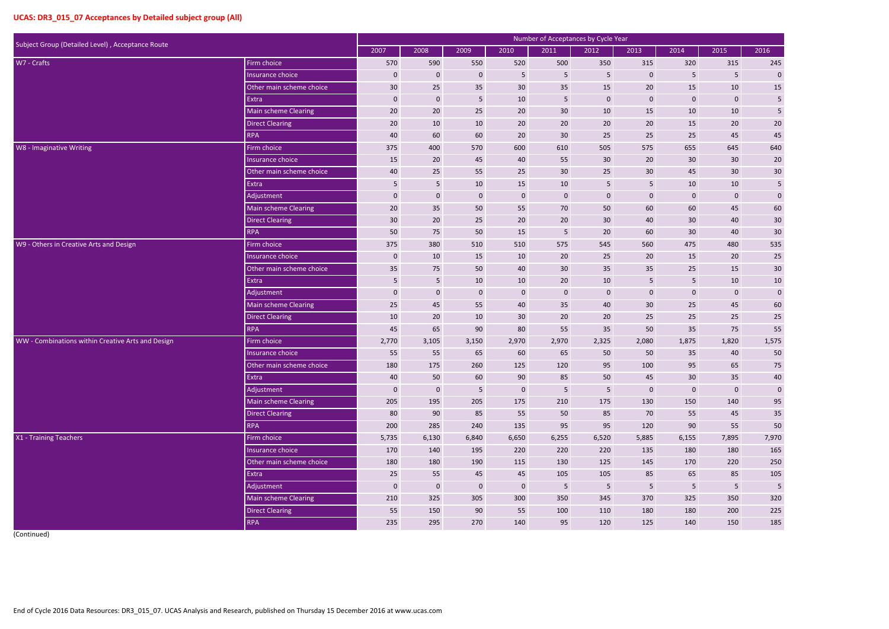| Subject Group (Detailed Level), Acceptance Route  |                             |             |             |                 |                | Number of Acceptances by Cycle Year |                 |                  |                 |                         |                |
|---------------------------------------------------|-----------------------------|-------------|-------------|-----------------|----------------|-------------------------------------|-----------------|------------------|-----------------|-------------------------|----------------|
|                                                   |                             | 2007        | 2008        | 2009            | 2010           | 2011                                | 2012            | 2013             | 2014            | 2015                    | 2016           |
| W7 - Crafts                                       | Firm choice                 | 570         | 590         | 550             | 520            | 500                                 | 350             | 315              | 320             | 315                     | 245            |
|                                                   | Insurance choice            | $\mathbf 0$ | $\mathbf 0$ | $\mathbf 0$     | 5              | 5                                   | 5               | $\mathbf 0$      | 5               | 5                       | $\pmb{0}$      |
|                                                   | Other main scheme choice    | 30          | 25          | 35              | 30             | 35                                  | 15              | 20               | 15              | 10                      | 15             |
|                                                   | Extra                       | $\mathbf 0$ | $\mathbf 0$ | 5               | 10             | 5                                   | $\mathbf 0$     | $\mathbf 0$      | 0               | $\pmb{0}$               | $\overline{5}$ |
|                                                   | Main scheme Clearing        | 20          | 20          | 25              | 20             | 30                                  | 10              | 15               | 10              | 10                      | $\sf 5$        |
|                                                   | <b>Direct Clearing</b>      | 20          | 10          | 10              | 20             | 20                                  | 20              | 20               | 15              | 20                      | $20\,$         |
|                                                   | <b>RPA</b>                  | 40          | 60          | 60              | 20             | 30                                  | 25              | 25               | 25              | 45                      | 45             |
| W8 - Imaginative Writing                          | Firm choice                 | 375         | 400         | 570             | 600            | 610                                 | 505             | 575              | 655             | 645                     | 640            |
|                                                   | Insurance choice            | 15          | 20          | 45              | 40             | 55                                  | 30              | 20               | 30 <sup>°</sup> | 30 <sup>°</sup>         | $20\,$         |
|                                                   | Other main scheme choice    | 40          | 25          | 55              | 25             | 30                                  | 25              | 30               | 45              | 30                      | 30             |
|                                                   | Extra                       | 5           | 5           | 10              | 15             | 10                                  | 5               | 5                | 10              | 10                      | $\sqrt{5}$     |
|                                                   | Adjustment                  | $\mathbf 0$ | $\mathbf 0$ | $\mathbf 0$     | $\mathbf 0$    | $\mathbf 0$                         | $\mathbf 0$     | $\mathbf 0$      | 0               | $\mathbf{0}$            | $\mathbf 0$    |
|                                                   | Main scheme Clearing        | 20          | 35          | 50              | 55             | 70                                  | 50              | 60               | 60              | 45                      | 60             |
|                                                   | <b>Direct Clearing</b>      | 30          | 20          | 25              | 20             | 20                                  | 30              | 40               | 30 <sup>°</sup> | 40                      | 30             |
|                                                   | <b>RPA</b>                  | 50          | 75          | 50              | 15             | 5                                   | 20              | 60               | 30              | 40                      | 30             |
| W9 - Others in Creative Arts and Design           | Firm choice                 | 375         | 380         | 510             | 510            | 575                                 | 545             | 560              | 475             | 480                     | 535            |
|                                                   | Insurance choice            | $\mathbf 0$ | 10          | 15              | 10             | 20                                  | 25              | 20               | 15              | 20                      | 25             |
|                                                   | Other main scheme choice    | 35          | 75          | 50              | 40             | 30                                  | 35              | 35               | 25              | 15                      | 30             |
|                                                   | Extra                       | 5           | 5           | 10              | 10             | 20                                  | 10              | 5                | 5               | 10                      | $10\,$         |
|                                                   | Adjustment                  | $\mathbf 0$ | $\mathbf 0$ | $\mathbf 0$     | $\mathbf 0$    | $\mathbf 0$                         | $\mathbf 0$     | $\mathbf 0$      | $\mathbf{0}$    | $\mathbf 0$             | $\pmb{0}$      |
|                                                   | <b>Main scheme Clearing</b> | 25          | 45          | 55              | 40             | 35                                  | 40              | 30               | 25              | 45                      | 60             |
|                                                   | <b>Direct Clearing</b>      | 10          | 20          | 10              | 30             | 20                                  | 20              | 25               | 25              | 25                      | $25\,$         |
|                                                   | <b>RPA</b>                  | 45          | 65          | 90              | 80             | 55                                  | 35              | 50               | 35              | 75                      | 55             |
| WW - Combinations within Creative Arts and Design | Firm choice                 | 2,770       | 3,105       | 3,150           | 2,970          | 2,970                               | 2,325           | 2,080            | 1,875           | 1,820                   | 1,575          |
|                                                   | Insurance choice            | 55          | 55          | 65              | 60             | 65                                  | 50              | 50               | 35              | 40                      | 50             |
|                                                   | Other main scheme choice    | 180         | 175         | 260             | 125            | 120                                 | 95              | 100              | 95              | 65                      | 75             |
|                                                   | Extra                       | 40          | 50          | 60              | 90             | 85                                  | 50              | 45               | 30 <sup>°</sup> | 35                      | 40             |
|                                                   | Adjustment                  | $\mathbf 0$ | $\mathbf 0$ | $5\phantom{.0}$ | $\mathbf 0$    | $5\phantom{.}$                      | $5\phantom{.0}$ | $\boldsymbol{0}$ | $\mathbf 0$     | $\mathbf 0$             | $\mathbf 0$    |
|                                                   | Main scheme Clearing        | 205         | 195         | 205             | 175            | 210                                 | 175             | 130              | 150             | 140                     | 95             |
|                                                   | <b>Direct Clearing</b>      | 80          | 90          | 85              | 55             | 50                                  | 85              | 70               | 55              | 45                      | $35\,$         |
|                                                   | <b>RPA</b>                  | 200         | 285         | 240             | 135            | 95                                  | 95              | 120              | 90              | 55                      | $50\,$         |
| X1 - Training Teachers                            | Firm choice                 | 5,735       | 6,130       | 6,840           | 6,650          | 6,255                               | 6,520           | 5,885            | 6,155           | 7,895                   | 7,970          |
|                                                   | Insurance choice            | 170         | 140         | 195             | 220            | 220                                 | 220             | 135              | 180             | 180                     | 165            |
|                                                   | Other main scheme choice    | 180         | 180         | 190             | 115            | 130                                 | 125             | 145              | 170             | 220                     | 250            |
|                                                   | Extra                       | 25          | 55          | 45              | 45             | 105                                 | 105             | 85               | 65              | 85                      | 105            |
|                                                   | Adjustment                  | $\mathbf 0$ | $\bf 0$     | $\mathbf{0}$    | $\overline{0}$ | $5\phantom{.}$                      | $5\phantom{.0}$ | 5                | $5\phantom{.}$  | $\overline{\mathbf{5}}$ | $\sqrt{5}$     |
|                                                   | Main scheme Clearing        | 210         | 325         | 305             | 300            | 350                                 | 345             | 370              | 325             | 350                     | 320            |
|                                                   | <b>Direct Clearing</b>      | 55          | 150         | 90              | 55             | 100                                 | 110             | 180              | 180             | 200                     | 225            |
|                                                   | <b>RPA</b>                  | 235         | 295         | 270             | 140            | 95                                  | 120             | 125              | 140             | 150                     | 185            |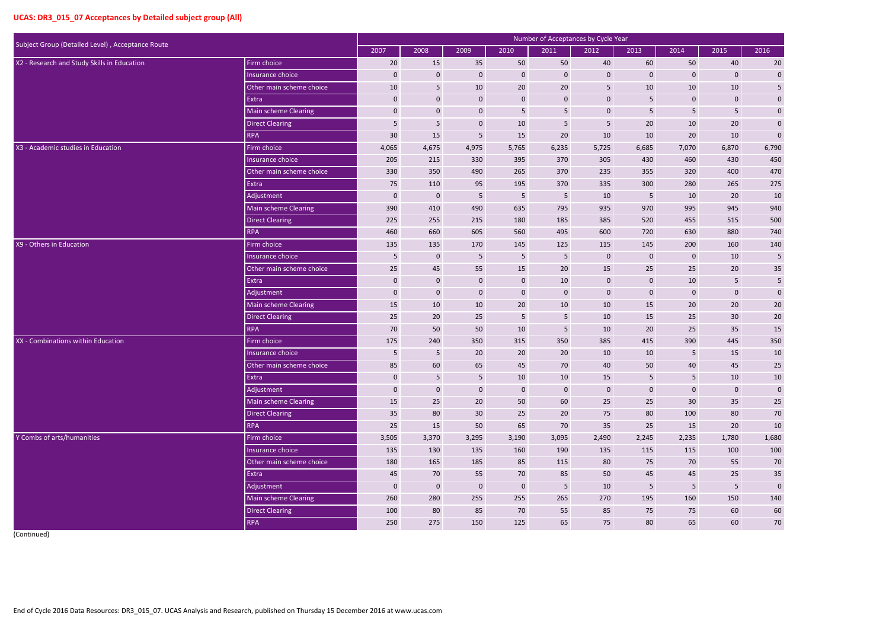| Subject Group (Detailed Level), Acceptance Route |                             |                  |                  |                 | Number of Acceptances by Cycle Year |                         |                         |                  |                 |                         |                  |
|--------------------------------------------------|-----------------------------|------------------|------------------|-----------------|-------------------------------------|-------------------------|-------------------------|------------------|-----------------|-------------------------|------------------|
|                                                  |                             | 2007             | 2008             | 2009            | 2010                                | 2011                    | 2012                    | 2013             | 2014            | 2015                    | 2016             |
| X2 - Research and Study Skills in Education      | Firm choice                 | 20               | 15               | 35              | 50                                  | 50                      | 40                      | 60               | 50              | 40                      | 20               |
|                                                  | Insurance choice            | $\mathbf{0}$     | $\mathbf 0$      | $\mathbf{0}$    | $\boldsymbol{0}$                    | $\mathbf 0$             | $\mathbf 0$             | $\mathbf{0}$     | $\mathbf 0$     | $\mathbf 0$             | $\mathbf 0$      |
|                                                  | Other main scheme choice    | 10               | $5\phantom{.}$   | 10              | 20                                  | $20\,$                  | $\overline{\mathbf{5}}$ | $10\,$           | 10              | 10                      | $5\phantom{.0}$  |
|                                                  | Extra                       | $\mathbf 0$      | $\boldsymbol{0}$ | $\mathbf 0$     | $\boldsymbol{0}$                    | $\mathbf 0$             | $\pmb{0}$               | 5                | 0               | $\boldsymbol{0}$        | $\mathbf 0$      |
|                                                  | <b>Main scheme Clearing</b> | $\mathbf 0$      | $\mathbf 0$      | $\mathbf 0$     | 5                                   | 5                       | $\mathbf 0$             | 5                | 5 <sup>1</sup>  | $5\phantom{.}$          | $\mathbf{0}$     |
|                                                  | <b>Direct Clearing</b>      | 5                | $5\phantom{.0}$  | $\mathbf{0}$    | 10                                  | 5                       | 5                       | 20               | 10              | 20                      | $\mathbf{0}$     |
|                                                  | <b>RPA</b>                  | 30               | 15               | 5               | 15                                  | $20\,$                  | 10                      | 10               | 20              | 10                      | $\pmb{0}$        |
| X3 - Academic studies in Education               | Firm choice                 | 4,065            | 4,675            | 4,975           | 5,765                               | 6,235                   | 5,725                   | 6,685            | 7,070           | 6,870                   | 6,790            |
|                                                  | Insurance choice            | 205              | 215              | 330             | 395                                 | 370                     | 305                     | 430              | 460             | 430                     | 450              |
|                                                  | Other main scheme choice    | 330              | 350              | 490             | 265                                 | 370                     | 235                     | 355              | 320             | 400                     | 470              |
|                                                  | Extra                       | 75               | 110              | 95              | 195                                 | 370                     | 335                     | 300              | 280             | 265                     | 275              |
|                                                  | Adjustment                  | $\mathbf{0}$     | $\bf{0}$         | 5               | $5\phantom{.}$                      | 5                       | 10                      | 5                | 10              | 20                      | 10               |
|                                                  | Main scheme Clearing        | 390              | 410              | 490             | 635                                 | 795                     | 935                     | 970              | 995             | 945                     | 940              |
|                                                  | <b>Direct Clearing</b>      | 225              | 255              | 215             | 180                                 | 185                     | 385                     | 520              | 455             | 515                     | 500              |
|                                                  | <b>RPA</b>                  | 460              | 660              | 605             | 560                                 | 495                     | 600                     | 720              | 630             | 880                     | 740              |
| X9 - Others in Education                         | Firm choice                 | 135              | 135              | 170             | 145                                 | 125                     | 115                     | 145              | 200             | 160                     | 140              |
|                                                  | Insurance choice            | 5                | $\mathbf 0$      | 5               | 5                                   | $\overline{\mathbf{5}}$ | $\overline{0}$          | $\mathbf 0$      | 0               | 10                      | 5                |
|                                                  | Other main scheme choice    | 25               | 45               | 55              | 15                                  | 20                      | 15                      | 25               | 25              | 20                      | $35\,$           |
|                                                  | Extra                       | $\mathbf{0}$     | $\mathbf 0$      | $\mathbf{0}$    | $\overline{0}$                      | 10                      | $\mathbf 0$             | $\mathbf{0}$     | 10              | 5                       | $\sqrt{5}$       |
|                                                  | Adjustment                  | $\mathbf{0}$     | $\bf{0}$         | $\mathbf 0$     | $\mathbf 0$                         | $\mathbf 0$             | $\mathbf 0$             | $\mathbf{0}$     | 0               | $\boldsymbol{0}$        | $\pmb{0}$        |
|                                                  | <b>Main scheme Clearing</b> | 15               | 10               | 10              | 20                                  | 10                      | 10                      | 15               | 20              | 20                      | $20\,$           |
|                                                  | <b>Direct Clearing</b>      | 25               | 20               | 25              | 5 <sub>5</sub>                      | 5                       | 10                      | 15               | 25              | 30                      | $20\,$           |
|                                                  | <b>RPA</b>                  | 70               | 50               | 50              | 10                                  | 5                       | 10                      | 20               | 25              | 35                      | 15               |
| XX - Combinations within Education               | Firm choice                 | 175              | 240              | 350             | 315                                 | 350                     | 385                     | 415              | 390             | 445                     | 350              |
|                                                  | Insurance choice            | 5                | 5                | 20              | 20                                  | 20                      | 10                      | 10               | 5               | 15                      | 10               |
|                                                  | Other main scheme choice    | 85               | 60               | 65              | 45                                  | 70                      | 40                      | 50               | 40              | 45                      | 25               |
|                                                  | Extra                       | $\boldsymbol{0}$ | $5\phantom{.}$   | $5\phantom{.}$  | 10                                  | 10                      | 15                      | $5\phantom{.}$   | $5\phantom{.}$  | 10                      | $10\,$           |
|                                                  | Adjustment                  | $\mathbf 0$      | $\mathbf 0$      | $\mathbf 0$     | $\mathbf 0$                         | $\mathbf 0$             | $\mathbf 0$             | $\boldsymbol{0}$ | $\mathbf 0$     | $\mathbf 0$             | $\boldsymbol{0}$ |
|                                                  | Main scheme Clearing        | 15               | 25               | 20              | 50                                  | 60                      | 25                      | 25               | 30 <sup>°</sup> | 35                      | $25\,$           |
|                                                  | <b>Direct Clearing</b>      | 35               | 80               | 30 <sup>°</sup> | 25                                  | 20                      | 75                      | 80               | 100             | 80                      | $70\,$           |
|                                                  | <b>RPA</b>                  | 25               | 15               | 50              | 65                                  | 70                      | 35                      | 25               | 15              | $20\degree$             | $10\,$           |
| Y Combs of arts/humanities                       | Firm choice                 | 3,505            | 3,370            | 3,295           | 3,190                               | 3,095                   | 2,490                   | 2,245            | 2,235           | 1,780                   | 1,680            |
|                                                  | Insurance choice            | 135              | 130              | 135             | 160                                 | 190                     | 135                     | 115              | 115             | 100                     | 100              |
|                                                  | Other main scheme choice    | 180              | 165              | 185             | 85                                  | 115                     | 80                      | 75               | 70              | 55                      | 70               |
|                                                  | Extra                       | 45               | 70               | 55              | 70                                  | 85                      | 50                      | 45               | 45              | 25                      | 35               |
|                                                  | Adjustment                  | $\mathbf 0$      | $\mathbf 0$      | $\mathbf{0}$    | $\mathbf 0$                         | $5\phantom{.0}$         | 10                      | $5\phantom{.}$   | 5 <sub>5</sub>  | $\overline{\mathbf{5}}$ | $\boldsymbol{0}$ |
|                                                  | Main scheme Clearing        | 260              | 280              | 255             | 255                                 | 265                     | 270                     | 195              | 160             | 150                     | 140              |
|                                                  | <b>Direct Clearing</b>      | 100              | 80               | 85              | 70                                  | 55                      | 85                      | 75               | 75              | 60                      | 60               |
|                                                  | <b>RPA</b>                  | 250              | 275              | 150             | 125                                 | 65                      | 75                      | 80               | 65              | 60                      | 70               |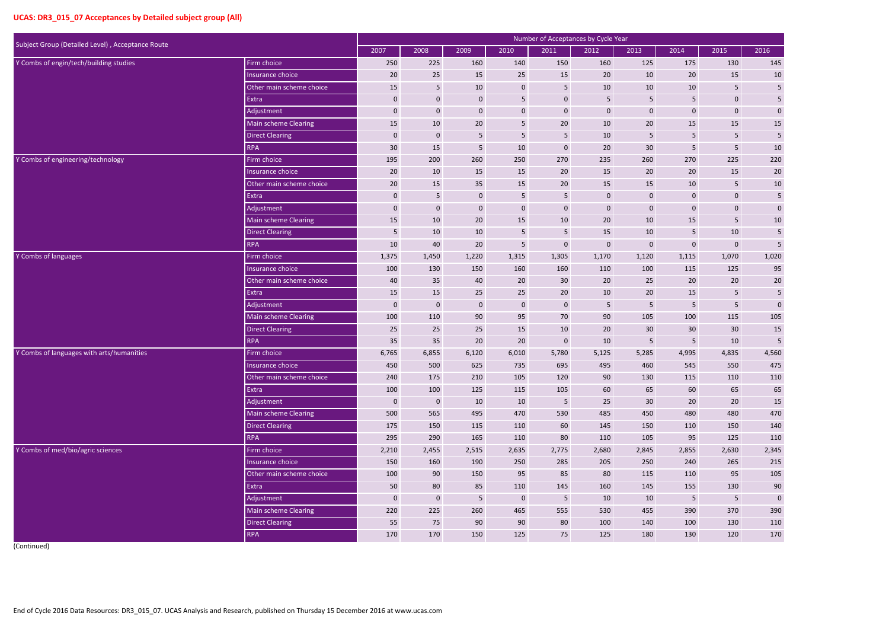| Subject Group (Detailed Level), Acceptance Route |                          |             |              |                |                  | Number of Acceptances by Cycle Year |             |                 |                  |                         |                |
|--------------------------------------------------|--------------------------|-------------|--------------|----------------|------------------|-------------------------------------|-------------|-----------------|------------------|-------------------------|----------------|
|                                                  |                          | 2007        | 2008         | 2009           | 2010             | 2011                                | 2012        | 2013            | 2014             | 2015                    | 2016           |
| Y Combs of engin/tech/building studies           | Firm choice              | 250         | 225          | 160            | 140              | 150                                 | 160         | 125             | 175              | 130                     | 145            |
|                                                  | Insurance choice         | 20          | 25           | 15             | 25               | 15                                  | 20          | 10              | 20               | 15                      | 10             |
|                                                  | Other main scheme choice | 15          | 5            | 10             | $\mathbf 0$      | 5                                   | 10          | 10              | 10               | 5                       | $\sqrt{5}$     |
|                                                  | Extra                    | $\pmb{0}$   | $\mathbf 0$  | $\bf 0$        | $5\phantom{.}$   | $\boldsymbol{0}$                    | 5           | 5               | 5                | $\mathbf 0$             | 5              |
|                                                  | Adjustment               | $\mathbf 0$ | $\mathbf 0$  | $\bf 0$        | $\mathbf 0$      | $\mathbf 0$                         | $\mathbf 0$ | $\bf 0$         | $\mathbf 0$      | $\mathbf 0$             | $\pmb{0}$      |
|                                                  | Main scheme Clearing     | 15          | 10           | 20             | $5\phantom{.}$   | 20                                  | $10\,$      | 20              | 15               | 15                      | 15             |
|                                                  | <b>Direct Clearing</b>   | $\mathbf 0$ | $\mathbf 0$  | 5              | $5\phantom{.}$   | 5                                   | 10          | 5               | 5                | 5                       | $\sqrt{5}$     |
|                                                  | <b>RPA</b>               | 30          | 15           | 5              | $10\,$           | $\mathbf 0$                         | 20          | 30              | 5                | 5                       | 10             |
| Y Combs of engineering/technology                | Firm choice              | 195         | 200          | 260            | 250              | 270                                 | 235         | 260             | 270              | 225                     | 220            |
|                                                  | Insurance choice         | 20          | 10           | 15             | 15               | 20                                  | 15          | 20              | 20               | 15                      | 20             |
|                                                  | Other main scheme choice | 20          | 15           | 35             | 15               | 20                                  | 15          | 15              | 10               | 5                       | $10\,$         |
|                                                  | Extra                    | $\mathbf 0$ | 5            | $\mathbf 0$    | $5\phantom{.}$   | 5                                   | $\mathbf 0$ | $\mathbf 0$     | $\boldsymbol{0}$ | $\mathbf 0$             | $\overline{5}$ |
|                                                  | Adjustment               | $\mathbf 0$ | $\mathbf 0$  | $\bf 0$        | $\pmb{0}$        | $\mathbf 0$                         | $\mathbf 0$ | $\mathbf 0$     | $\mathbf 0$      | $\mathbf{0}$            | $\pmb{0}$      |
|                                                  | Main scheme Clearing     | 15          | 10           | 20             | 15               | 10                                  | 20          | 10              | 15               | 5                       | $10\,$         |
|                                                  | <b>Direct Clearing</b>   | 5           | 10           | 10             | $5\phantom{.}$   | 5                                   | 15          | 10              | 5                | 10                      | $\sqrt{5}$     |
|                                                  | <b>RPA</b>               | 10          | 40           | 20             | 5                | $\mathbf 0$                         | $\mathbf 0$ | $\mathbf 0$     | $\mathbf 0$      | $\boldsymbol{0}$        | 5              |
| Y Combs of languages                             | Firm choice              | 1,375       | 1,450        | 1,220          | 1,315            | 1,305                               | 1,170       | 1,120           | 1,115            | 1,070                   | 1,020          |
|                                                  | Insurance choice         | 100         | 130          | 150            | 160              | 160                                 | 110         | 100             | 115              | 125                     | 95             |
|                                                  | Other main scheme choice | 40          | 35           | 40             | 20               | 30                                  | 20          | 25              | 20               | 20                      | 20             |
|                                                  | Extra                    | 15          | 15           | 25             | 25               | 20                                  | 10          | 20              | 15               | 5 <sub>5</sub>          | $\sqrt{5}$     |
|                                                  | Adjustment               | $\mathbf 0$ | $\mathbf 0$  | $\mathbf 0$    | $\mathbf 0$      | $\mathbf 0$                         | 5           | 5               | 5 <sub>5</sub>   | 5                       | $\mathbf 0$    |
|                                                  | Main scheme Clearing     | 100         | 110          | 90             | 95               | 70                                  | 90          | 105             | 100              | 115                     | 105            |
|                                                  | <b>Direct Clearing</b>   | 25          | 25           | 25             | 15               | 10                                  | 20          | 30              | 30               | 30                      | $15\,$         |
|                                                  | <b>RPA</b>               | 35          | 35           | 20             | 20               | $\boldsymbol{0}$                    | 10          | 5               | 5                | 10                      | 5              |
| Y Combs of languages with arts/humanities        | Firm choice              | 6,765       | 6,855        | 6,120          | 6,010            | 5,780                               | 5,125       | 5,285           | 4,995            | 4,835                   | 4,560          |
|                                                  | Insurance choice         | 450         | 500          | 625            | 735              | 695                                 | 495         | 460             | 545              | 550                     | 475            |
|                                                  | Other main scheme choice | 240         | 175          | 210            | 105              | 120                                 | 90          | 130             | 115              | 110                     | 110            |
|                                                  | Extra                    | 100         | 100          | 125            | 115              | 105                                 | 60          | 65              | 60               | 65                      | 65             |
|                                                  | Adjustment               | $\mathbf 0$ | $\mathbf{0}$ | 10             | 10               | $5\phantom{.0}$                     | 25          | 30 <sup>°</sup> | $20\degree$      | 20                      | 15             |
|                                                  | Main scheme Clearing     | 500         | 565          | 495            | 470              | 530                                 | 485         | 450             | 480              | 480                     | 470            |
|                                                  | <b>Direct Clearing</b>   | 175         | 150          | 115            | 110              | 60                                  | 145         | 150             | 110              | 150                     | 140            |
|                                                  | <b>RPA</b>               | 295         | 290          | 165            | 110              | 80                                  | 110         | 105             | 95               | 125                     | 110            |
| Y Combs of med/bio/agric sciences                | Firm choice              | 2,210       | 2,455        | 2,515          | 2,635            | 2,775                               | 2,680       | 2,845           | 2,855            | 2,630                   | 2,345          |
|                                                  | Insurance choice         | 150         | 160          | 190            | 250              | 285                                 | 205         | 250             | 240              | 265                     | 215            |
|                                                  | Other main scheme choice | 100         | 90           | 150            | 95               | 85                                  | 80          | 115             | 110              | 95                      | 105            |
|                                                  | Extra                    | 50          | 80           | 85             | 110              | 145                                 | 160         | 145             | 155              | 130                     | $90\,$         |
|                                                  | Adjustment               | $\mathbf 0$ | $\mathbf 0$  | 5 <sub>1</sub> | $\boldsymbol{0}$ | $\sqrt{5}$                          | 10          | 10              | $5\phantom{.0}$  | $\overline{\mathbf{5}}$ | $\pmb{0}$      |
|                                                  | Main scheme Clearing     | 220         | 225          | 260            | 465              | 555                                 | 530         | 455             | 390              | 370                     | 390            |
|                                                  | <b>Direct Clearing</b>   | 55          | 75           | 90             | 90               | 80                                  | 100         | 140             | 100              | 130                     | 110            |
|                                                  | <b>RPA</b>               | 170         | 170          | 150            | 125              | 75                                  | 125         | 180             | 130              | 120                     | 170            |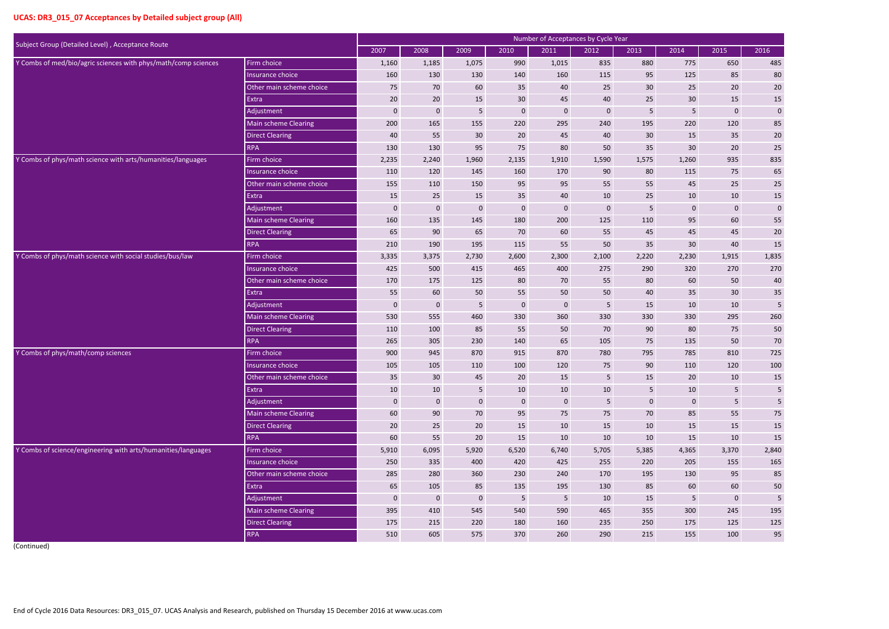|                                                                 |                          |             |              |                |                  | Number of Acceptances by Cycle Year |                 |                |                  |                  |            |
|-----------------------------------------------------------------|--------------------------|-------------|--------------|----------------|------------------|-------------------------------------|-----------------|----------------|------------------|------------------|------------|
| Subject Group (Detailed Level), Acceptance Route<br>Firm choice |                          | 2007        | 2008         | 2009           | 2010             | 2011                                | 2012            | 2013           | 2014             | 2015             | 2016       |
| Y Combs of med/bio/agric sciences with phys/math/comp sciences  |                          | 1,160       | 1,185        | 1,075          | 990              | 1,015                               | 835             | 880            | 775              | 650              | 485        |
|                                                                 | Insurance choice         | 160         | 130          | 130            | 140              | 160                                 | 115             | 95             | 125              | 85               | 80         |
|                                                                 | Other main scheme choice | 75          | 70           | 60             | 35               | 40                                  | 25              | 30             | 25               | 20               | 20         |
|                                                                 | Extra                    | 20          | 20           | 15             | 30 <sup>°</sup>  | 45                                  | 40              | 25             | 30               | 15               | $15\,$     |
|                                                                 | Adjustment               | $\bf{0}$    | $\mathbf 0$  | 5              | $\mathbf{0}$     | $\bf{0}$                            | $\mathbf 0$     | 5              | 5                | $\boldsymbol{0}$ | $\pmb{0}$  |
|                                                                 | Main scheme Clearing     | 200         | 165          | 155            | 220              | 295                                 | 240             | 195            | 220              | 120              | 85         |
|                                                                 | <b>Direct Clearing</b>   | 40          | 55           | 30             | 20               | 45                                  | 40              | 30             | 15               | 35               | $20\,$     |
|                                                                 | <b>RPA</b>               | 130         | 130          | 95             | 75               | 80                                  | 50              | 35             | 30               | 20               | 25         |
| Y Combs of phys/math science with arts/humanities/languages     | Firm choice              | 2,235       | 2,240        | 1,960          | 2,135            | 1,910                               | 1,590           | 1,575          | 1,260            | 935              | 835        |
|                                                                 | Insurance choice         | 110         | 120          | 145            | 160              | 170                                 | 90              | 80             | 115              | 75               | 65         |
|                                                                 | Other main scheme choice | 155         | 110          | 150            | 95               | 95                                  | 55              | 55             | 45               | 25               | $25\,$     |
|                                                                 | Extra                    | 15          | 25           | 15             | 35               | 40                                  | 10              | 25             | 10               | 10               | 15         |
|                                                                 | Adjustment               | $\mathbf 0$ | $\mathbf 0$  | $\mathbf 0$    | $\mathbf 0$      | $\bf{0}$                            | $\mathbf 0$     | 5              | 0                | $\boldsymbol{0}$ | $\pmb{0}$  |
|                                                                 | Main scheme Clearing     | 160         | 135          | 145            | 180              | 200                                 | 125             | 110            | 95               | 60               | 55         |
|                                                                 | <b>Direct Clearing</b>   | 65          | 90           | 65             | 70               | 60                                  | 55              | 45             | 45               | 45               | $20\,$     |
|                                                                 | <b>RPA</b>               | 210         | 190          | 195            | 115              | 55                                  | 50              | 35             | 30               | 40               | 15         |
| Y Combs of phys/math science with social studies/bus/law        | Firm choice              | 3,335       | 3,375        | 2,730          | 2,600            | 2,300                               | 2,100           | 2,220          | 2,230            | 1,915            | 1,835      |
|                                                                 | Insurance choice         | 425         | 500          | 415            | 465              | 400                                 | 275             | 290            | 320              | 270              | 270        |
|                                                                 | Other main scheme choice | 170         | 175          | 125            | 80               | 70                                  | 55              | 80             | 60               | 50               | 40         |
|                                                                 | Extra                    | 55          | 60           | 50             | 55               | 50                                  | 50              | 40             | 35               | 30 <sup>°</sup>  | $35\,$     |
|                                                                 | Adjustment               | $\pmb{0}$   | $\mathbf 0$  | 5              | $\boldsymbol{0}$ | $\mathbf 0$                         | $\overline{5}$  | 15             | 10               | 10               | 5          |
|                                                                 | Main scheme Clearing     | 530         | 555          | 460            | 330              | 360                                 | 330             | 330            | 330              | 295              | 260        |
|                                                                 | <b>Direct Clearing</b>   | 110         | 100          | 85             | 55               | 50                                  | 70              | 90             | 80               | 75               | 50         |
|                                                                 | <b>RPA</b>               | 265         | 305          | 230            | 140              | 65                                  | 105             | 75             | 135              | 50               | 70         |
| Y Combs of phys/math/comp sciences                              | Firm choice              | 900         | 945          | 870            | 915              | 870                                 | 780             | 795            | 785              | 810              | 725        |
|                                                                 | Insurance choice         | 105         | 105          | 110            | 100              | 120                                 | 75              | 90             | 110              | 120              | 100        |
|                                                                 | Other main scheme choice | 35          | 30           | 45             | 20 <sub>2</sub>  | 15                                  | $5\phantom{.0}$ | 15             | $20\overline{)}$ | 10               | 15         |
|                                                                 | Extra                    | 10          | 10           | $5\phantom{.}$ | 10               | 10                                  | 10              | 5 <sup>5</sup> | 10               | 5                | $\sqrt{5}$ |
|                                                                 | Adjustment               | $\mathbf 0$ | $\bf 0$      | $\mathbf 0$    | $\overline{0}$   | $\mathbf 0$                         | $5\phantom{.0}$ | $\mathbf 0$    | $\mathbf{0}$     | 5                | $\sf 5$    |
|                                                                 | Main scheme Clearing     | 60          | 90           | 70             | 95               | 75                                  | 75              | 70             | 85               | 55               | 75         |
|                                                                 | <b>Direct Clearing</b>   | 20          | 25           | 20             | 15               | 10                                  | 15              | 10             | 15               | 15               | $15\,$     |
|                                                                 | <b>RPA</b>               | 60          | 55           | 20             | 15               | 10                                  | 10              | 10             | 15               | 10               | $15\,$     |
| Y Combs of science/engineering with arts/humanities/languages   | Firm choice              | 5,910       | 6,095        | 5,920          | 6,520            | 6,740                               | 5,705           | 5,385          | 4,365            | 3,370            | 2,840      |
|                                                                 | Insurance choice         | 250         | 335          | 400            | 420              | 425                                 | 255             | 220            | 205              | 155              | 165        |
|                                                                 | Other main scheme choice | 285         | 280          | 360            | 230              | 240                                 | 170             | 195            | 130              | 95               | 85         |
|                                                                 | Extra                    | 65          | 105          | 85             | 135              | 195                                 | 130             | 85             | 60               | 60               | $50\,$     |
|                                                                 | Adjustment               | $\mathbf 0$ | $\mathbf{0}$ | $\mathbf 0$    | $5\phantom{.0}$  | $\sqrt{5}$                          | 10              | 15             | 5 <sub>1</sub>   | $\boldsymbol{0}$ | $\sqrt{5}$ |
|                                                                 | Main scheme Clearing     | 395         | 410          | 545            | 540              | 590                                 | 465             | 355            | 300              | 245              | 195        |
|                                                                 | <b>Direct Clearing</b>   | 175         | 215          | 220            | 180              | 160                                 | 235             | 250            | 175              | 125              | 125        |
|                                                                 | <b>RPA</b>               | 510         | 605          | 575            | 370              | 260                                 | 290             | 215            | 155              | 100              | 95         |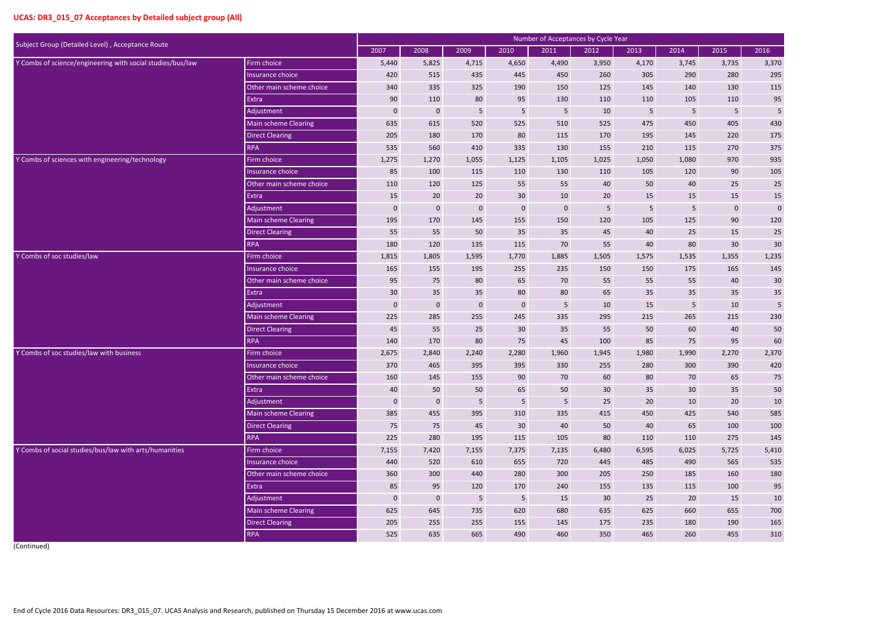| Subject Group (Detailed Level), Acceptance Route           |                          |                  |              |                |                  | Number of Acceptances by Cycle Year |                 |       |                  |                  |            |
|------------------------------------------------------------|--------------------------|------------------|--------------|----------------|------------------|-------------------------------------|-----------------|-------|------------------|------------------|------------|
|                                                            |                          | 2007             | 2008         | 2009           | 2010             | 2011                                | 2012            | 2013  | 2014             | 2015             | 2016       |
| Y Combs of science/engineering with social studies/bus/law | Firm choice              | 5,440            | 5,825        | 4,715          | 4,650            | 4,490                               | 3,950           | 4,170 | 3,745            | 3,735            | 3,370      |
|                                                            | Insurance choice         | 420              | 515          | 435            | 445              | 450                                 | 260             | 305   | 290              | 280              | 295        |
|                                                            | Other main scheme choice | 340              | 335          | 325            | 190              | 150                                 | 125             | 145   | 140              | 130              | 115        |
|                                                            | Extra                    | 90               | 110          | 80             | 95               | 130                                 | 110             | 110   | 105              | 110              | 95         |
|                                                            | Adjustment               | $\bf{0}$         | $\mathbf 0$  | 5              | $5\phantom{.}$   | 5                                   | 10              | 5     | 5                | $5\phantom{.}$   | $\sqrt{5}$ |
|                                                            | Main scheme Clearing     | 635              | 615          | 520            | 525              | 510                                 | 525             | 475   | 450              | 405              | 430        |
|                                                            | <b>Direct Clearing</b>   | 205              | 180          | 170            | 80               | 115                                 | 170             | 195   | 145              | 220              | 175        |
|                                                            | <b>RPA</b>               | 535              | 560          | 410            | 335              | 130                                 | 155             | 210   | 115              | 270              | 375        |
| Y Combs of sciences with engineering/technology            | Firm choice              | 1,275            | 1,270        | 1,055          | 1,125            | 1,105                               | 1,025           | 1,050 | 1,080            | 970              | 935        |
|                                                            | Insurance choice         | 85               | 100          | 115            | 110              | 130                                 | 110             | 105   | 120              | 90               | 105        |
|                                                            | Other main scheme choice | 110              | 120          | 125            | 55               | 55                                  | 40              | 50    | 40               | 25               | 25         |
|                                                            | Extra                    | 15               | 20           | 20             | 30 <sup>°</sup>  | 10                                  | 20              | 15    | 15               | 15               | $15\,$     |
|                                                            | Adjustment               | $\mathbf 0$      | $\mathbf{0}$ | $\mathbf 0$    | $\boldsymbol{0}$ | $\mathbf 0$                         | 5               | 5     | 5                | $\boldsymbol{0}$ | $\pmb{0}$  |
|                                                            | Main scheme Clearing     | 195              | 170          | 145            | 155              | 150                                 | 120             | 105   | 125              | 90               | 120        |
|                                                            | <b>Direct Clearing</b>   | 55               | 55           | 50             | 35               | 35                                  | 45              | 40    | 25               | 15               | 25         |
|                                                            | <b>RPA</b>               | 180              | 120          | 135            | 115              | 70                                  | 55              | 40    | 80               | 30               | 30         |
| Y Combs of soc studies/law                                 | Firm choice              | 1,815            | 1,805        | 1,595          | 1,770            | 1,885                               | 1,505           | 1,575 | 1,535            | 1,355            | 1,235      |
|                                                            | Insurance choice         | 165              | 155          | 195            | 255              | 235                                 | 150             | 150   | 175              | 165              | 145        |
|                                                            | Other main scheme choice | 95               | 75           | 80             | 65               | 70                                  | 55              | 55    | 55               | 40               | 30         |
|                                                            | Extra                    | 30               | 35           | 35             | 80               | 80                                  | 65              | 35    | 35               | 35               | $35\,$     |
|                                                            | Adjustment               | $\boldsymbol{0}$ | $\mathbf 0$  | $\mathbf 0$    | $\mathbf{0}$     | 5                                   | 10              | 15    | 5                | 10               | 5          |
|                                                            | Main scheme Clearing     | 225              | 285          | 255            | 245              | 335                                 | 295             | 215   | 265              | 215              | 230        |
|                                                            | <b>Direct Clearing</b>   | 45               | 55           | 25             | 30               | 35                                  | 55              | 50    | 60               | 40               | 50         |
|                                                            | <b>RPA</b>               | 140              | 170          | 80             | 75               | 45                                  | 100             | 85    | 75               | 95               | 60         |
| Y Combs of soc studies/law with business                   | Firm choice              | 2,675            | 2,840        | 2,240          | 2,280            | 1,960                               | 1,945           | 1,980 | 1,990            | 2,270            | 2,370      |
|                                                            | Insurance choice         | 370              | 465          | 395            | 395              | 330                                 | 255             | 280   | 300              | 390              | 420        |
|                                                            | Other main scheme choice | 160              | 145          | 155            | 90               | 70                                  | 60              | 80    | 70               | 65               | 75         |
|                                                            | Extra                    | 40               | 50           | 50             | 65               | 50                                  | 30              | 35    | 30 <sup>°</sup>  | 35               | $50\,$     |
|                                                            | Adjustment               | $\mathbf 0$      | $\mathbf{0}$ | $5\phantom{.}$ | $5\phantom{.}$   | $5\phantom{.}$                      | 25              | 20    | 10               | 20               | 10         |
|                                                            | Main scheme Clearing     | 385              | 455          | 395            | 310              | 335                                 | 415             | 450   | 425              | 540              | 585        |
|                                                            | <b>Direct Clearing</b>   | 75               | 75           | 45             | 30 <sup>°</sup>  | 40                                  | 50              | 40    | 65               | 100              | 100        |
|                                                            | <b>RPA</b>               | 225              | 280          | 195            | 115              | 105                                 | 80              | 110   | 110              | 275              | 145        |
| Y Combs of social studies/bus/law with arts/humanities     | Firm choice              | 7,155            | 7,420        | 7,155          | 7,375            | 7,135                               | 6,480           | 6,595 | 6,025            | 5,725            | 5,410      |
|                                                            | Insurance choice         | 440              | 520          | 610            | 655              | 720                                 | 445             | 485   | 490              | 565              | 535        |
|                                                            | Other main scheme choice | 360              | 300          | 440            | 280              | 300                                 | 205             | 250   | 185              | 160              | 180        |
|                                                            | Extra                    | 85               | 95           | 120            | 170              | 240                                 | 155             | 135   | 115              | 100              | 95         |
|                                                            | Adjustment               | $\mathbf 0$      | $\bf 0$      | $5\phantom{.}$ | $5\phantom{.0}$  | 15                                  | 30 <sup>°</sup> | 25    | $20\overline{)}$ | 15               | 10         |
|                                                            | Main scheme Clearing     | 625              | 645          | 735            | 620              | 680                                 | 635             | 625   | 660              | 655              | 700        |
|                                                            | <b>Direct Clearing</b>   | 205              | 255          | 255            | 155              | 145                                 | 175             | 235   | 180              | 190              | 165        |
|                                                            | <b>RPA</b>               | 525              | 635          | 665            | 490              | 460                                 | 350             | 465   | 260              | 455              | 310        |